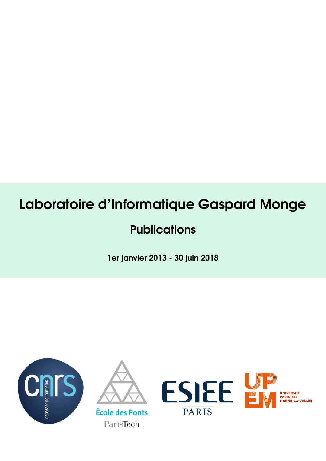# Laboratoire d'Informatique Gaspard Monge

## **Publications**

1er janvier 2013 - 30 juin 2018





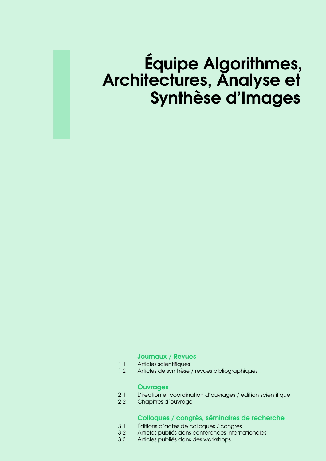# Équipe Algorithmes, Architectures, Analyse et Synthèse d'Images

#### **[Journaux / Revues](#page-4-0)**

- 1.1 [Articles scientifiques](#page-4-1)<br>1.2 Articles de synthèse
- Articles de synthèse / revues bibliographiques

#### **[Ouvrages](#page-14-0)**

- 2.1 [Direction et coordination d'ouvrages / édition scientifique](#page-14-1)
- 2.2 [Chapitres d'ouvrage](#page-14-2)

#### [Colloques / congrès, séminaires de recherche](#page-16-0)

- 3.1 [Éditions d'actes de colloques / congrès](#page-16-1)<br>3.2 Articles publiés dans conférences intern
- Articles publiés dans conférences internationales
- 3.3 [Articles publiés dans des workshops](#page-33-0)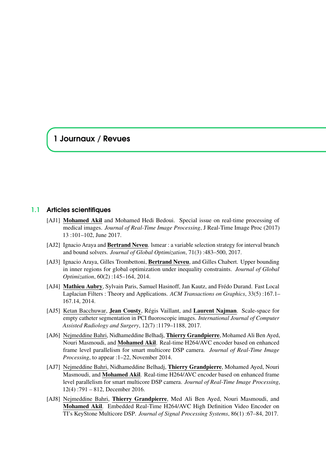### <span id="page-4-0"></span>1 Journaux / Revues

#### 1.1 Articles scientifiques

- <span id="page-4-1"></span>[AJ1] Mohamed Akil and Mohamed Hedi Bedoui. Special issue on real-time processing of medical images. *Journal of Real-Time Image Processing*, J Real-Time Image Proc (2017) 13 :101–102, June 2017.
- [AJ2] Ignacio Araya and Bertrand Neveu. Ismear : a variable selection strategy for interval branch and bound solvers. *Journal of Global Optimization*, 71(3) :483–500, 2017.
- [AJ3] Ignacio Araya, Gilles Trombettoni, Bertrand Neveu, and Gilles Chabert. Upper bounding in inner regions for global optimization under inequality constraints. *Journal of Global Optimization*, 60(2) :145–164, 2014.
- [AJ4] Mathieu Aubry, Sylvain Paris, Samuel Hasinoff, Jan Kautz, and Frédo Durand. Fast Local Laplacian Filters : Theory and Applications. *ACM Transactions on Graphics*, 33(5) :167.1– 167.14, 2014.
- [AJ5] Ketan Bacchuwar, Jean Cousty, Régis Vaillant, and Laurent Najman. Scale-space for empty catheter segmentation in PCI fluoroscopic images. *International Journal of Computer Assisted Radiology and Surgery*, 12(7) :1179–1188, 2017.
- [AJ6] Nejmeddine Bahri, Nidhameddine Belhadj, Thierry Grandpierre, Mohamed Ali Ben Ayed, Nouri Masmoudi, and Mohamed Akil. Real-time H264/AVC encoder based on enhanced frame level parallelism for smart multicore DSP camera. *Journal of Real-Time Image Processing*, to appear :1–22, November 2014.
- [AJ7] Nejmeddine Bahri, Nidhameddine Belhadj, Thierry Grandpierre, Mohamed Ayed, Nouri Masmoudi, and Mohamed Akil. Real-time H264/AVC encoder based on enhanced frame level parallelism for smart multicore DSP camera. *Journal of Real-Time Image Processing*, 12(4) :791 – 812, December 2016.
- [AJ8] Nejmeddine Bahri, Thierry Grandpierre, Med Ali Ben Ayed, Nouri Masmoudi, and Mohamed Akil. Embedded Real-Time H264/AVC High Definition Video Encoder on TI's KeyStone Multicore DSP. *Journal of Signal Processing Systems*, 86(1) :67–84, 2017.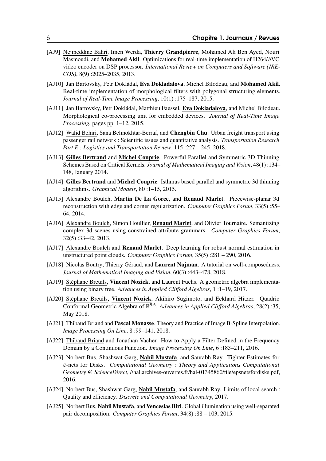- [AJ9] Nejmeddine Bahri, Imen Werda, Thierry Grandpierre, Mohamed Ali Ben Ayed, Nouri Masmoudi, and Mohamed Akil. Optimizations for real-time implementation of H264/AVC video encoder on DSP processor. *International Review on Computers and Software (IRE-COS)*, 8(9) :2025–2035, 2013.
- [AJ10] Jan Bartovsky, Petr Dokládal, Eva Dokladalova, Michel Bilodeau, and Mohamed Akil. Real-time implementation of morphological filters with polygonal structuring elements. *Journal of Real-Time Image Processing*, 10(1) :175–187, 2015.
- [AJ11] Jan Bartovsky, Petr Dokládal, Matthieu Faessel, Eva Dokladalova, and Michel Bilodeau. Morphological co-processing unit for embedded devices. *Journal of Real-Time Image Processing*, pages pp. 1–12, 2015.
- [AJ12] Walid Behiri, Sana Belmokhtar-Berraf, and **Chengbin Chu**. Urban freight transport using passenger rail network : Scientific issues and quantitative analysis. *Transportation Research Part E : Logistics and Transportation Review*, 115 :227 – 245, 2018.
- [AJ13] Gilles Bertrand and Michel Couprie. Powerful Parallel and Symmetric 3D Thinning Schemes Based on Critical Kernels. *Journal of Mathematical Imaging and Vision*, 48(1) :134– 148, January 2014.
- [AJ14] Gilles Bertrand and Michel Couprie. Isthmus based parallel and symmetric 3d thinning algorithms. *Graphical Models*, 80 :1–15, 2015.
- [AJ15] Alexandre Boulch, Martin De La Gorce, and Renaud Marlet. Piecewise-planar 3d reconstruction with edge and corner regularization. *Computer Graphics Forum*, 33(5) :55– 64, 2014.
- [AJ16] Alexandre Boulch, Simon Houllier, Renaud Marlet, and Olivier Tournaire. Semantizing complex 3d scenes using constrained attribute grammars. *Computer Graphics Forum*, 32(5) :33–42, 2013.
- [AJ17] Alexandre Boulch and Renaud Marlet. Deep learning for robust normal estimation in unstructured point clouds. *Computer Graphics Forum*, 35(5) :281 – 290, 2016.
- [AJ18] Nicolas Boutry, Thierry Géraud, and Laurent Najman. A tutorial on well-composedness. *Journal of Mathematical Imaging and Vision*, 60(3) :443–478, 2018.
- [AJ19] Stéphane Breuils, Vincent Nozick, and Laurent Fuchs. A geometric algebra implementation using binary tree. *Advances in Applied Clifford Algebras*, 1 :1–19, 2017.
- [AJ20] Stéphane Breuils, Vincent Nozick, Akihiro Sugimoto, and Eckhard Hitzer. Quadric Conformal Geometric Algebra of R 9,6 . *Advances in Applied Clifford Algebras*, 28(2) :35, May 2018.
- [AJ21] Thibaud Briand and **Pascal Monasse**. Theory and Practice of Image B-Spline Interpolation. *Image Processing On Line*, 8 :99–141, 2018.
- [AJ22] Thibaud Briand and Jonathan Vacher. How to Apply a Filter Defined in the Frequency Domain by a Continuous Function. *Image Processing On Line*, 6 :183–211, 2016.
- [AJ23] Norbert Bus, Shashwat Garg, Nabil Mustafa, and Saurabh Ray. Tighter Estimates for ε-nets for Disks. *Computational Geometry : Theory and Applications Computational Geometry @ ScienceDirect*, //hal.archives-ouvertes.fr/hal-01345860/file/epsnetsfordisks.pdf, 2016.
- [AJ24] Norbert Bus, Shashwat Garg, Nabil Mustafa, and Saurabh Ray. Limits of local search : Quality and efficiency. *Discrete and Computational Geometry*, 2017.
- [AJ25] Norbert Bus, Nabil Mustafa, and Venceslas Biri. Global illumination using well-separated pair decomposition. *Computer Graphics Forum*, 34(8) :88 – 103, 2015.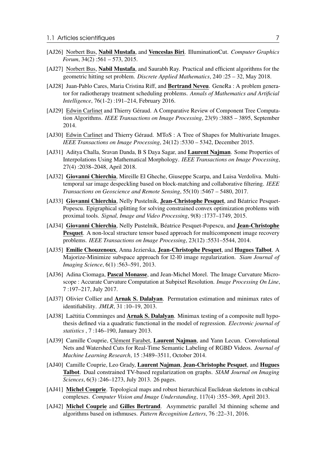- [AJ26] Norbert Bus, Nabil Mustafa, and Venceslas Biri. IlluminationCut. *Computer Graphics Forum*, 34(2) :561 – 573, 2015.
- [AJ27] Norbert Bus, Nabil Mustafa, and Saurabh Ray. Practical and efficient algorithms for the geometric hitting set problem. *Discrete Applied Mathematics*, 240 :25 – 32, May 2018.
- [AJ28] Juan-Pablo Cares, Maria Cristina Riff, and Bertrand Neveu. GeneRa : A problem generator for radiotherapy treatment scheduling problems. *Annals of Mathematics and Artificial Intelligence*, 76(1-2) :191–214, February 2016.
- [AJ29] Edwin Carlinet and Thierry Géraud. A Comparative Review of Component Tree Computation Algorithms. *IEEE Transactions on Image Processing*, 23(9) :3885 – 3895, September 2014.
- [AJ30] Edwin Carlinet and Thierry Géraud. MToS : A Tree of Shapes for Multivariate Images. *IEEE Transactions on Image Processing*, 24(12) :5330 – 5342, December 2015.
- [AJ31] Aditya Challa, Sravan Danda, B S Daya Sagar, and Laurent Najman. Some Properties of Interpolations Using Mathematical Morphology. *IEEE Transactions on Image Processing*, 27(4) :2038–2048, April 2018.
- [AJ32] Giovanni Chierchia, Mireille El Gheche, Giuseppe Scarpa, and Luisa Verdoliva. Multitemporal sar image despeckling based on block-matching and collaborative filtering. *IEEE Transactions on Geoscience and Remote Sensing*, 55(10) :5467 – 5480, 2017.
- [AJ33] Giovanni Chierchia, Nelly Pustelnik, Jean-Christophe Pesquet, and Béatrice Pesquet-Popescu. Epigraphical splitting for solving constrained convex optimization problems with proximal tools. *Signal, Image and Video Processing*, 9(8) :1737–1749, 2015.
- [AJ34] Giovanni Chierchia, Nelly Pustelnik, Béatrice Pesquet-Popescu, and Jean-Christophe Pesquet. A non-local structure tensor based approach for multicomponent image recovery problems. *IEEE Transactions on Image Processing*, 23(12) :5531–5544, 2014.
- [AJ35] Emilie Chouzenoux, Anna Jezierska, Jean-Christophe Pesquet, and Hugues Talbot. A Majorize-Minimize subspace approach for l2-l0 image regularization. *Siam Journal of Imaging Science*, 6(1) :563–591, 2013.
- [AJ36] Adina Ciomaga, Pascal Monasse, and Jean-Michel Morel. The Image Curvature Microscope : Accurate Curvature Computation at Subpixel Resolution. *Image Processing On Line*, 7 :197–217, July 2017.
- [AJ37] Olivier Collier and **Arnak S. Dalalyan**. Permutation estimation and minimax rates of identifiability. *JMLR*, 31 :10–19, 2013.
- [AJ38] Laëtitia Comminges and **Arnak S. Dalalyan**. Minimax testing of a composite null hypothesis defined via a quadratic functional in the model of regression. *Electronic journal of statistics* , 7 :146–190, January 2013.
- [AJ39] Camille Couprie, Clément Farabet, Laurent Najman, and Yann Lecun. Convolutional Nets and Watershed Cuts for Real-Time Semantic Labeling of RGBD Videos. *Journal of Machine Learning Research*, 15 :3489–3511, October 2014.
- [AJ40] Camille Couprie, Leo Grady, Laurent Najman, Jean-Christophe Pesquet, and Hugues Talbot. Dual constrained TV-based regularization on graphs. *SIAM Journal on Imaging Sciences*, 6(3) :246–1273, July 2013. 26 pages.
- [AJ41] Michel Couprie. Topological maps and robust hierarchical Euclidean skeletons in cubical complexes. *Computer Vision and Image Understanding*, 117(4) :355–369, April 2013.
- [AJ42] Michel Couprie and Gilles Bertrand. Asymmetric parallel 3d thinning scheme and algorithms based on isthmuses. *Pattern Recognition Letters*, 76 :22–31, 2016.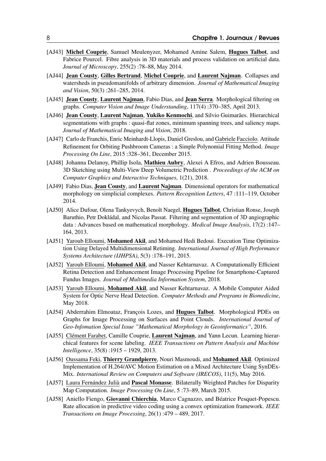- [AJ43] Michel Couprie, Samuel Meulenyzer, Mohamed Amine Salem, Hugues Talbot, and Fabrice Pourcel. Fibre analysis in 3D materials and process validation on artificial data. *Journal of Microscopy*, 255(2) :78–88, May 2014.
- [AJ44] Jean Cousty, Gilles Bertrand, Michel Couprie, and Laurent Najman. Collapses and watersheds in pseudomanifolds of arbitrary dimension. *Journal of Mathematical Imaging and Vision*, 50(3) :261–285, 2014.
- [AJ45] **Jean Cousty, Laurent Najman,** Fabio Dias, and **Jean Serra**. Morphological filtering on graphs. *Computer Vision and Image Understanding*, 117(4) :370–385, April 2013.
- [AJ46] Jean Cousty, Laurent Najman, Yukiko Kenmochi, and Silvio Guimarães. Hierarchical segmentations with graphs : quasi-flat zones, minimum spanning trees, and saliency maps. *Journal of Mathematical Imaging and Vision*, 2018.
- [AJ47] Carlo de Franchis, Enric Meinhardt-Llopis, Daniel Greslou, and Gabriele Facciolo. Attitude Refinement for Orbiting Pushbroom Cameras : a Simple Polynomial Fitting Method. *Image Processing On Line*, 2015 :328–361, December 2015.
- [AJ48] Johanna Delanoy, Phillip Isola, Mathieu Aubry, Alexei A Efros, and Adrien Bousseau. 3D Sketching using Multi-View Deep Volumetric Prediction . *Proceedings of the ACM on Computer Graphics and Interactive Techniques*, 1(21), 2018.
- [AJ49] Fabio Dias, Jean Cousty, and Laurent Najman. Dimensional operators for mathematical morphology on simplicial complexes. *Pattern Recognition Letters*, 47 :111–119, October 2014.
- [AJ50] Alice Dufour, Olena Tankyevych, Benoît Naegel, Hugues Talbot, Christian Ronse, Joseph Baruthio, Petr Dokládal, and Nicolas Passat. Filtering and segmentation of 3D angiographic data : Advances based on mathematical morphology. *Medical Image Analysis*, 17(2) :147– 164, 2013.
- [AJ51] Yaroub Elloumi, Mohamed Akil, and Mohamed Hedi Bedoui. Execution Time Optimization Using Delayed Multidimensional Retiming. *International Journal of High Performance Systems Architecture (IJHPSA)*, 5(3) :178–191, 2015.
- [AJ52] Yaroub Elloumi, Mohamed Akil, and Nasser Kehtarnavaz. A Computationally Efficient Retina Detection and Enhancement Image Processing Pipeline for Smartphone-Captured Fundus Images. *Journal of Multimedia Information System*, 2018.
- [AJ53] Yaroub Elloumi, Mohamed Akil, and Nasser Kehtarnavaz. A Mobile Computer Aided System for Optic Nerve Head Detection. *Computer Methods and Programs in Biomedicine*, May 2018.
- [AJ54] Abderrahim Elmoataz, François Lozes, and Hugues Talbot. Morphological PDEs on Graphs for Image Processing on Surfaces and Point Clouds. *International Journal of Geo-Infomation Special Issue "Mathematical Morphology in Geoinformatics"*, 2016.
- [AJ55] Clément Farabet, Camille Couprie, Laurent Najman, and Yann Lecun. Learning hierarchical features for scene labeling. *IEEE Transactions on Pattern Analysis and Machine Intelligence*, 35(8) :1915 – 1929, 2013.
- [AJ56] Oussama Feki, Thierry Grandpierre, Nouri Masmoudi, and Mohamed Akil. Optimized Implementation of H.264/AVC Motion Estimation on a Mixed Architecture Using SynDEx-Mix. *International Review on Computers and Software (IRECOS)*, 11(5), May 2016.
- [AJ57] Laura Fernández Julià and Pascal Monasse. Bilaterally Weighted Patches for Disparity Map Computation. *Image Processing On Line*, 5 :73–89, March 2015.
- [AJ58] Aniello Fiengo, Giovanni Chierchia, Marco Cagnazzo, and Béatrice Pesquet-Popescu. Rate allocation in predictive video coding using a convex optimization framework. *IEEE Transactions on Image Processing*, 26(1) :479 – 489, 2017.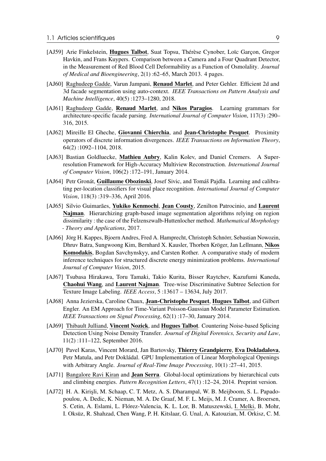- [AJ59] Arie Finkelstein, Hugues Talbot, Suat Topsu, Thérèse Cynober, Loïc Garcon, Gregor Havkin, and Frans Kuypers. Comparison between a Camera and a Four Quadrant Detector, in the Measurement of Red Blood Cell Deformability as a Function of Osmolality. *Journal of Medical and Bioengineering*, 2(1) :62–65, March 2013. 4 pages.
- [AJ60] Raghudeep Gadde, Varun Jampani, Renaud Marlet, and Peter Gehler. Efficient 2d and 3d facade segmentation using auto-context. *IEEE Transactions on Pattern Analysis and Machine Intelligence*, 40(5) :1273–1280, 2018.
- [AJ61] Raghudeep Gadde, Renaud Marlet, and Nikos Paragios. Learning grammars for architecture-specific facade parsing. *International Journal of Computer Vision*, 117(3) :290– 316, 2015.
- [AJ62] Mireille El Gheche, Giovanni Chierchia, and Jean-Christophe Pesquet. Proximity operators of discrete information divergences. *IEEE Transactions on Information Theory*, 64(2) :1092–1104, 2018.
- [AJ63] Bastian Goldluecke, Mathieu Aubry, Kalin Kolev, and Daniel Cremers. A Superresolution Framework for High-Accuracy Multiview Reconstruction. *International Journal of Computer Vision*, 106(2) :172–191, January 2014.
- [AJ64] Petr Gronát, Guillaume Obozinski, Josef Sivic, and Tomáš Pajdla. Learning and calibrating per-location classifiers for visual place recognition. *International Journal of Computer Vision*, 118(3) :319–336, April 2016.
- [AJ65] Silvio Guimarães, Yukiko Kenmochi, Jean Cousty, Zenilton Patrocinio, and Laurent Najman. Hierarchizing graph-based image segmentation algorithms relying on region dissimilarity : the case of the Felzenszwalb-Huttenlocher method. *Mathematical Morphology - Theory and Applications*, 2017.
- [AJ66] Jörg H. Kappes, Bjoern Andres, Fred A. Hamprecht, Christoph Schnörr, Sebastian Nowozin, Dhruv Batra, Sungwoong Kim, Bernhard X. Kausler, Thorben Kröger, Jan Lellmann, Nikos Komodakis, Bogdan Savchynskyy, and Carsten Rother. A comparative study of modern inference techniques for structured discrete energy minimization problems. *International Journal of Computer Vision*, 2015.
- [AJ67] Tsubasa Hirakawa, Toru Tamaki, Takio Kurita, Bisser Raytchev, Kazufumi Kaneda, Chaohui Wang, and Laurent Najman. Tree-wise Discriminative Subtree Selection for Texture Image Labeling. *IEEE Access*, 5 :13617 – 13634, July 2017.
- [AJ68] Anna Jezierska, Caroline Chaux, Jean-Christophe Pesquet, Hugues Talbot, and Gilbert Engler. An EM Approach for Time-Variant Poisson-Gaussian Model Parameter Estimation. *IEEE Transactions on Signal Processing*, 62(1) :17–30, January 2014.
- [AJ69] Thibault Julliand, Vincent Nozick, and Hugues Talbot. Countering Noise-based Splicing Detection Using Noise Density Transfer. *Journal of Digital Forensics, Security and Law*, 11(2) :111–122, September 2016.
- [AJ70] Pavel Karas, Vincent Morard, Jan Bartovsky, Thierry Grandpierre, Eva Dokladalova, Petr Matula, and Petr Dokládal. GPU Implementation of Linear Morphological Openings with Arbitrary Angle. *Journal of Real-Time Image Processing*, 10(1) :27–41, 2015.
- [AJ71] Bangalore Ravi Kiran and **Jean Serra**. Global-local optimizations by hierarchical cuts and climbing energies. *Pattern Recognition Letters*, 47(1) :12–24, 2014. Preprint version.
- [AJ72] H. A. Kirişli, M. Schaap, C. T. Metz, A. S. Dharampal, W. B. Meijboom, S. L. Papadopoulou, A. Dedic, K. Nieman, M. A. De Graaf, M. F. L. Meijs, M. J. Cramer, A. Broersen, S. Cetin, A. Eslami, L. Flórez-Valencia, K. L. Lor, B. Matuszewski, I. Melki, B. Mohr, I. Oksüz, R. Shahzad, Chen Wang, P. H. Kitslaar, G. Unal, A. Katouzian, M. Orkisz, C. M.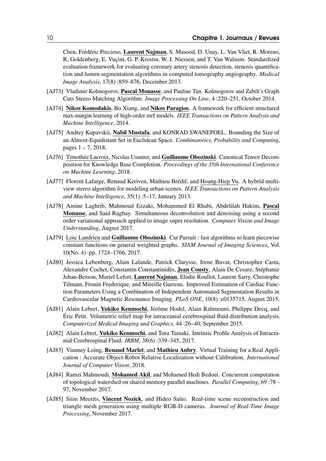Chen, Frédéric Precioso, Laurent Najman, S. Masood, D. Unay, L. Van Vliet, R. Moreno, R. Goldenberg, E. Vuçini, G. P. Krestin, W. J. Niessen, and T. Van Walsum. Standardized evaluation framework for evaluating coronary artery stenosis detection, stenosis quantification and lumen segmentation algorithms in computed tomography angiography. *Medical Image Analysis*, 17(8) :859–876, December 2013.

- [AJ73] Vladimir Kolmogorov, Pascal Monasse, and Pauline Tan. Kolmogorov and Zabih's Graph Cuts Stereo Matching Algorithm. *Image Processing On Line*, 4 :220–251, October 2014.
- [AJ74] Nikos Komodakis, Bo Xiang, and Nikos Paragios. A framework for efficient structured max-margin learning of high-order mrf models. *IEEE Transactions on Pattern Analysis and Machine Intelligence*, 2014.
- [AJ75] Andrey Kupavskii, Nabil Mustafa, and KONRAD SWANEPOEL. Bounding the Size of an Almost-Equidistant Set in Euclidean Space. *Combinatorics, Probability and Computing*, pages  $1 - 7$ , 2018.
- [AJ76] Timothée Lacroix, Nicolas Usunier, and Guillaume Obozinski. Canonical Tensor Decomposition for Knowledge Base Completion. *Proceedings of the 35th International Conference on Machine Learning*, 2018.
- [AJ77] Florent Lafarge, Renaud Keriven, Mathieu Brédif, and Hoang-Hiep Vu. A hybrid multiview stereo algorithm for modeling urban scenes. *IEEE Transactions on Pattern Analysis and Machine Intelligence*, 35(1) :5–17, January 2013.
- [AJ78] Amine Laghrib, Mahmoud Ezzaki, Mohammed El Rhabi, Abdelilah Hakim, Pascal Monasse, and Said Raghay. Simultaneous deconvolution and denoising using a second order variational approach applied to image super resolution. *Computer Vision and Image Understanding*, August 2017.
- [AJ79] Loic Landrieu and Guillaume Obozinski. Cut Pursuit : fast algorithms to learn piecewise constant functions on general weighted graphs. *SIAM Journal of Imaging Sciences*, Vol. 10(No. 4) :pp. 1724–1766, 2017.
- [AJ80] Jessica Lebenberg, Alain Lalande, Patrick Clarysse, Irene Buvat, Christopher Casta, Alexandre Cochet, Constantin Constantinidès, Jean Cousty, Alain De Cesare, Stéphanie Jehan-Besson, Muriel Lefort, Laurent Najman, Elodie Roullot, Laurent Sarry, Christophe Tilmant, Frouin Frederique, and Mireille Garreau. Improved Estimation of Cardiac Function Parameters Using a Combination of Independent Automated Segmentation Results in Cardiovascular Magnetic Resonance Imaging. *PLoS ONE*, 10(8) :e0135715, August 2015.
- [AJ81] Alain Lebret, Yukiko Kenmochi, Jérôme Hodel, Alain Rahmouni, Philippe Decq, and Éric Petit. Volumetric relief map for intracranial cerebrospinal fluid distribution analysis. *Computerized Medical Imaging and Graphics*, 44 :26–40, September 2015.
- [AJ82] Alain Lebret, Yukiko Kenmochi, and Toru Tamaki. Intrinsic Profile Analysis of Intracranial Cerebrospinal Fluid. *IRBM*, 38(6) :339–345, 2017.
- [AJ83] Vianney Loing, Renaud Marlet, and Mathieu Aubry. Virtual Training for a Real Application : Accurate Object-Robot Relative Localization without Calibration. *International Journal of Computer Vision*, 2018.
- [AJ84] Ramzi Mahmoudi, Mohamed Akil, and Mohamed Hedi Bedoui. Concurrent computation of topological watershed on shared memory parallel machines. *Parallel Computing*, 69 :78 – 97, November 2017.
- [AJ85] Siim Meerits, Vincent Nozick, and Hideo Saito. Real-time scene reconstruction and triangle mesh generation using multiple RGB-D cameras. *Journal of Real-Time Image Processing*, November 2017.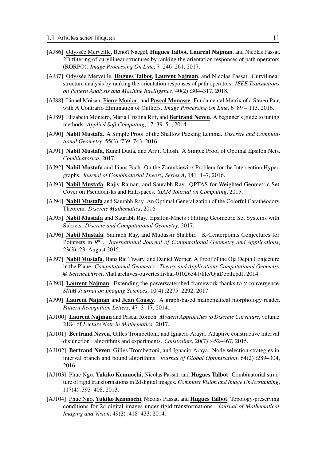- [AJ86] Odyssée Merveille, Benoît Naegel, Hugues Talbot, Laurent Najman, and Nicolas Passat. 2D filtering of curvilinear structures by ranking the orientation responses of path operators (RORPO). *Image Processing On Line*, 7 :246–261, 2017.
- [AJ87] Odyssée Merveille, Hugues Talbot, Laurent Najman, and Nicolas Passat. Curvilinear structure analysis by ranking the orientation responses of path operators. *IEEE Transactions on Pattern Analysis and Machine Intelligence*, 40(2) :304–317, 2018.
- [AJ88] Lionel Moisan, Pierre Moulon, and **Pascal Monasse**. Fundamental Matrix of a Stereo Pair, with A Contrario Elimination of Outliers. *Image Processing On Line*, 6 :89 – 113, 2016.
- [AJ89] Elizabeth Montero, Maria Cristina Riff, and **Bertrand Neveu**. A beginner's guide to tuning methods. *Applied Soft Computing*, 17 :39–51, 2014.
- [AJ90] Nabil Mustafa. A Simple Proof of the Shallow Packing Lemma. *Discrete and Computational Geometry*, 55(3) :739–743, 2016.
- [AJ91] Nabil Mustafa, Kunal Dutta, and Arijit Ghosh. A Simple Proof of Optimal Epsilon Nets. *Combinatorica*, 2017.
- [AJ92] Nabil Mustafa and János Pach. On the Zarankiewicz Problem for the Intersection Hypergraphs. *Journal of Combinatorial Theory, Series A*, 141 :1–7, 2016.
- [AJ93] Nabil Mustafa, Rajiv Raman, and Saurabh Ray. QPTAS for Weighted Geometric Set Cover on Pseudodisks and Halfspaces. *SIAM Journal on Computing*, 2015.
- [AJ94] Nabil Mustafa and Saurabh Ray. An Optimal Generalization of the Colorful Carathéodory Theorem. *Discrete Mathematics*, 2016.
- [AJ95] Nabil Mustafa and Saurabh Ray. Epsilon-Mnets : Hitting Geometric Set Systems with Subsets. *Discrete and Computational Geometry*, 2017.
- [AJ96] Nabil Mustafa, Saurabh Ray, and Mudassir Shabbir. K-Centerpoints Conjectures for Pointsets in *R d* . *International Journal of Computational Geometry and Applications*, 23(3) :23, August 2015.
- [AJ97] Nabil Mustafa, Hans Raj Tiwary, and Daniel Werner. A Proof of the Oja Depth Conjecture in the Plane. *Computational Geometry : Theory and Applications Computational Geometry @ ScienceDirect*, //hal.archives-ouvertes.fr/hal-01026341/file/OjaDepth.pdf, 2014.
- [AJ98] Laurent Najman. Extending the powerwatershed framework thanks to γ-convergence. *SIAM Journal on Imaging Sciences*, 10(4) :2275–2292, 2017.
- [AJ99] Laurent Najman and Jean Cousty. A graph-based mathematical morphology reader. *Pattern Recognition Letters*, 47 :3–17, 2014.
- [AJ100] Laurent Najman and Pascal Romon. *Modern Approaches to Discrete Curvature*, volume 2184 of *Lecture Note in Mathematics*. 2017.
- [AJ101] **Bertrand Neveu**, Gilles Trombettoni, and Ignacio Araya. Adaptive constructive interval disjunction : algorithms and experiments. *Constraints*, 20(7) :452–467, 2015.
- [AJ102] **Bertrand Neveu**, Gilles Trombettoni, and Ignacio Araya. Node selection strategies in interval branch and bound algorithms. *Journal of Global Optimization*, 64(2) :289–304, 2016.
- [AJ103] Phuc Ngo, Yukiko Kenmochi, Nicolas Passat, and Hugues Talbot. Combinatorial structure of rigid transformations in 2d digital images. *Computer Vision and Image Understanding*, 117(4) :393–408, 2013.
- [AJ104] Phuc Ngo, Yukiko Kenmochi, Nicolas Passat, and Hugues Talbot. Topology-preserving conditions for 2d digital images under rigid transformations. *Journal of Mathematical Imaging and Vision*, 49(2) :418–433, 2014.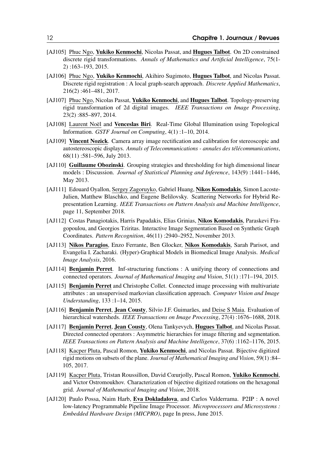- [AJ105] Phuc Ngo, Yukiko Kenmochi, Nicolas Passat, and Hugues Talbot. On 2D constrained discrete rigid transformations. *Annals of Mathematics and Artificial Intelligence*, 75(1- 2) :163–193, 2015.
- [AJ106] Phuc Ngo, Yukiko Kenmochi, Akihiro Sugimoto, Hugues Talbot, and Nicolas Passat. Discrete rigid registration : A local graph-search approach. *Discrete Applied Mathematics*, 216(2) :461–481, 2017.
- [AJ107] Phuc Ngo, Nicolas Passat, Yukiko Kenmochi, and Hugues Talbot. Topology-preserving rigid transformation of 2d digital images. *IEEE Transactions on Image Processing*, 23(2) :885–897, 2014.
- [AJ108] Laurent Noël and Venceslas Biri. Real-Time Global Illumination using Topological Information. *GSTF Journal on Computing*, 4(1) :1–10, 2014.
- [AJ109] Vincent Nozick. Camera array image rectification and calibration for stereoscopic and autostereoscopic displays. *Annals of Telecommunications - annales des télécommunications*, 68(11) :581–596, July 2013.
- [AJ110] Guillaume Obozinski. Grouping strategies and thresholding for high dimensional linear models : Discussion. *Journal of Statistical Planning and Inference*, 143(9) :1441–1446, May 2013.
- [AJ111] Edouard Oyallon, Sergey Zagoruyko, Gabriel Huang, Nikos Komodakis, Simon Lacoste-Julien, Matthew Blaschko, and Eugene Belilovsky. Scattering Networks for Hybrid Representation Learning. *IEEE Transactions on Pattern Analysis and Machine Intelligence*, page 11, September 2018.
- [AJ112] Costas Panagiotakis, Harris Papadakis, Elias Grinias, Nikos Komodakis, Paraskevi Fragopoulou, and Georgios Tziritas. Interactive Image Segmentation Based on Synthetic Graph Coordinates. *Pattern Recognition*, 46(11) :2940–2952, November 2013.
- [AJ113] Nikos Paragios, Enzo Ferrante, Ben Glocker, Nikos Komodakis, Sarah Parisot, and Evangelia I. Zacharaki. (Hyper)-Graphical Models in Biomedical Image Analysis. *Medical Image Analysis*, 2016.
- [AJ114] Benjamin Perret. Inf-structuring functions : A unifying theory of connections and connected operators. *Journal of Mathematical Imaging and Vision*, 51(1) :171–194, 2015.
- [AJ115] **Benjamin Perret** and Christophe Collet. Connected image processing with multivariate attributes : an unsupervised markovian classification approach. *Computer Vision and Image Understanding*, 133 :1–14, 2015.
- [AJ116] Benjamin Perret, Jean Cousty, Silvio J.F. Guimarães, and Deise S Maia. Evaluation of hierarchical watersheds. *IEEE Transactions on Image Processing*, 27(4) :1676–1688, 2018.
- [AJ117] Benjamin Perret, Jean Cousty, Olena Tankyevych, Hugues Talbot, and Nicolas Passat. Directed connected operators : Asymmetric hierarchies for image filtering and segmentation. *IEEE Transactions on Pattern Analysis and Machine Intelligence*, 37(6) :1162–1176, 2015.
- [AJ118] Kacper Pluta, Pascal Romon, Yukiko Kenmochi, and Nicolas Passat. Bijective digitized rigid motions on subsets of the plane. *Journal of Mathematical Imaging and Vision*, 59(1) :84– 105, 2017.
- [AJ119] Kacper Pluta, Tristan Roussillon, David Cœurjolly, Pascal Romon, Yukiko Kenmochi, and Victor Ostromoukhov. Characterization of bijective digitized rotations on the hexagonal grid. *Journal of Mathematical Imaging and Vision*, 2018.
- [AJ120] Paulo Possa, Naim Harb, Eva Dokladalova, and Carlos Valderrama. P2IP : A novel low-latency Programmable Pipeline Image Processor. *Microprocessors and Microsystems : Embedded Hardware Design (MICPRO)*, page In press, June 2015.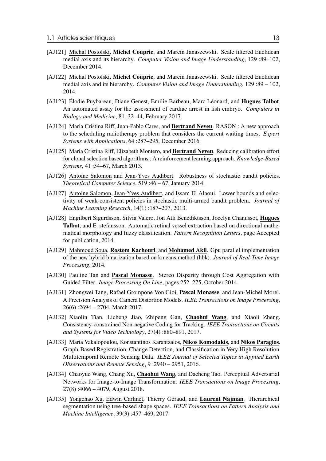- [AJ121] Michal Postolski, Michel Couprie, and Marcin Janaszewski. Scale filtered Euclidean medial axis and its hierarchy. *Computer Vision and Image Understanding*, 129 :89–102, December 2014.
- [AJ122] Michal Postolski, Michel Couprie, and Marcin Janaszewski. Scale filtered Euclidean medial axis and its hierarchy. *Computer Vision and Image Understanding*, 129 :89 – 102, 2014.
- [AJ123] Élodie Puybareau, Diane Genest, Emilie Barbeau, Marc Léonard, and **Hugues Talbot**. An automated assay for the assessment of cardiac arrest in fish embryo. *Computers in Biology and Medicine*, 81 :32–44, February 2017.
- [AJ124] Maria Cristina Riff, Juan-Pablo Cares, and Bertrand Neveu. RASON : A new approach to the scheduling radiotherapy problem that considers the current waiting times. *Expert Systems with Applications*, 64 :287–295, December 2016.
- [AJ125] Maria Cristina Riff, Elizabeth Montero, and Bertrand Neveu. Reducing calibration effort for clonal selection based algorithms : A reinforcement learning approach. *Knowledge-Based Systems*, 41 :54–67, March 2013.
- [AJ126] Antoine Salomon and Jean-Yves Audibert. Robustness of stochastic bandit policies. *Theoretical Computer Science*, 519 :46 – 67, January 2014.
- [AJ127] Antoine Salomon, Jean-Yves Audibert, and Issam El Alaoui. Lower bounds and selectivity of weak-consistent policies in stochastic multi-armed bandit problem. *Journal of Machine Learning Research*, 14(1) :187–207, 2013.
- [AJ128] Engilbert Sigurdsson, Silvia Valero, Jon Atli Benediktsson, Jocelyn Chanussot, Hugues Talbot, and E. stefansson. Automatic retinal vessel extraction based on directional mathematical morphology and fuzzy classification. *Pattern Recognition Letters*, page Accepted for publication, 2014.
- [AJ129] Mahmoud Soua, Rostom Kachouri, and Mohamed Akil. Gpu parallel implementation of the new hybrid binarization based on kmeans method (hbk). *Journal of Real-Time Image Processing*, 2014.
- [AJ130] Pauline Tan and **Pascal Monasse**. Stereo Disparity through Cost Aggregation with Guided Filter. *Image Processing On Line*, pages 252–275, October 2014.
- [AJ131] Zhongwei Tang, Rafael Grompone Von Gioi, **Pascal Monasse**, and Jean-Michel Morel. A Precision Analysis of Camera Distortion Models. *IEEE Transactions on Image Processing*, 26(6) :2694 – 2704, March 2017.
- [AJ132] Xiaolin Tian, Licheng Jiao, Zhipeng Gan, Chaohui Wang, and Xiaoli Zheng. Consistency-constrained Non-negative Coding for Tracking. *IEEE Transactions on Circuits and Systems for Video Technology*, 27(4) :880–891, 2017.
- [AJ133] Maria Vakalopoulou, Konstantinos Karantzalos, Nikos Komodakis, and Nikos Paragios. Graph-Based Registration, Change Detection, and Classification in Very High Resolution Multitemporal Remote Sensing Data. *IEEE Journal of Selected Topics in Applied Earth Observations and Remote Sensing*, 9 :2940 – 2951, 2016.
- [AJ134] Chaoyue Wang, Chang Xu, Chaohui Wang, and Dacheng Tao. Perceptual Adversarial Networks for Image-to-Image Transformation. *IEEE Transactions on Image Processing*, 27(8) :4066 – 4079, August 2018.
- [AJ135] Yongchao Xu, Edwin Carlinet, Thierry Géraud, and Laurent Najman. Hierarchical segmentation using tree-based shape spaces. *IEEE Transactions on Pattern Analysis and Machine Intelligence*, 39(3) :457–469, 2017.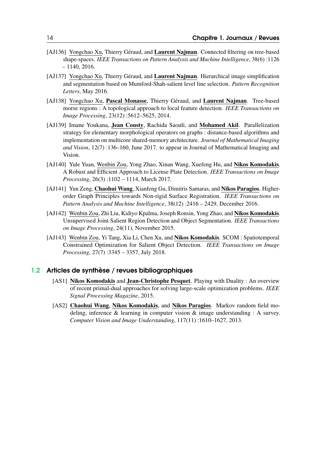- [AJ136] Yongchao Xu, Thierry Géraud, and Laurent Najman. Connected filtering on tree-based shape-spaces. *IEEE Transactions on Pattern Analysis and Machine Intelligence*, 38(6) :1126 – 1140, 2016.
- [AJ137] Yongchao Xu, Thierry Géraud, and Laurent Najman. Hierarchical image simplification and segmentation based on Mumford-Shah-salient level line selection. *Pattern Recognition Letters*, May 2016.
- [AJ138] Yongchao Xu, Pascal Monasse, Thierry Géraud, and Laurent Najman. Tree-based morse regions : A topological approach to local feature detection. *IEEE Transactions on Image Processing*, 23(12) :5612–5625, 2014.
- [AJ139] Imane Youkana, Jean Cousty, Rachida Saouli, and Mohamed Akil. Parallelization strategy for elementary morphological operators on graphs : distance-based algorithms and implementation on multicore shared-memory architecture. *Journal of Mathematical Imaging and Vision*, 12(7) :136–160, June 2017. to appear in Journal of Mathematical Imaging and Vision.
- [AJ140] Yule Yuan, Wenbin Zou, Yong Zhao, Xinan Wang, Xuefeng Hu, and Nikos Komodakis. A Robust and Efficient Approach to License Plate Detection. *IEEE Transactions on Image Processing*, 26(3) :1102 – 1114, March 2017.
- [AJ141] Yun Zeng, Chaohui Wang, Xianfeng Gu, Dimitris Samaras, and Nikos Paragios. Higherorder Graph Principles towards Non-rigid Surface Registration. *IEEE Transactions on Pattern Analysis and Machine Intelligence*, 38(12) :2416 – 2429, December 2016.
- [AJ142] Wenbin Zou, Zhi Liu, Kidiyo Kpalma, Joseph Ronsin, Yong Zhao, and Nikos Komodakis. Unsupervised Joint Salient Region Detection and Object Segmentation. *IEEE Transactions on Image Processing*, 24(11), November 2015.
- [AJ143] Wenbin Zou, Yi Tang, Xia Li, Chen Xu, and Nikos Komodakis. SCOM : Spatiotemporal Constrained Optimization for Salient Object Detection. *IEEE Transactions on Image Processing*, 27(7) :3345 – 3357, July 2018.

#### 1.2 Articles de synthèse / revues bibliographiques

- <span id="page-13-0"></span>[AS1] Nikos Komodakis and Jean-Christophe Pesquet. Playing with Duality : An overview of recent primal-dual approaches for solving large-scale optimization problems. *IEEE Signal Processing Magazine*, 2015.
- [AS2] Chaohui Wang, Nikos Komodakis, and Nikos Paragios. Markov random field modeling, inference & learning in computer vision & image understanding : A survey. *Computer Vision and Image Understanding*, 117(11) :1610–1627, 2013.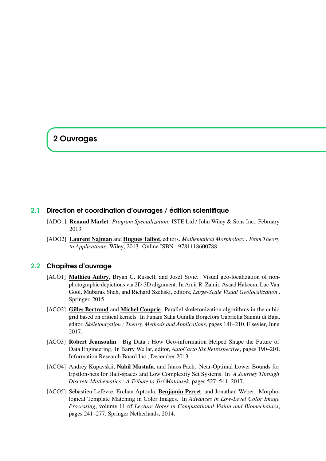## <span id="page-14-0"></span>2 Ouvrages

#### 2.1 Direction et coordination d'ouvrages / édition scientifique

- <span id="page-14-1"></span>[ADO1] Renaud Marlet. *Program Specialization*. ISTE Ltd / John Wiley & Sons Inc., February 2013.
- [ADO2] Laurent Najman and Hugues Talbot, editors. *Mathematical Morphology : From Theory to Applications*. Wiley, 2013. Online ISBN : 9781118600788.

#### 2.2 Chapitres d'ouvrage

- <span id="page-14-2"></span>[ACO1] Mathieu Aubry, Bryan C. Russell, and Josef Sivic. Visual geo-localization of nonphotographic depictions via 2D-3D alignment. In Amir R. Zamir, Asaad Hakeem, Luc Van Gool, Mubarak Shah, and Richard Szeliski, editors, *Large-Scale Visual Geolocalization* . Springer, 2015.
- [ACO2] Gilles Bertrand and Michel Couprie. Parallel skeletonization algorithms in the cubic grid based on critical kernels. In Punam Saha Gunilla Borgefors Gabriella Sanniti di Baja, editor, *Skeletonization : Theory, Methods and Applications*, pages 181–210. Elsevier, June 2017.
- [ACO3] Robert Jeansoulin. Big Data: How Geo-information Helped Shape the Future of Data Engineering. In Barry Wellar, editor, *AutoCarto Six Retrospective*, pages 190–201. Information Research Board Inc., December 2013.
- [ACO4] Andrey Kupavskii, Nabil Mustafa, and János Pach. Near-Optimal Lower Bounds for Epsilon-nets for Half-spaces and Low Complexity Set Systems. In *A Journey Through Discrete Mathematics : A Tribute to Jirí Matousek*, pages 527–541. 2017.
- [ACO5] Sébastien Lefèvre, Erchan Aptoula, Benjamin Perret, and Jonathan Weber. Morphological Template Matching in Color Images. In *Advances in Low-Level Color Image Processing*, volume 11 of *Lecture Notes in Computational Vision and Biomechanics*, pages 241–277. Springer Netherlands, 2014.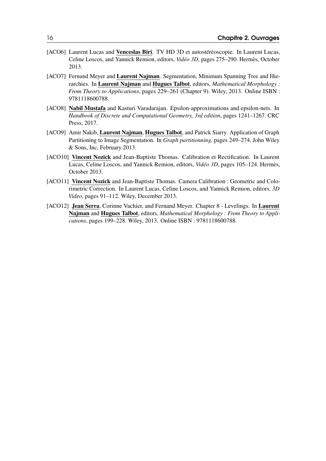- [ACO6] Laurent Lucas and Venceslas Biri. TV HD 3D et autostéréoscopie. In Laurent Lucas, Celine Loscos, and Yannick Remion, editors, *Vidéo 3D*, pages 275–290. Hermès, October 2013.
- [ACO7] Fernand Meyer and Laurent Najman. Segmentation, Minimum Spanning Tree and Hierarchies. In Laurent Najman and Hugues Talbot, editors, *Mathematical Morphology : From Theory to Applications*, pages 229–261 (Chapter 9). Wiley, 2013. Online ISBN : 9781118600788.
- [ACO8] Nabil Mustafa and Kasturi Varadarajan. Epsilon-approximations and epsilon-nets. In *Handbook of Discrete and Computational Geometry, 3rd edition*, pages 1241–1267. CRC Press, 2017.
- [ACO9] Amir Nakib, Laurent Najman, Hugues Talbot, and Patrick Siarry. Application of Graph Partitioning to Image Segmentation. In *Graph partitionning*, pages 249–274. John Wiley & Sons, Inc, February 2013.
- [ACO10] Vincent Nozick and Jean-Baptiste Thomas. Calibration et Rectification. In Laurent Lucas, Celine Loscos, and Yannick Remion, editors, *Vidéo 3D*, pages 105–124. Hermès, October 2013.
- [ACO11] Vincent Nozick and Jean-Baptiste Thomas. Camera Calibration : Geometric and Colorimetric Correction. In Laurent Lucas, Celine Loscos, and Yannick Remion, editors, *3D Video*, pages 91–112. Wiley, December 2013.
- [ACO12] Jean Serra, Corinne Vachier, and Fernand Meyer. Chapter 8 Levelings. In Laurent Najman and Hugues Talbot, editors, *Mathematical Morphology : From Theory to Applications*, pages 199–228. Wiley, 2013. Online ISBN : 9781118600788.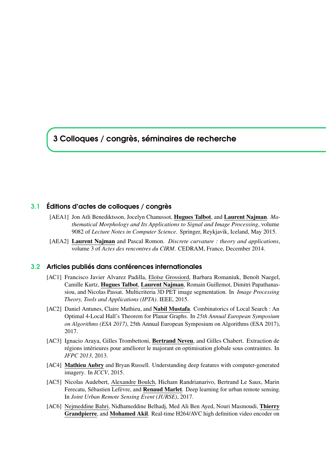## <span id="page-16-0"></span>3 Colloques / congrès, séminaires de recherche

#### 3.1 Éditions d'actes de colloques / congrès

- <span id="page-16-1"></span>[AEA1] Jon Atli Benediktsson, Jocelyn Chanussot, Hugues Talbot, and Laurent Najman. *Mathematical Morphology and Its Applications to Signal and Image Processing*, volume 9082 of *Lecture Notes in Computer Science*. Springer, Reykjavik, Iceland, May 2015.
- [AEA2] Laurent Najman and Pascal Romon. *Discrete curvature : theory and applications*, volume 3 of *Actes des rencontres du CIRM*. CEDRAM, France, December 2014.

#### 3.2 Articles publiés dans conférences internationales

- <span id="page-16-2"></span>[AC1] Francisco Javier Alvarez Padilla, Eloïse Grossiord, Barbara Romaniuk, Benoît Naegel, Camille Kurtz, Hugues Talbot, Laurent Najman, Romain Guillemot, Dimitri Papathanassiou, and Nicolas Passat. Multicriteria 3D PET image segmentation. In *Image Processing Theory, Tools and Applications (IPTA)*. IEEE, 2015.
- [AC2] Daniel Antunes, Claire Mathieu, and Nabil Mustafa. Combinatorics of Local Search : An Optimal 4-Local Hall's Theorem for Planar Graphs. In *25th Annual European Symposium on Algorithms (ESA 2017)*, 25th Annual European Symposium on Algorithms (ESA 2017), 2017.
- [AC3] Ignacio Araya, Gilles Trombettoni, Bertrand Neveu, and Gilles Chabert. Extraction de régions intérieures pour améliorer le majorant en optimisation globale sous contraintes. In *JFPC 2013*, 2013.
- [AC4] **Mathieu Aubry** and Bryan Russell. Understanding deep features with computer-generated imagery. In *ICCV*, 2015.
- [AC5] Nicolas Audebert, Alexandre Boulch, Hicham Randrianarivo, Bertrand Le Saux, Marin Ferecatu, Sébastien Lefèvre, and Renaud Marlet. Deep learning for urban remote sensing. In *Joint Urban Remote Sensing Event (JURSE)*, 2017.
- [AC6] Nejmeddine Bahri, Nidhameddine Belhadj, Med Ali Ben Ayed, Nouri Masmoudi, Thierry Grandpierre, and Mohamed Akil. Real-time H264/AVC high definition video encoder on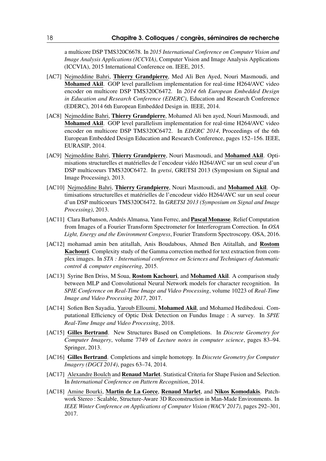a multicore DSP TMS320C6678. In *2015 International Conference on Computer Vision and Image Analysis Applications (ICCVIA)*, Computer Vision and Image Analysis Applications (ICCVIA), 2015 International Conference on. IEEE, 2015.

- [AC7] Neimeddine Bahri, Thierry Grandpierre, Med Ali Ben Ayed, Nouri Masmoudi, and Mohamed Akil. GOP level parallelism implementation for real-time H264/AVC video encoder on multicore DSP TMS320C6472. In *2014 6th European Embedded Design in Education and Research Conference (EDERC)*, Education and Research Conference (EDERC), 2014 6th European Embedded Design in. IEEE, 2014.
- [AC8] Nejmeddine Bahri, Thierry Grandpierre, Mohamed Ali ben ayed, Nouri Masmoudi, and Mohamed Akil. GOP level parallelism implementation for real-time H264/AVC video encoder on multicore DSP TMS320C6472. In *EDERC 2014*, Proceedings of the 6th European Embedded Design Education and Research Conference, pages 152–156. IEEE, EURASIP, 2014.
- [AC9] Nejmeddine Bahri, Thierry Grandpierre, Nouri Masmoudi, and Mohamed Akil. Optimisations structurelles et matérielles de l'encodeur vidéo H264/AVC sur un seul coeur d'un DSP multicoeurs TMS320C6472. In *gretsi*, GRETSI 2013 (Symposium on Signal and Image Processing), 2013.
- [AC10] Nejmeddine Bahri, Thierry Grandpierre, Nouri Masmoudi, and Mohamed Akil. Optimisations structurelles et matérielles de l'encodeur vidéo H264/AVC sur un seul coeur d'un DSP multicoeurs TMS320C6472. In *GRETSI 2013 (Symposium on Signal and Image Processing)*, 2013.
- [AC11] Clara Barbanson, Andrés Almansa, Yann Ferrec, and **Pascal Monasse**, Relief Computation from Images of a Fourier Transform Spectrometer for Interferogram Correction. In *OSA Light, Energy and the Environment Congress*, Fourier Transform Spectroscopy. OSA, 2016.
- [AC12] mohamad amin ben atitallah, Anis Boudabous, Ahmed Ben Atitallah, and Rostom Kachouri. Complexity study of the Gamma correction method for text extraction from complex images. In *STA : International conference on Sciences and Techniques of Automatic control & computer engineering*, 2015.
- [AC13] Syrine Ben Driss, M Soua, Rostom Kachouri, and Mohamed Akil. A comparison study between MLP and Convolutional Neural Network models for character recognition. In *SPIE Conference on Real-Time Image and Video Processing*, volume 10223 of *Real-Time Image and Video Processing 2017*, 2017.
- [AC14] Sofien Ben Sayadia, Yaroub Elloumi, Mohamed Akil, and Mohamed Hedibedoui. Computational Efficiency of Optic Disk Detection on Fundus Image : A survey. In *SPIE Real-Time Image and Video Processing*, 2018.
- [AC15] Gilles Bertrand. New Structures Based on Completions. In *Discrete Geometry for Computer Imagery*, volume 7749 of *Lecture notes in computer science*, pages 83–94. Springer, 2013.
- [AC16] Gilles Bertrand. Completions and simple homotopy. In *Discrete Geometry for Computer Imagery (DGCI 2014)*, pages 63–74, 2014.
- [AC17] Alexandre Boulch and **Renaud Marlet**. Statistical Criteria for Shape Fusion and Selection. In *International Conference on Pattern Recognition*, 2014.
- [AC18] Amine Bourki, Martin de La Gorce, Renaud Marlet, and Nikos Komodakis. Patchwork Stereo : Scalable, Structure-Aware 3D Reconstruction in Man-Made Environments. In *IEEE Winter Conference on Applications of Computer Vision (WACV 2017)*, pages 292–301, 2017.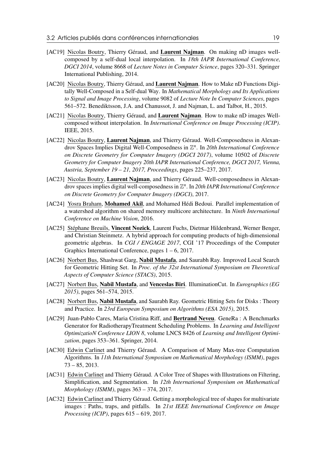- [AC19] Nicolas Boutry, Thierry Géraud, and Laurent Najman. On making nD images wellcomposed by a self-dual local interpolation. In *18th IAPR International Conference, DGCI 2014*, volume 8668 of *Lecture Notes in Computer Science*, pages 320–331. Springer International Publishing, 2014.
- [AC20] Nicolas Boutry, Thierry Géraud, and Laurent Najman. How to Make nD Functions Digitally Well-Composed in a Self-dual Way. In *Mathematical Morphology and Its Applications to Signal and Image Processing*, volume 9082 of *Lecture Note In Computer Sciences*, pages 561–572. Benediktsson, J.A. and Chanussot, J. and Najman, L. and Talbot, H., 2015.
- [AC21] Nicolas Boutry, Thierry Géraud, and Laurent Najman. How to make nD images Wellcomposed without interpolation. In *International Conference on Image Processing (ICIP)*. IEEE, 2015.
- [AC22] Nicolas Boutry, Laurent Najman, and Thierry Géraud. Well-Composedness in Alexandrov Spaces Implies Digital Well-Composedness in Z *n* . In *20th International Conference on Discrete Geometry for Computer Imagery (DGCI 2017)*, volume 10502 of *Discrete Geometry for Computer Imagery 20th IAPR International Conference, DGCI 2017, Vienna, Austria, September 19 – 21, 2017, Proceedings*, pages 225–237, 2017.
- [AC23] Nicolas Boutry, Laurent Najman, and Thierry Géraud. Well-composedness in Alexandrov spaces implies digital well-composedness in Z *n* . In *20th IAPR International Conference on Discrete Geometry for Computer Imagery (DGCI)*, 2017.
- [AC24] Yosra Braham, Mohamed Akil, and Mohamed Hédi Bedoui. Parallel implementation of a watershed algorithm on shared memory multicore architecture. In *Ninth International Conference on Machine Vision*, 2016.
- [AC25] Stéphane Breuils, Vincent Nozick, Laurent Fuchs, Dietmar Hildenbrand, Werner Benger, and Christian Steinmetz. A hybrid approach for computing products of high-dimensional geometric algebras. In *CGI / ENGAGE 2017*, CGI '17 Proceedings of the Computer Graphics International Conference, pages 1 – 6, 2017.
- [AC26] Norbert Bus, Shashwat Garg, Nabil Mustafa, and Saurabh Ray. Improved Local Search for Geometric Hitting Set. In *Proc. of the 32st International Symposium on Theoretical Aspects of Computer Science (STACS)*, 2015.
- [AC27] Norbert Bus, Nabil Mustafa, and Venceslas Biri. IlluminationCut. In *Eurographics (EG 2015)*, pages 561–574, 2015.
- [AC28] Norbert Bus, Nabil Mustafa, and Saurabh Ray. Geometric Hitting Sets for Disks : Theory and Practice. In *23rd European Symposium on Algorithms (ESA 2015)*, 2015.
- [AC29] Juan-Pablo Cares, Maria Cristina Riff, and Bertrand Neveu. GeneRa : A Benchmarks Generator for RadiotherapyTreatment Scheduling Problems. In *Learning and Intelligent OptimizatioN Conference LION 8*, volume LNCS 8426 of *Learning and Intelligent Optimization*, pages 353–361. Springer, 2014.
- [AC30] Edwin Carlinet and Thierry Géraud. A Comparison of Many Max-tree Computation Algorithms. In *11th International Symposium on Mathematical Morphology (ISMM)*, pages 73 – 85, 2013.
- [AC31] Edwin Carlinet and Thierry Géraud. A Color Tree of Shapes with Illustrations on Filtering, Simplification, and Segmentation. In *12th International Symposium on Mathematical Morphology (ISMM)*, pages 363 – 374, 2017.
- [AC32] Edwin Carlinet and Thierry Géraud. Getting a morphological tree of shapes for multivariate images : Paths, traps, and pitfalls. In *21st IEEE International Conference on Image Processing (ICIP)*, pages 615 – 619, 2017.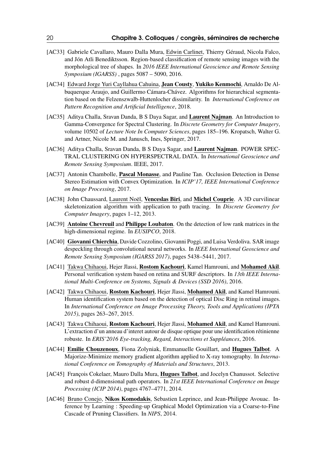- [AC33] Gabriele Cavallaro, Mauro Dalla Mura, Edwin Carlinet, Thierry Géraud, Nicola Falco, and Jón Atli Benediktsson. Region-based classification of remote sensing images with the morphological tree of shapes. In *2016 IEEE International Geoscience and Remote Sensing Symposium (IGARSS)* , pages 5087 – 5090, 2016.
- [AC34] Edward Jorge Yuri Cayllahua Cahuina, **Jean Cousty, Yukiko Kenmochi**, Arnaldo De Albuquerque Araujo, and Guillermo Cámara-Chávez. Algorithms for hierarchical segmentation based on the Felzenszwalb-Huttenlocher dissimilarity. In *International Conference on Pattern Recognition and Artificial Intelligence*, 2018.
- [AC35] Aditya Challa, Sravan Danda, B S Daya Sagar, and Laurent Najman. An Introduction to Gamma-Convergence for Spectral Clustering. In *Discrete Geometry for Computer Imagery*, volume 10502 of *Lecture Note In Computer Sciences*, pages 185–196. Kropatsch, Walter G. and Artner, Nicole M. and Janusch, Ines, Springer, 2017.
- [AC36] Aditya Challa, Sravan Danda, B S Daya Sagar, and Laurent Najman. POWER SPEC-TRAL CLUSTERING ON HYPERSPECTRAL DATA. In *International Geoscience and Remote Sensing Symposium*. IEEE, 2017.
- [AC37] Antonin Chambolle, **Pascal Monasse**, and Pauline Tan. Occlusion Detection in Dense Stereo Estimation with Convex Optimization. In *ICIP'17, IEEE International Conference on Image Processing*, 2017.
- [AC38] John Chaussard, Laurent Noël, Venceslas Biri, and Michel Couprie. A 3D curvilinear skeletonization algorithm with application to path tracing. In *Discrete Geometry for Computer Imagery*, pages 1–12, 2013.
- [AC39] Antoine Chevreuil and Philippe Loubaton. On the detection of low rank matrices in the high-dimensional regime. In *EUSIPCO*, 2018.
- [AC40] Giovanni Chierchia, Davide Cozzolino, Giovanni Poggi, and Luisa Verdoliva. SAR image despeckling through convolutional neural networks. In *IEEE International Geoscience and Remote Sensing Symposium (IGARSS 2017)*, pages 5438–5441, 2017.
- [AC41] Takwa Chihaoui, Hejer Jlassi, Rostom Kachouri, Kamel Hamrouni, and Mohamed Akil. Personal verification system based on retina and SURF descriptors. In *13th IEEE International Multi-Conference on Systems, Signals & Devices (SSD 2016)*, 2016.
- [AC42] Takwa Chihaoui, Rostom Kachouri, Hejer Jlassi, Mohamed Akil, and Kamel Hamrouni. Human identification system based on the detection of optical Disc Ring in retinal images. In *International Conference on Image Processing Theory, Tools and Applications (IPTA 2015)*, pages 263–267, 2015.
- [AC43] Takwa Chihaoui, Rostom Kachouri, Hejer Jlassi, Mohamed Akil, and Kamel Hamrouni. L'extraction d'un anneau d'interet autour de disque optique pour une identification rétinienne robuste. In *ERIS'2016 Eye-tracking, Regard, Interactions et Suppléances*, 2016.
- [AC44] Emilie Chouzenoux, Fiona Zolyniak, Emmanuelle Gouillart, and Hugues Talbot. A Majorize-Minimize memory gradient algorithm applied to X-ray tomography. In *International Conference on Tomography of Materials and Structures*, 2013.
- [AC45] François Cokelaer, Mauro Dalla Mura, Hugues Talbot, and Jocelyn Chanussot. Selective and robust d-dimensional path operators. In *21st IEEE International Conference on Image Processing (ICIP 2014)*, pages 4767–4771, 2014.
- [AC46] Bruno Conejo, **Nikos Komodakis**, Sebastien Leprince, and Jean-Philippe Avouac. Inference by Learning : Speeding-up Graphical Model Optimization via a Coarse-to-Fine Cascade of Pruning Classifiers. In *NIPS*, 2014.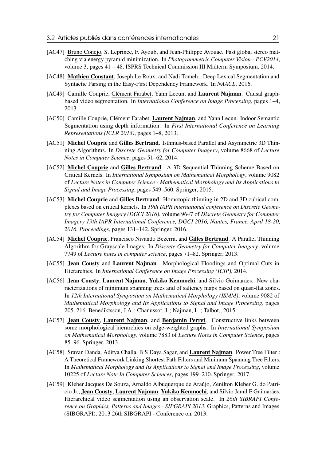- [AC47] Bruno Conejo, S. Leprince, F. Ayoub, and Jean-Philippe Ayouac. Fast global stereo matching via energy pyramid minimization. In *Photogrammetric Computer Vision - PCV2014*, volume 3, pages 41 – 48. ISPRS Technical Commission III Midterm Symposium, 2014.
- [AC48] Mathieu Constant, Joseph Le Roux, and Nadi Tomeh. Deep Lexical Segmentation and Syntactic Parsing in the Easy-First Dependency Framework. In *NAACL*, 2016.
- [AC49] Camille Couprie, Clément Farabet, Yann Lecun, and Laurent Najman. Causal graphbased video segmentation. In *International Conference on Image Processing*, pages 1–4, 2013.
- [AC50] Camille Couprie, Clément Farabet, Laurent Najman, and Yann Lecun. Indoor Semantic Segmentation using depth information. In *First International Conference on Learning Representations (ICLR 2013)*, pages 1–8, 2013.
- [AC51] Michel Couprie and Gilles Bertrand. Isthmus-based Parallel and Asymmetric 3D Thinning Algorithms. In *Discrete Geometry for Computer Imagery*, volume 8668 of *Lecture Notes in Computer Science*, pages 51–62, 2014.
- [AC52] Michel Couprie and Gilles Bertrand. A 3D Sequential Thinning Scheme Based on Critical Kernels. In *International Symposium on Mathematical Morphology*, volume 9082 of *Lecture Notes in Computer Science - Mathematical Morphology and Its Applications to Signal and Image Processing*, pages 549–560. Springer, 2015.
- [AC53] **Michel Couprie** and Gilles Bertrand. Homotopic thinning in 2D and 3D cubical complexes based on critical kernels. In *19th IAPR international conference on Discrete Geometry for Computer Imagery (DGCI 2016)*, volume 9647 of *Discrete Geometry for Computer Imagery 19th IAPR International Conference, DGCI 2016, Nantes, France, April 18-20, 2016. Proceedings*, pages 131–142. Springer, 2016.
- [AC54] Michel Couprie, Francisco Nivando Bezerra, and Gilles Bertrand. A Parallel Thinning Algorithm for Grayscale Images. In *Discrete Geometry for Computer Imagery*, volume 7749 of *Lecture notes in computer science*, pages 71–82. Springer, 2013.
- [AC55] Jean Cousty and Laurent Najman. Morphological Floodings and Optimal Cuts in Hierarchies. In *International Conference on Image Processing (ICIP)*, 2014.
- [AC56] Jean Cousty, Laurent Najman, Yukiko Kenmochi, and Silvio Guimarães. New characterizations of minimum spanning trees and of saliency maps based on quasi-flat zones. In *12th International Symposium on Mathematical Morphology (ISMM)*, volume 9082 of *Mathematical Morphology and Its Applications to Signal and Image Processing*, pages 205–216. Benediktsson, J.A.; Chanussot, J.; Najman, L.; Talbot,, 2015.
- [AC57] Jean Cousty, Laurent Najman, and Benjamin Perret. Constructive links between some morphological hierarchies on edge-weighted graphs. In *International Symposium on Mathematical Morphology*, volume 7883 of *Lecture Notes in Computer Science*, pages 85–96. Springer, 2013.
- [AC58] Sravan Danda, Aditya Challa, B S Daya Sagar, and Laurent Najman. Power Tree Filter : A Theoretical Framework Linking Shortest Path Filters and Minimum Spanning Tree Filters. In *Mathematical Morphology and Its Applications to Signal and Image Processing*, volume 10225 of *Lecture Note In Computer Sciences*, pages 199–210. Springer, 2017.
- [AC59] Kleber Jacques De Souza, Arnaldo Albuquerque de Araújo, Zenilton Kleber G. do Patricio Jr., Jean Cousty, Laurent Najman, Yukiko Kenmochi, and Silvio Jamil F Guimarães. Hierarchical video segmentation using an observation scale. In *26th SIBRAPI Conference on Graphics, Patterns and Images - SIPGRAPI 2013*, Graphics, Patterns and Images (SIBGRAPI), 2013 26th SIBGRAPI - Conference on, 2013.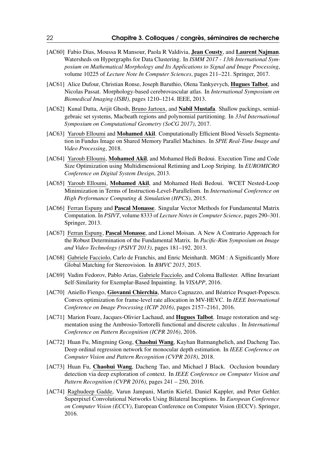- [AC60] Fabio Dias, Moussa R Mansour, Paola R Valdivia, Jean Cousty, and Laurent Najman. Watersheds on Hypergraphs for Data Clustering. In *ISMM 2017 - 13th International Symposium on Mathematical Morphology and Its Applications to Signal and Image Processing*, volume 10225 of *Lecture Note In Computer Sciences*, pages 211–221. Springer, 2017.
- [AC61] Alice Dufour, Christian Ronse, Joseph Baruthio, Olena Tankyevych, **Hugues Talbot**, and Nicolas Passat. Morphology-based cerebrovascular atlas. In *International Symposium on Biomedical Imaging (ISBI)*, pages 1210–1214. IEEE, 2013.
- [AC62] Kunal Dutta, Arijit Ghosh, Bruno Jartoux, and **Nabil Mustafa**. Shallow packings, semialgebraic set systems, Macbeath regions and polynomial partitioning. In *33rd International Symposium on Computational Geometry (SoCG 2017)*, 2017.
- [AC63] Yaroub Elloumi and Mohamed Akil. Computationally Efficient Blood Vessels Segmentation in Fundus Image on Shared Memory Parallel Machines. In *SPIE Real-Time Image and Video Processing*, 2018.
- [AC64] Yaroub Elloumi, Mohamed Akil, and Mohamed Hedi Bedoui. Execution Time and Code Size Optimization using Multidimensional Retiming and Loop Striping. In *EUROMICRO Conference on Digital System Design*, 2013.
- [AC65] Yaroub Elloumi, Mohamed Akil, and Mohamed Hedi Bedoui. WCET Nested-Loop Minimization in Terms of Instruction-Level-Parallelism. In *International Conference on High Performance Computing & Simulation (HPCS)*, 2015.
- [AC66] Ferran Espuny and Pascal Monasse. Singular Vector Methods for Fundamental Matrix Computation. In *PSIVT*, volume 8333 of *Lecture Notes in Computer Science*, pages 290–301. Springer, 2013.
- [AC67] Ferran Espuny, Pascal Monasse, and Lionel Moisan. A New A Contrario Approach for the Robust Determination of the Fundamental Matrix. In *Pacific-Rim Symposium on Image and Video Technology (PSIVT 2013)*, pages 181–192, 2013.
- [AC68] Gabriele Facciolo, Carlo de Franchis, and Enric Meinhardt. MGM : A Significantly More Global Matching for Stereovision. In *BMVC 2015*, 2015.
- [AC69] Vadim Fedorov, Pablo Arias, Gabriele Facciolo, and Coloma Ballester. Affine Invariant Self-Similarity for Exemplar-Based Inpainting. In *VISAPP*, 2016.
- [AC70] Aniello Fiengo, Giovanni Chierchia, Marco Cagnazzo, and Béatrice Pesquet-Popescu. Convex optimization for frame-level rate allocation in MV-HEVC. In *IEEE International Conference on Image Processing (ICIP 2016)*, pages 2157–2161, 2016.
- [AC71] Marion Foare, Jacques-Olivier Lachaud, and Hugues Talbot. Image restoration and segmentation using the Ambrosio-Tortorelli functional and discrete calculus . In *International Conference on Pattern Recognition (ICPR 2016)*, 2016.
- [AC72] Huan Fu, Mingming Gong, Chaohui Wang, Kayhan Batmanghelich, and Dacheng Tao. Deep ordinal regression network for monocular depth estimation. In *IEEE Conference on Computer Vision and Pattern Recognition (CVPR 2018)*, 2018.
- [AC73] Huan Fu, Chaohui Wang, Dacheng Tao, and Michael J Black. Occlusion boundary detection via deep exploration of context. In *IEEE Conference on Computer Vision and Pattern Recognition (CVPR 2016)*, pages 241 – 250, 2016.
- [AC74] Raghudeep Gadde, Varun Jampani, Martin Kiefel, Daniel Kappler, and Peter Gehler. Superpixel Convolutional Networks Using Bilateral Inceptions. In *European Conference on Computer Vision (ECCV)*, European Conference on Computer Vision (ECCV). Springer, 2016.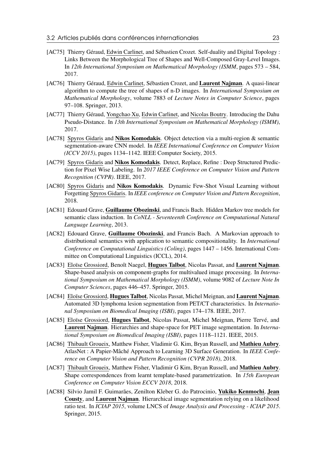- [AC75] Thierry Géraud, Edwin Carlinet, and Sébastien Crozet. Self-duality and Digital Topology: Links Between the Morphological Tree of Shapes and Well-Composed Gray-Level Images. In *12th International Symposium on Mathematical Morphology (ISMM*, pages 573 – 584, 2017.
- [AC76] Thierry Géraud, Edwin Carlinet, Sébastien Crozet, and Laurent Najman. A quasi-linear algorithm to compute the tree of shapes of n-D images. In *International Symposium on Mathematical Morphology*, volume 7883 of *Lecture Notes in Computer Science*, pages 97–108. Springer, 2013.
- [AC77] Thierry Géraud, Yongchao Xu, Edwin Carlinet, and Nicolas Boutry. Introducing the Dahu Pseudo-Distance. In *13th International Symposium on Mathematical Morphology (ISMM)*, 2017.
- [AC78] Spyros Gidaris and Nikos Komodakis. Object detection via a multi-region & semantic segmentation-aware CNN model. In *IEEE International Conference on Computer Vision (ICCV 2015)*, pages 1134–1142. IEEE Computer Society, 2015.
- [AC79] Spyros Gidaris and **Nikos Komodakis**. Detect, Replace, Refine : Deep Structured Prediction for Pixel Wise Labeling. In *2017 IEEE Conference on Computer Vision and Pattern Recognition (CVPR)*. IEEE, 2017.
- [AC80] Spyros Gidaris and Nikos Komodakis. Dynamic Few-Shot Visual Learning without Forgetting Spyros Gidaris. In *IEEE conference on Computer Vision and Pattern Recognition*, 2018.
- [AC81] Edouard Grave, Guillaume Obozinski, and Francis Bach. Hidden Markov tree models for semantic class induction. In *CoNLL - Seventeenth Conference on Computational Natural Language Learning*, 2013.
- [AC82] Edouard Grave, Guillaume Obozinski, and Francis Bach. A Markovian approach to distributional semantics with application to semantic compositionality. In *International Conference on Computational Linguistics (Coling)*, pages 1447 – 1456. International Committee on Computational Linguistics (ICCL), 2014.
- [AC83] Eloïse Grossiord, Benoît Naegel, **Hugues Talbot**, Nicolas Passat, and Laurent Najman. Shape-based analysis on component-graphs for multivalued image processing. In *International Symposium on Mathematical Morphology (ISMM)*, volume 9082 of *Lecture Note In Computer Sciences*, pages 446–457. Springer, 2015.
- [AC84] Eloïse Grossiord, Hugues Talbot, Nicolas Passat, Michel Meignan, and Laurent Najman. Automated 3D lymphoma lesion segmentation from PET/CT characteristics. In *International Symposium on Biomedical Imaging (ISBI)*, pages 174–178. IEEE, 2017.
- [AC85] Eloïse Grossiord, Hugues Talbot, Nicolas Passat, Michel Meignan, Pierre Tervé, and Laurent Najman. Hierarchies and shape-space for PET image segmentation. In *International Symposium on Biomedical Imaging (ISBI)*, pages 1118–1121. IEEE, 2015.
- [AC86] Thibault Groueix, Matthew Fisher, Vladimir G. Kim, Bryan Russell, and Mathieu Aubry. AtlasNet : A Papier-Mâché Approach to Learning 3D Surface Generation. In *IEEE Conference on Computer Vision and Pattern Recognition (CVPR 2018)*, 2018.
- [AC87] Thibault Groueix, Matthew Fisher, Vladimir G Kim, Bryan Russell, and Mathieu Aubry. Shape correspondences from learnt template-based parametrization. In *15th European Conference on Computer Vision ECCV 2018*, 2018.
- [AC88] Silvio Jamil F. Guimarães, Zenilton Kleber G. do Patrocinio, Yukiko Kenmochi, Jean Cousty, and Laurent Najman. Hierarchical image segmentation relying on a likelihood ratio test. In *ICIAP 2015*, volume LNCS of *Image Analysis and Processing - ICIAP 2015*. Springer, 2015.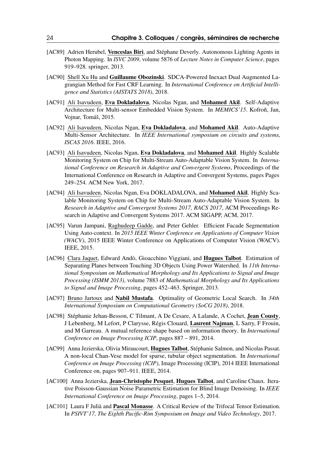- [AC89] Adrien Herubel, Venceslas Biri, and Stéphane Deverly. Autonomous Lighting Agents in Photon Mapping. In *ISVC 2009*, volume 5876 of *Lecture Notes in Computer Science*, pages 919–928. springer, 2013.
- [AC90] Shell Xu Hu and Guillaume Obozinski. SDCA-Powered Inexact Dual Augmented Lagrangian Method for Fast CRF Learning. In *International Conference on Artificial Intelligence and Statistics (AISTATS 2018)*, 2018.
- [AC91] Ali Isavudeen, Eva Dokladalova, Nicolas Ngan, and Mohamed Akil. Self-Adaptive Architecture for Multi-sensor Embedded Vision System. In *MEMICS'15*. Kofron, Jan, Vojnar, Tomáš, 2015.
- [AC92] Ali Isavudeen, Nicolas Ngan, Eva Dokladalova, and Mohamed Akil. Auto-Adaptive Multi-Sensor Architecture. In *IEEE International symposium on circuits and systems, ISCAS 2016*. IEEE, 2016.
- [AC93] Ali Isavudeen, Nicolas Ngan, Eva Dokladalova, and Mohamed Akil. Highly Scalable Monitoring System on Chip for Multi-Stream Auto-Adaptable Vision System. In *International Conference on Research in Adaptive and Convergent Systems*, Proceedings of the International Conference on Research in Adaptive and Convergent Systems, pages Pages 249–254. ACM New York, 2017.
- [AC94] Ali Isavudeen, Nicolas Ngan, Eva DOKLADALOVA, and Mohamed Akil. Highly Scalable Monitoring System on Chip for Multi-Stream Auto-Adaptable Vision System. In *Research in Adaptive and Convergent Systems 2017, RACS 2017*, ACM Proceedings Research in Adaptive and Convergent Systems 2017. ACM SIGAPP, ACM, 2017.
- [AC95] Varun Jampani, Raghudeep Gadde, and Peter Gehler. Efficient Facade Segmentation Using Auto-context. In *2015 IEEE Winter Conference on Applications of Computer Vision (WACV)*, 2015 IEEE Winter Conference on Applications of Computer Vision (WACV). IEEE, 2015.
- [AC96] Clara Jaquet, Edward Andò, Gioacchino Viggiani, and Hugues Talbot. Estimation of Separating Planes between Touching 3D Objects Using Power Watershed. In *11th International Symposium on Mathematical Morphology and Its Applications to Signal and Image Processing (ISMM 2013)*, volume 7883 of *Mathematical Morphology and Its Applications to Signal and Image Processing*, pages 452–463. Springer, 2013.
- [AC97] Bruno Jartoux and Nabil Mustafa. Optimality of Geometric Local Search. In *34th International Symposium on Computational Geometry (SoCG 2018)*, 2018.
- [AC98] Stéphanie Jehan-Besson, C Tilmant, A De Cesare, A Lalande, A Cochet, Jean Cousty, J Lebenberg, M Lefort, P Clarysse, Régis Clouard, Laurent Najman, L Sarry, F Frouin, and M Garreau. A mutual reference shape based on information theory. In *International Conference on Image Processing ICIP*, pages 887 – 891, 2014.
- [AC99] Anna Jezierska, Olivia Miraucourt, Hugues Talbot, Stéphanie Salmon, and Nicolas Passat. A non-local Chan-Vese model for sparse, tubular object segmentation. In *International Conference on Image Processing (ICIP)*, Image Processing (ICIP), 2014 IEEE International Conference on, pages 907–911. IEEE, 2014.
- [AC100] Anna Jezierska, **Jean-Christophe Pesquet, Hugues Talbot**, and Caroline Chaux. Iterative Poisson-Gaussian Noise Parametric Estimation for Blind Image Denoising. In *IEEE International Conference on Image Processing*, pages 1–5, 2014.
- [AC101] Laura F Julià and **Pascal Monasse**. A Critical Review of the Trifocal Tensor Estimation. In *PSIVT'17, The Eighth Pacific-Rim Symposium on Image and Video Technology*, 2017.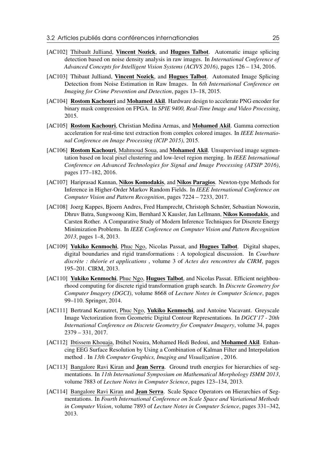- [AC102] Thibault Julliand, Vincent Nozick, and Hugues Talbot. Automatic image splicing detection based on noise density analysis in raw images. In *International Conference of Advanced Concepts for Intelligent Vision Systems (ACIVS 2016)*, pages 126 – 134, 2016.
- [AC103] Thibaut Julliand, Vincent Nozick, and Hugues Talbot. Automated Image Splicing Detection from Noise Estimation in Raw Images. In *6th International Conference on Imaging for Crime Prevention and Detection*, pages 13–18, 2015.
- [AC104] Rostom Kachouri and Mohamed Akil. Hardware design to accelerate PNG encoder for binary mask compression on FPGA. In *SPIE 9400, Real-Time Image and Video Processing*, 2015.
- [AC105] Rostom Kachouri, Christian Medina Armas, and Mohamed Akil. Gamma correction acceleration for real-time text extraction from complex colored images. In *IEEE International Conference on Image Processing (ICIP 2015)*, 2015.
- [AC106] Rostom Kachouri, Mahmoud Soua, and Mohamed Akil. Unsupervised image segmentation based on local pixel clustering and low-level region merging. In *IEEE International Conference on Advanced Technologies for Signal and Image Processing (ATSIP 2016)*, pages 177–182, 2016.
- [AC107] Hariprasad Kannan, Nikos Komodakis, and Nikos Paragios. Newton-type Methods for Inference in Higher-Order Markov Random Fields. In *IEEE International Conference on Computer Vision and Pattern Recognition*, pages 7224 – 7233, 2017.
- [AC108] Joerg Kappes, Bjoern Andres, Fred Hamprecht, Christoph Schnörr, Sebastian Nowozin, Dhruv Batra, Sungwoong Kim, Bernhard X Kausler, Jan Lellmann, Nikos Komodakis, and Carsten Rother. A Comparative Study of Modern Inference Techniques for Discrete Energy Minimization Problems. In *IEEE Conference on Computer Vision and Pattern Recognition 2013*, pages 1–8, 2013.
- [AC109] Yukiko Kenmochi, Phuc Ngo, Nicolas Passat, and Hugues Talbot. Digital shapes, digital boundaries and rigid transformations : A topological discussion. In *Courbure discrète : théorie et applications* , volume 3 of *Actes des rencontres du CIRM*, pages 195–201. CIRM, 2013.
- [AC110] Yukiko Kenmochi, Phuc Ngo, Hugues Talbot, and Nicolas Passat. Efficient neighbourhood computing for discrete rigid transformation graph search. In *Discrete Geometry for Computer Imagery (DGCI)*, volume 8668 of *Lecture Notes in Computer Science*, pages 99–110. Springer, 2014.
- [AC111] Bertrand Kerautret, Phuc Ngo, Yukiko Kenmochi, and Antoine Vacavant. Greyscale Image Vectorization from Geometric Digital Contour Representations. In *DGCI'17 - 20th International Conference on Discrete Geometry for Computer Imagery*, volume 34, pages 2379 – 331, 2017.
- [AC112] Ibtissem Khouaja, Ibtihel Nouira, Mohamed Hedi Bedoui, and Mohamed Akil. Enhancing EEG Surface Resolution by Using a Combination of Kalman Filter and Interpolation method . In *13th Computer Graphics, Imaging and Visualization* , 2016.
- [AC113] Bangalore Ravi Kiran and Jean Serra. Ground truth energies for hierarchies of segmentations. In *11th International Symposium on Mathematical Morphology ISMM 2013*, volume 7883 of *Lecture Notes in Computer Science*, pages 123–134, 2013.
- [AC114] Bangalore Ravi Kiran and **Jean Serra**. Scale Space Operators on Hierarchies of Segmentations. In *Fourth International Conference on Scale Space and Variational Methods in Computer Vision*, volume 7893 of *Lecture Notes in Computer Science*, pages 331–342, 2013.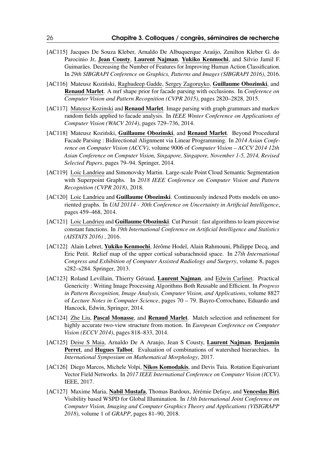- [AC115] Jacques De Souza Kleber, Arnaldo De Albuquerque Araújo, Zenilton Kleber G. do Parocinio Jr, Jean Cousty, Laurent Najman, Yukiko Kenmochi, and Silvio Jamil F. Guimarães. Decreasing the Number of Features for Improving Human Action Classification. In *29th SIBGRAPI Conference on Graphics, Patterns and Images (SIBGRAPI 2016)*, 2016.
- [AC116] Mateusz Koziński, Raghudeep Gadde, Sergey Zagoruyko, Guillaume Obozinski, and Renaud Marlet. A mrf shape prior for facade parsing with occlusions. In *Conference on Computer Vision and Pattern Recognition (CVPR 2015)*, pages 2820–2828, 2015.
- [AC117] Mateusz Kozinski and **Renaud Marlet**. Image parsing with graph grammars and markov random fields applied to facade analysis. In *IEEE Winter Conference on Applications of Computer Vision (WACV 2014)*, pages 729–736, 2014.
- [AC118] Mateusz Koziński, Guillaume Obozinski, and Renaud Marlet. Beyond Procedural Facade Parsing : Bidirectional Alignment via Linear Programming. In *2014 Asian Conference on Computer Vision (ACCV)*, volume 9006 of *Computer Vision – ACCV 2014 12th Asian Conference on Computer Vision, Singapore, Singapore, November 1-5, 2014, Revised Selected Papers*, pages 79–94. Springer, 2014.
- [AC119] Loic Landrieu and Simonovsky Martin. Large-scale Point Cloud Semantic Segmentation with Superpoint Graphs. In *2018 IEEE Conference on Computer Vision and Pattern Recognition (CVPR 2018)*, 2018.
- [AC120] Loic Landrieu and Guillaume Obozinski. Continuously indexed Potts models on unoriented graphs. In *UAI 20114 - 30th Conference on Uncertainty in Artificial Intelligence*, pages 459–468, 2014.
- [AC121] Loic Landrieu and Guillaume Obozinski. Cut Pursuit : fast algorithms to learn piecewise constant functions. In *19th International Conference on Artificial Intelligence and Statistics (AISTATS 2016)* , 2016.
- [AC122] Alain Lebret, Yukiko Kenmochi, Jérôme Hodel, Alain Rahmouni, Philippe Decq, and Eric Petit. Relief map of the upper cortical subarachnoid space. In *27th International Congress and Exhibition of Computer Assisted Radiology and Surgery*, volume 8, pages s282–s284. Springer, 2013.
- [AC123] Roland Levillain, Thierry Géraud, Laurent Najman, and Edwin Carlinet. Practical Genericity : Writing Image Processing Algorithms Both Reusable and Efficient. In *Progress in Pattern Recognition, Image Analysis, Computer Vision, and Applications*, volume 8827 of *Lecture Notes in Computer Science*, pages 70 – 79. Bayro-Corrochano, Eduardo and Hancock, Edwin, Springer, 2014.
- [AC124] Zhe Liu, Pascal Monasse, and Renaud Marlet. Match selection and refinement for highly accurate two-view structure from motion. In *European Conference on Computer Vision (ECCV 2014)*, pages 818–833, 2014.
- [AC125] Deise S Maia, Arnaldo De A Araujo, Jean S Cousty, Laurent Najman, Benjamin Perret, and Hugues Talbot. Evaluation of combinations of watershed hierarchies. In *International Symposium on Mathematical Morphology*, 2017.
- [AC126] Diego Marcos, Michele Volpi, Nikos Komodakis, and Devis Tuia. Rotation Equivariant Vector Field Networks. In *2017 IEEE International Conference on Computer Vision (ICCV)*. IEEE, 2017.
- [AC127] Maxime Maria, Nabil Mustafa, Thomas Bardoux, Jérémie Defaye, and Venceslas Biri. Visibility based WSPD for Global Illumination. In *13th International Joint Conference on Computer Vision, Imaging and Computer Graphics Theory and Applications (VISIGRAPP 2018)*, volume 1 of *GRAPP*, pages 81–90, 2018.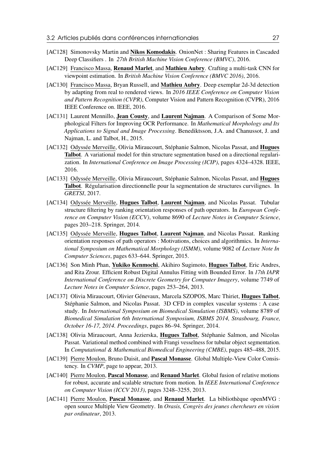- [AC128] Simonovsky Martin and Nikos Komodakis. OnionNet : Sharing Features in Cascaded Deep Classifiers . In *27th British Machine Vision Conference (BMVC)*, 2016.
- [AC129] Francisco Massa, Renaud Marlet, and Mathieu Aubry. Crafting a multi-task CNN for viewpoint estimation. In *British Machine Vision Conference (BMVC 2016)*, 2016.
- [AC130] Francisco Massa, Bryan Russell, and Mathieu Aubry. Deep exemplar 2d-3d detection by adapting from real to rendered views. In *2016 IEEE Conference on Computer Vision and Pattern Recognition (CVPR)*, Computer Vision and Pattern Recognition (CVPR), 2016 IEEE Conference on. IEEE, 2016.
- [AC131] Laurent Mennillo, Jean Cousty, and Laurent Najman. A Comparison of Some Morphological Filters for Improving OCR Performance. In *Mathematical Morphology and Its Applications to Signal and Image Processing*. Benediktsson, J.A. and Chanussot, J. and Najman, L. and Talbot, H., 2015.
- [AC132] Odyssée Merveille, Olivia Miraucourt, Stéphanie Salmon, Nicolas Passat, and **Hugues** Talbot. A variational model for thin structure segmentation based on a directional regularization. In *International Conference on Image Processing (ICIP)*, pages 4324–4328. IEEE, 2016.
- [AC133] Odyssée Merveille, Olivia Miraucourt, Stéphanie Salmon, Nicolas Passat, and Hugues Talbot. Régularisation directionnelle pour la segmentation de structures curvilignes. In *GRETSI*, 2017.
- [AC134] Odyssée Merveille, **Hugues Talbot, Laurent Najman**, and Nicolas Passat. Tubular structure filtering by ranking orientation responses of path operators. In *European Conference on Computer Vision (ECCV)*, volume 8690 of *Lecture Notes in Computer Science*, pages 203–218. Springer, 2014.
- [AC135] Odyssée Merveille, Hugues Talbot, Laurent Najman, and Nicolas Passat. Ranking orientation responses of path operators : Motivations, choices and algorithmics. In *International Symposium on Mathematical Morphology (ISMM)*, volume 9082 of *Lecture Note In Computer Sciences*, pages 633–644. Springer, 2015.
- [AC136] Son Minh Phan, Yukiko Kenmochi, Akihiro Sugimoto, Hugues Talbot, Eric Andres, and Rita Zrour. Efficient Robust Digital Annulus Fitting with Bounded Error. In *17th IAPR International Conference on Discrete Geometry for Computer Imagery*, volume 7749 of *Lecture Notes in Computer Science*, pages 253–264, 2013.
- [AC137] Olivia Miraucourt, Olivier Génevaux, Marcela SZOPOS, Marc Thiriet, Hugues Talbot, Stéphanie Salmon, and Nicolas Passat. 3D CFD in complex vascular systems : A case study. In *International Symposium on Biomedical Simulation (ISBMS)*, volume 8789 of *Biomedical Simulation 6th International Symposium, ISBMS 2014, Strasbourg, France, October 16-17, 2014. Proceedings*, pages 86–94. Springer, 2014.
- [AC138] Olivia Miraucourt, Anna Jezierska, Hugues Talbot, Stéphanie Salmon, and Nicolas Passat. Variational method combined with Frangi vesselness for tubular object segmentation. In *Computational & Mathematical Biomedical Engineering (CMBE)*, pages 485–488, 2015.
- [AC139] Pierre Moulon, Bruno Duisit, and Pascal Monasse. Global Multiple-View Color Consistency. In *CVMP*, page to appear, 2013.
- [AC140] Pierre Moulon, Pascal Monasse, and Renaud Marlet. Global fusion of relative motions for robust, accurate and scalable structure from motion. In *IEEE International Conference on Computer Vision (ICCV 2013)*, pages 3248–3255, 2013.
- [AC141] Pierre Moulon, Pascal Monasse, and Renaud Marlet. La bibliothèque openMVG : open source Multiple View Geometry. In *Orasis, Congrès des jeunes chercheurs en vision par ordinateur*, 2013.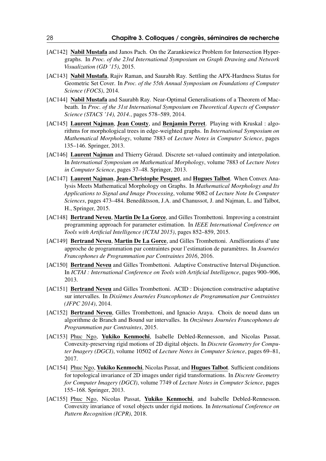- [AC142] Nabil Mustafa and Janos Pach. On the Zarankiewicz Problem for Intersection Hypergraphs. In *Proc. of the 23rd International Symposium on Graph Drawing and Network Visualization (GD '15)*, 2015.
- [AC143] Nabil Mustafa, Rajiv Raman, and Saurabh Ray. Settling the APX-Hardness Status for Geometric Set Cover. In *Proc. of the 55th Annual Symposium on Foundations of Computer Science (FOCS)*, 2014.
- [AC144] Nabil Mustafa and Saurabh Ray. Near-Optimal Generalisations of a Theorem of Macbeath. In *Proc. of the 31st International Symposium on Theoretical Aspects of Computer Science (STACS '14), 2014.*, pages 578–589, 2014.
- [AC145] Laurent Najman, Jean Cousty, and Benjamin Perret. Playing with Kruskal : algorithms for morphological trees in edge-weighted graphs. In *International Symposium on Mathematical Morphology*, volume 7883 of *Lecture Notes in Computer Science*, pages 135–146. Springer, 2013.
- [AC146] **Laurent Najman** and Thierry Géraud. Discrete set-valued continuity and interpolation. In *International Symposium on Mathematical Morphology*, volume 7883 of *Lecture Notes in Computer Science*, pages 37–48. Springer, 2013.
- [AC147] Laurent Najman, Jean-Christophe Pesquet, and Hugues Talbot. When Convex Analysis Meets Mathematical Morphology on Graphs. In *Mathematical Morphology and Its Applications to Signal and Image Processing*, volume 9082 of *Lecture Note In Computer Sciences*, pages 473–484. Benediktsson, J.A. and Chanussot, J. and Najman, L. and Talbot, H., Springer, 2015.
- [AC148] **Bertrand Neveu, Martin De La Gorce**, and Gilles Trombettoni. Improving a constraint programming approach for parameter estimation. In *IEEE International Conference on Tools with Artificial Intelligence (ICTAI 2015)*, pages 852–859, 2015.
- [AC149] Bertrand Neveu, Martin De La Gorce, and Gilles Trombettoni. Améliorations d'une approche de programmation par contraintes pour l'estimation de paramètres. In *Journées Francophones de Programmation par Contraintes 2016*, 2016.
- [AC150] Bertrand Neveu and Gilles Trombettoni. Adaptive Constructive Interval Disjunction. In *ICTAI : International Conference on Tools with Artificial Intelligence*, pages 900–906, 2013.
- [AC151] Bertrand Neveu and Gilles Trombettoni. ACID : Disjonction constructive adaptative sur intervalles. In *Dixièmes Journées Francophones de Programmation par Contraintes (JFPC 2014)*, 2014.
- [AC152] Bertrand Neveu, Gilles Trombettoni, and Ignacio Araya. Choix de noeud dans un algorithme de Branch and Bound sur intervalles. In *Onzièmes Journées Francophones de Programmation par Contraintes*, 2015.
- [AC153] Phuc Ngo, Yukiko Kenmochi, Isabelle Debled-Rennesson, and Nicolas Passat. Convexity-preserving rigid motions of 2D digital objects. In *Discrete Geometry for Computer Imagery (DGCI)*, volume 10502 of *Lecture Notes in Computer Science*, pages 69–81, 2017.
- [AC154] Phuc Ngo, Yukiko Kenmochi, Nicolas Passat, and Hugues Talbot. Sufficient conditions for topological invariance of 2D images under rigid transformations. In *Discrete Geometry for Computer Imagery (DGCI)*, volume 7749 of *Lecture Notes in Computer Science*, pages 155–168. Springer, 2013.
- [AC155] Phuc Ngo, Nicolas Passat, Yukiko Kenmochi, and Isabelle Debled-Rennesson. Convexity invariance of voxel objects under rigid motions. In *International Conference on Pattern Recognition (ICPR)*, 2018.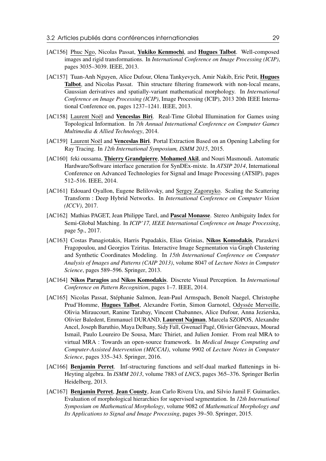- [AC156] Phuc Ngo, Nicolas Passat, Yukiko Kenmochi, and Hugues Talbot. Well-composed images and rigid transformations. In *International Conference on Image Processing (ICIP)*, pages 3035–3039. IEEE, 2013.
- [AC157] Tuan-Anh Nguyen, Alice Dufour, Olena Tankyevych, Amir Nakib, Eric Petit, Hugues Talbot, and Nicolas Passat. Thin structure filtering framework with non-local means, Gaussian derivatives and spatially-variant mathematical morphology. In *International Conference on Image Processing (ICIP)*, Image Processing (ICIP), 2013 20th IEEE International Conference on, pages 1237–1241. IEEE, 2013.
- [AC158] Laurent Noël and Venceslas Biri. Real-Time Global Illumination for Games using Topological Information. In *7th Annual International Conference on Computer Games Multimedia & Allied Technology*, 2014.
- [AC159] Laurent Noël and **Venceslas Biri**. Portal Extraction Based on an Opening Labeling for Ray Tracing. In *12th International Symposium, ISMM 2015*, 2015.
- [AC160] feki oussama, Thierry Grandpierre, Mohamed Akil, and Nouri Masmoudi. Automatic Hardware/Software interface generation for SynDEx-mixte. In *ATSIP 2014*, International Conference on Advanced Technologies for Signal and Image Processing (ATSIP), pages 512–516. IEEE, 2014.
- [AC161] Edouard Oyallon, Eugene Belilovsky, and Sergey Zagoruyko. Scaling the Scattering Transform : Deep Hybrid Networks. In *International Conference on Computer Vision (ICCV)*, 2017.
- [AC162] Mathias PAGET, Jean Philippe Tarel, and Pascal Monasse. Stereo Ambiguity Index for Semi-Global Matching. In *ICIP'17, IEEE International Conference on Image Processing*, page 5p., 2017.
- [AC163] Costas Panagiotakis, Harris Papadakis, Elias Grinias, Nikos Komodakis, Paraskevi Fragopoulou, and Georgios Tziritas. Interactive Image Segmentation via Graph Clustering and Synthetic Coordinates Modeling. In *15th International Conference on Computer Analysis of Images and Patterns (CAIP 2013)*, volume 8047 of *Lecture Notes in Computer Science*, pages 589–596. Springer, 2013.
- [AC164] Nikos Paragios and Nikos Komodakis. Discrete Visual Perception. In *International Conference on Pattern Recognition*, pages 1–7. IEEE, 2014.
- [AC165] Nicolas Passat, Stéphanie Salmon, Jean-Paul Armspach, Benoît Naegel, Christophe Prud'Homme, Hugues Talbot, Alexandre Fortin, Simon Garnotel, Odyssée Merveille, Olivia Miraucourt, Ranine Tarabay, Vincent Chabannes, Alice Dufour, Anna Jezierska, Olivier Baledent, Emmanuel DURAND, Laurent Najman, Marcela SZOPOS, Alexandre Ancel, Joseph Baruthio, Maya Delbany, Sidy Fall, Gwenael Pagé, Olivier Génevaux, Mourad Ismail, Paulo Loureiro De Sousa, Marc Thiriet, and Julien Jomier. From real MRA to virtual MRA : Towards an open-source framework. In *Medical Image Computing and Computer-Assisted Intervention (MICCAI)*, volume 9902 of *Lecture Notes in Computer Science*, pages 335–343. Springer, 2016.
- [AC166] Benjamin Perret. Inf-structuring functions and self-dual marked flattenings in bi-Heyting algebra. In *ISMM 2013*, volume 7883 of *LNCS*, pages 365–376. Springer Berlin Heidelberg, 2013.
- [AC167] Benjamin Perret, Jean Cousty, Jean Carlo Rivera Ura, and Silvio Jamil F. Guimarães. Evaluation of morphological hierarchies for supervised segmentation. In *12th International Symposium on Mathematical Morphology*, volume 9082 of *Mathematical Morphology and Its Applications to Signal and Image Processing*, pages 39–50. Springer, 2015.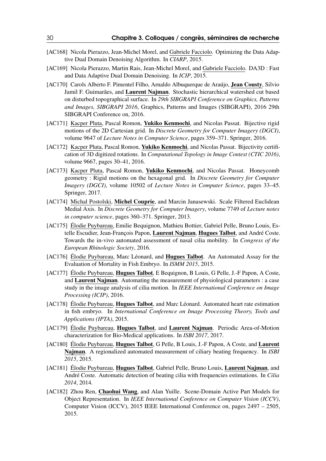- [AC168] Nicola Pierazzo, Jean-Michel Morel, and Gabriele Facciolo. Optimizing the Data Adaptive Dual Domain Denoising Algorithm. In *CIARP*, 2015.
- [AC169] Nicola Pierazzo, Martin Rais, Jean-Michel Morel, and Gabriele Facciolo. DA3D : Fast and Data Adaptive Dual Domain Denoising. In *ICIP*, 2015.
- [AC170] Carols Alberto F. Pimentel Filho, Arnaldo Albuquerque de Araújo, **Jean Cousty**, Silvio Jamil F. Guimarães, and Laurent Najman. Stochastic hierarchical watershed cut based on disturbed topographical surface. In *29th SIBGRAPI Conference on Graphics, Patterns and Images, SIBGRAPI 2016*, Graphics, Patterns and Images (SIBGRAPI), 2016 29th SIBGRAPI Conference on, 2016.
- [AC171] Kacper Pluta, Pascal Romon, Yukiko Kenmochi, and Nicolas Passat. Bijective rigid motions of the 2D Cartesian grid. In *Discrete Geometry for Computer Imagery (DGCI)*, volume 9647 of *Lecture Notes in Computer Science*, pages 359–371. Springer, 2016.
- [AC172] Kacper Pluta, Pascal Romon, Yukiko Kenmochi, and Nicolas Passat. Bijectivity certification of 3D digitized rotations. In *Computational Topology in Image Context (CTIC 2016)*, volume 9667, pages 30–41, 2016.
- [AC173] Kacper Pluta, Pascal Romon, Yukiko Kenmochi, and Nicolas Passat. Honeycomb geometry : Rigid motions on the hexagonal grid. In *Discrete Geometry for Computer Imagery (DGCI)*, volume 10502 of *Lecture Notes in Computer Science*, pages 33–45. Springer, 2017.
- [AC174] Michal Postolski, Michel Couprie, and Marcin Janasewski. Scale Filtered Euclidean Medial Axis. In *Discrete Geometry for Computer Imagery*, volume 7749 of *Lecture notes in computer science*, pages 360–371. Springer, 2013.
- [AC175] Élodie Puybareau, Emilie Bequignon, Mathieu Bottier, Gabriel Pelle, Bruno Louis, Estelle Escudier, Jean-François Papon, Laurent Najman, Hugues Talbot, and André Coste. Towards the in-vivo automated assessment of nasal cilia mobility. In *Congress of the European Rhinologic Society*, 2016.
- [AC176] Élodie Puybareau, Marc Léonard, and Hugues Talbot. An Automated Assay for the Evaluation of Mortality in Fish Embryo. In *ISMM 2015*, 2015.
- [AC177] Élodie Puybareau, Hugues Talbot, E Bequignon, B Louis, G Pelle, J.-F Papon, A Coste, and Laurent Najman. Automating the measurement of physiological parameters : a case study in the image analysis of cilia motion. In *IEEE International Conference on Image Processing (ICIP)*, 2016.
- [AC178] Élodie Puybareau, Hugues Talbot, and Marc Léonard. Automated heart rate estimation in fish embryo. In *International Conference on Image Processing Theory, Tools and Applications (IPTA)*, 2015.
- [AC179] Élodie Puybareau, Hugues Talbot, and Laurent Najman. Periodic Area-of-Motion characterization for Bio-Medical applications. In *ISBI 2017*, 2017.
- [AC180] Élodie Puybareau, **Hugues Talbot**, G Pelle, B Louis, J.-F Papon, A Coste, and **Laurent** Najman. A regionalized automated measurement of ciliary beating frequency. In *ISBI 2015*, 2015.
- [AC181] Élodie Puybareau, Hugues Talbot, Gabriel Pelle, Bruno Louis, Laurent Najman, and André Coste. Automatic detection of beating cilia with frequencies estimations. In *Cilia 2014*, 2014.
- [AC182] Zhou Ren, Chaohui Wang, and Alan Yuille. Scene-Domain Active Part Models for Object Representation. In *IEEE International Conference on Computer Vision (ICCV)*, Computer Vision (ICCV), 2015 IEEE International Conference on, pages 2497 – 2505, 2015.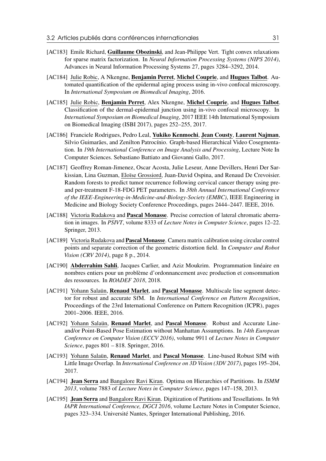- [AC183] Emile Richard, Guillaume Obozinski, and Jean-Philippe Vert. Tight convex relaxations for sparse matrix factorization. In *Neural Information Processing Systems (NIPS 2014)*, Advances in Neural Information Processing Systems 27, pages 3284–3292, 2014.
- [AC184] Julie Robic, A Nkengne, Benjamin Perret, Michel Couprie, and Hugues Talbot. Automated quantification of the epidermal aging process using in-vivo confocal microscopy. In *International Symposium on Biomedical Imaging*, 2016.
- [AC185] Julie Robic, Benjamin Perret, Alex Nkengne, Michel Couprie, and Hugues Talbot. Classification of the dermal-epidermal junction using in-vivo confocal microscopy. In *International Symposium on Biomedical Imaging*, 2017 IEEE 14th International Symposium on Biomedical Imaging (ISBI 2017), pages 252–255, 2017.
- [AC186] Franciele Rodrigues, Pedro Leal, Yukiko Kenmochi, Jean Cousty, Laurent Najman, Silvio Guimarães, and Zenilton Patrocínio. Graph-based Hierarchical Video Cosegmentation. In *19th International Conference on Image Analysis and Processing*, Lecture Note In Computer Sciences. Sebastiano Battiato and Giovanni Gallo, 2017.
- [AC187] Geoffrey Roman-Jimenez, Oscar Acosta, Julie Leseur, Anne Devillers, Henri Der Sarkissian, Lina Guzman, Eloïse Grossiord, Juan-David Ospina, and Renaud De Crevoisier. Random forests to predict tumor recurrence following cervical cancer therapy using preand per-treatment F-18-FDG PET parameters. In *38th Annual International Conference of the IEEE-Engineering-in-Medicine-and-Biology-Society (EMBC)*, IEEE Engineering in Medicine and Biology Society Conference Proceedings, pages 2444–2447. IEEE, 2016.
- [AC188] Victoria Rudakova and Pascal Monasse. Precise correction of lateral chromatic aberration in images. In *PSIVT*, volume 8333 of *Lecture Notes in Computer Science*, pages 12–22. Springer, 2013.
- [AC189] Victoria Rudakova and **Pascal Monasse**. Camera matrix calibration using circular control points and separate correction of the geometric distortion field. In *Computer and Robot Vision (CRV 2014)*, page 8 p., 2014.
- [AC190] Abderrahim Sahli, Jacques Carlier, and Aziz Moukrim. Programmation linéaire en nombres entiers pour un problème d'ordonnancement avec production et consommation des ressources. In *ROADEF 2018*, 2018.
- [AC191] Yohann Salaün, Renaud Marlet, and Pascal Monasse. Multiscale line segment detector for robust and accurate SfM. In *International Conference on Pattern Recognition*, Proceedings of the 23rd International Conference on Pattern Recognition (ICPR), pages 2001–2006. IEEE, 2016.
- [AC192] Yohann Salaün, Renaud Marlet, and Pascal Monasse. Robust and Accurate Lineand/or Point-Based Pose Estimation without Manhattan Assumptions. In *14th European Conference on Computer Vision (ECCV 2016)*, volume 9911 of *Lecture Notes in Computer Science*, pages 801 – 818. Springer, 2016.
- [AC193] Yohann Salaün, Renaud Marlet, and Pascal Monasse. Line-based Robust SfM with Little Image Overlap. In *International Conference on 3D Vision (3DV 2017)*, pages 195–204, 2017.
- [AC194] Jean Serra and Bangalore Ravi Kiran. Optima on Hierarchies of Partitions. In *ISMM 2013*, volume 7883 of *Lecture Notes in Computer Science*, pages 147–158, 2013.
- [AC195] Jean Serra and Bangalore Ravi Kiran. Digitization of Partitions and Tessellations. In *9th IAPR International Conference, DGCI 2016*, volume Lecture Notes in Computer Science, pages 323–334. Université Nantes, Springer International Publishing, 2016.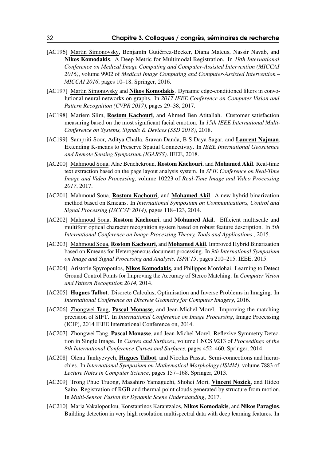- [AC196] Martin Simonovsky, Benjamín Gutiérrez-Becker, Diana Mateus, Nassir Navab, and Nikos Komodakis. A Deep Metric for Multimodal Registration. In *19th International Conference on Medical Image Computing and Computer-Assisted Intervention (MICCAI 2016)*, volume 9902 of *Medical Image Computing and Computer-Assisted Intervention – MICCAI 2016*, pages 10–18. Springer, 2016.
- [AC197] Martin Simonovsky and Nikos Komodakis. Dynamic edge-conditioned filters in convolutional neural networks on graphs. In *2017 IEEE Conference on Computer Vision and Pattern Recognition (CVPR 2017)*, pages 29–38, 2017.
- [AC198] Mariem Slim, Rostom Kachouri, and Ahmed Ben Atitallah. Customer satisfaction measuring based on the most significant facial emotion. In *15th IEEE International Multi-Conference on Systems, Signals & Devices (SSD 2018)*, 2018.
- [AC199] Sampriti Soor, Aditya Challa, Sravan Danda, B S Daya Sagar, and Laurent Najman. Extending K-means to Preserve Spatial Connectivity. In *IEEE International Geoscience and Remote Sensing Symposium (IGARSS)*. IEEE, 2018.
- [AC200] Mahmoud Soua, Alae Benchekroun, Rostom Kachouri, and Mohamed Akil. Real-time text extraction based on the page layout analysis system. In *SPIE Conference on Real-Time Image and Video Processing*, volume 10223 of *Real-Time Image and Video Processing 2017*, 2017.
- [AC201] Mahmoud Soua, Rostom Kachouri, and Mohamed Akil. A new hybrid binarization method based on Kmeans. In *International Symposium on Communications, Control and Signal Processing (ISCCSP 2014)*, pages 118–123, 2014.
- [AC202] Mahmoud Soua, Rostom Kachouri, and Mohamed Akil. Efficient multiscale and multifont optical character recognition system based on robust feature description. In *5th International Conference on Image Processing Theory, Tools and Applications* , 2015.
- [AC203] Mahmoud Soua, Rostom Kachouri, and Mohamed Akil. Improved Hybrid Binarization based on Kmeans for Heterogeneous document processing. In *9th International Symposium on Image and Signal Processing and Analysis, ISPA'15*, pages 210–215. IEEE, 2015.
- [AC204] Aristotle Spyropoulos, Nikos Komodakis, and Philippos Mordohai. Learning to Detect Ground Control Points for Improving the Accuracy of Stereo Matching. In *Computer Vision and Pattern Recognition 2014*, 2014.
- [AC205] **Hugues Talbot**. Discrete Calculus, Optimisation and Inverse Problems in Imaging. In *International Conference on Discrete Geometry for Computer Imagery*, 2016.
- [AC206] Zhongwei Tang, **Pascal Monasse**, and Jean-Michel Morel. Improving the matching precision of SIFT. In *International Conference on Image Processing*, Image Processing (ICIP), 2014 IEEE International Conference on, 2014.
- [AC207] Zhongwei Tang, Pascal Monasse, and Jean-Michel Morel. Reflexive Symmetry Detection in Single Image. In *Curves and Surfaces*, volume LNCS 9213 of *Proceedings of the 8th International Conference Curves and Surfaces*, pages 452–460. Springer, 2014.
- [AC208] Olena Tankyevych, **Hugues Talbot**, and Nicolas Passat. Semi-connections and hierarchies. In *International Symposium on Mathematical Morphology (ISMM)*, volume 7883 of *Lecture Notes in Computer Science*, pages 157–168. Springer, 2013.
- [AC209] Trong Phuc Truong, Masahiro Yamaguchi, Shohei Mori, Vincent Nozick, and Hideo Saito. Registration of RGB and thermal point clouds generated by structure from motion. In *Multi-Sensor Fusion for Dynamic Scene Understanding*, 2017.
- [AC210] Maria Vakalopoulou, Konstantinos Karantzalos, Nikos Komodakis, and Nikos Paragios. Building detection in very high resolution multispectral data with deep learning features. In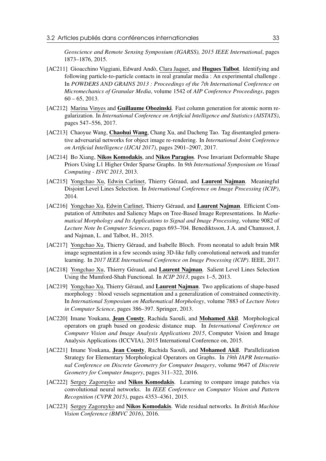*Geoscience and Remote Sensing Symposium (IGARSS), 2015 IEEE International*, pages 1873–1876, 2015.

- [AC211] Gioacchino Viggiani, Edward Andò, Clara Jaquet, and **Hugues Talbot**. Identifying and following particle-to-particle contacts in real granular media : An experimental challenge . In *POWDERS AND GRAINS 2013 : Proceedings of the 7th International Conference on Micromechanics of Granular Media*, volume 1542 of *AIP Conference Proceedings*, pages  $60 - 65$ , 2013.
- [AC212] Marina Vinyes and Guillaume Obozinski. Fast column generation for atomic norm regularization. In *International Conference on Artificial Intelligence and Statistics (AISTATS)*, pages 547–556, 2017.
- [AC213] Chaoyue Wang, Chaohui Wang, Chang Xu, and Dacheng Tao. Tag disentangled generative adversarial networks for object image re-rendering. In *International Joint Conference on Artificial Intelligence (IJCAI 2017)*, pages 2901–2907, 2017.
- [AC214] Bo Xiang, Nikos Komodakis, and Nikos Paragios. Pose Invariant Deformable Shape Priors Using L1 Higher Order Sparse Graphs. In *9th International Symposium on Visual Computing - ISVC 2013*, 2013.
- [AC215] Yongchao Xu, Edwin Carlinet, Thierry Géraud, and Laurent Najman. Meaningful Disjoint Level Lines Selection. In *International Conference on Image Processing (ICIP)*, 2014.
- [AC216] Yongchao Xu, Edwin Carlinet, Thierry Géraud, and Laurent Najman. Efficient Computation of Attributes and Saliency Maps on Tree-Based Image Representations. In *Mathematical Morphology and Its Applications to Signal and Image Processing*, volume 9082 of *Lecture Note In Computer Sciences*, pages 693–704. Benediktsson, J.A. and Chanussot, J. and Najman, L. and Talbot, H., 2015.
- [AC217] Yongchao Xu, Thierry Géraud, and Isabelle Bloch. From neonatal to adult brain MR image segmentation in a few seconds using 3D-like fully convolutional network and transfer learning. In *2017 IEEE International Conference on Image Processing (ICIP)*. IEEE, 2017.
- [AC218] Yongchao Xu, Thierry Géraud, and Laurent Najman. Salient Level Lines Selection Using the Mumford-Shah Functional. In *ICIP 2013*, pages 1–5, 2013.
- [AC219] Yongchao Xu, Thierry Géraud, and Laurent Najman. Two applications of shape-based morphology : blood vessels segmentation and a generalization of constrained connectivity. In *International Symposium on Mathematical Morphology*, volume 7883 of *Lecture Notes in Computer Science*, pages 386–397. Springer, 2013.
- [AC220] Imane Youkana, Jean Cousty, Rachida Saouli, and Mohamed Akil. Morphological operators on graph based on geodesic distance map. In *International Conference on Computer Vision and Image Analysis Applications 2015*, Computer Vision and Image Analysis Applications (ICCVIA), 2015 International Conference on, 2015.
- [AC221] Imane Youkana, Jean Cousty, Rachida Saouli, and Mohamed Akil. Parallelization Strategy for Elementary Morphological Operators on Graphs. In *19th IAPR International Conference on Discrete Geometry for Computer Imagery*, volume 9647 of *Discrete Geometry for Computer Imagery*, pages 311–322, 2016.
- [AC222] Sergey Zagoruyko and Nikos Komodakis. Learning to compare image patches via convolutional neural networks. In *IEEE Conference on Computer Vision and Pattern Recognition (CVPR 2015)*, pages 4353–4361, 2015.
- [AC223] Sergey Zagoruyko and Nikos Komodakis. Wide residual networks. In *British Machine Vision Conference (BMVC 2016)*, 2016.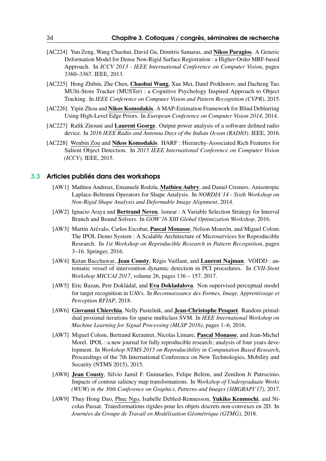- [AC224] Yun Zeng, Wang Chaohui, David Gu, Dimitris Samaras, and Nikos Paragios. A Generic Deformation Model for Dense Non-Rigid Surface Registration : a Higher-Order MRF-based Approach. In *ICCV 2013 - IEEE International Conference on Computer Vision*, pages 3360–3367. IEEE, 2013.
- [AC225] Hong Zhibin, Zhe Chen, Chaohui Wang, Xue Mei, Danil Prokhorov, and Dacheng Tao. MUlti-Store Tracker (MUSTer) : a Cognitive Psychology Inspired Approach to Object Tracking. In *IEEE Conference on Computer Vision and Pattern Recognition (CVPR)*, 2015.
- [AC226] Yipin Zhou and Nikos Komodakis. A MAP-Estimation Framework for Blind Deblurring Using High-Level Edge Priors. In *European Conference on Computer Vision 2014*, 2014.
- [AC227] Rafik Zitouni and Laurent George. Output power analysis of a software defined radio device. In *2016 IEEE Radio and Antenna Days of the Indian Ocean (RADIO)*. IEEE, 2016.
- [AC228] Wenbin Zou and Nikos Komodakis. HARF : Hierarchy-Associated Rich Features for Salient Object Detection. In *2015 IEEE International Conference on Computer Vision (ICCV)*. IEEE, 2015.

#### 3.3 Articles publiés dans des workshops

- <span id="page-33-0"></span>[AW1] Mathieu Andreux, Emanuele Rodola, Mathieu Aubry, and Daniel Cremers. Anisotropic Laplace-Beltrami Operators for Shape Analysis. In *NORDIA'14 - Sixth Workshop on Non-Rigid Shape Analysis and Deformable Image Alignment*, 2014.
- [AW2] Ignacio Araya and Bertrand Neveu. lsmear : A Variable Selection Strategy for Interval Branch and Bound Solvers. In *GOW'16 XIII Global Optimization Workshop*, 2016.
- [AW3] Martín Arévalo, Carlos Escobar, Pascal Monasse, Nelson Monzón, and Miguel Colom. The IPOL Demo System : A Scalable Architecture of Microservices for Reproducible Research. In *1st Workshop on Reproducible Research in Pattern Recognition*, pages 3–16. Springer, 2016.
- [AW4] Ketan Bacchuwar, Jean Cousty, Régis Vaillant, and Laurent Najman. VOIDD : automatic vessel of intervention dynamic detection in PCI procedures. In *CVII-Stent Workshop MICCAI 2017*, volume 26, pages 136 – 157, 2017.
- [AW5] Eric Bazan, Petr Dokládal, and Eva Dokladalova. Non supervised perceptual model for target recognition in UAVs. In *Reconnaissance des Formes, Image, Apprentissage et Perception RFIAP*, 2018.
- [AW6] Giovanni Chierchia, Nelly Pustelnik, and Jean-Christophe Pesquet. Random primaldual proximal iterations for sparse multiclass SVM. In *IEEE International Workshop on Machine Learning for Signal Processing (MLSP 2016)*, pages 1–6, 2016.
- [AW7] Miguel Colom, Bertrand Kerautret, Nicolas Limare, Pascal Monasse, and Jean-Michel Morel. IPOL : a new journal for fully reproducible research; analysis of four years development. In *Workshop NTMS 2015 on Reproducibility in Computation Based Research*, Proceedings of the 7th International Conference on New Technologies, Mobility and Security (NTMS 2015), 2015.
- [AW8] Jean Cousty, Silvio Jamil F. Guimarães, Felipe Belèm, and Zenilton Jr Patrocinio. Impacts of contour saliency map transformations. In *Workshop of Undergraduate Works (WUW) in the 30th Conference on Graphics, Patterns and Images (SIBGRAPI'17)*, 2017.
- [AW9] Thuy Hong Dao, Phuc Ngo, Isabelle Debled-Rennesson, Yukiko Kenmochi, and Nicolas Passat. Transformations rigides pour les objets discrets non-convexes en 2D. In *Journées du Groupe de Travail en Modélisation Géométrique (GTMG)*, 2018.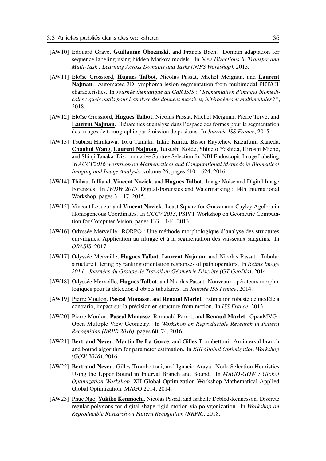- [AW10] Edouard Grave, Guillaume Obozinski, and Francis Bach. Domain adaptation for sequence labeling using hidden Markov models. In *New Directions in Transfer and Multi-Task : Learning Across Domains and Tasks (NIPS Workshop)*, 2013.
- [AW11] Eloïse Grossiord, Hugues Talbot, Nicolas Passat, Michel Meignan, and Laurent Najman. Automated 3D lymphoma lesion segmentation from multimodal PET/CT characteristics. In *Journée thématique du GdR ISIS : "Segmentation d'images biomédicales : quels outils pour l'analyse des données massives, hétérogènes et multimodales ?"*, 2018.
- [AW12] Eloïse Grossiord, Hugues Talbot, Nicolas Passat, Michel Meignan, Pierre Tervé, and Laurent Najman. Hiérarchies et analyse dans l'espace des formes pour la segmentation des images de tomographie par émission de positons. In *Journée ISS France*, 2015.
- [AW13] Tsubasa Hirakawa, Toru Tamaki, Takio Kurita, Bisser Raytchev, Kazufumi Kaneda, Chaohui Wang, Laurent Najman, Tetsushi Koide, Shigeto Yoshida, Hiroshi Mieno, and Shinji Tanaka. Discriminative Subtree Selection for NBI Endoscopic Image Labeling. In *ACCV2016 workshop on Mathematical and Computational Methods in Biomedical Imaging and Image Analysis*, volume 26, pages 610 – 624, 2016.
- [AW14] Thibaut Julliand, Vincent Nozick, and Hugues Talbot. Image Noise and Digital Image Forensics. In *IWDW 2015*, Digital-Forensics and Watermarking : 14th International Workshop, pages 3 – 17, 2015.
- [AW15] Vincent Lesueur and Vincent Nozick. Least Square for Grassmann-Cayley Agelbra in Homogeneous Coordinates. In *GCCV 2013*, PSIVT Workshop on Geometric Computation for Computer Vision, pages 133 – 144, 2013.
- [AW16] Odyssée Merveille. RORPO : Une méthode morphologique d'analyse des structures curvilignes. Application au filtrage et à la segmentation des vaisseaux sanguins. In *ORASIS*, 2017.
- [AW17] Odyssée Merveille, Hugues Talbot, Laurent Najman, and Nicolas Passat. Tubular structure filtering by ranking orientation responses of path operators. In *Reims Image 2014 - Journées du Groupe de Travail en Géométrie Discrète (GT GeoDis)*, 2014.
- [AW18] Odyssée Merveille, Hugues Talbot, and Nicolas Passat. Nouveaux opérateurs morphologiques pour la détection d'objets tubulaires. In *Journée ISS France*, 2014.
- [AW19] Pierre Moulon, Pascal Monasse, and Renaud Marlet. Estimation robuste de modèle a contrario, impact sur la précision en structure from motion. In *ISS France*, 2013.
- [AW20] Pierre Moulon, Pascal Monasse, Romuald Perrot, and Renaud Marlet. OpenMVG : Open Multiple View Geometry. In *Workshop on Reproducible Research in Pattern Recognition (RRPR 2016)*, pages 60–74, 2016.
- [AW21] **Bertrand Neveu, Martin De La Gorce**, and Gilles Trombettoni. An interval branch and bound algorithm for parameter estimation. In *XIII Global Optimization Workshop (GOW 2016)*, 2016.
- [AW22] Bertrand Neveu, Gilles Trombettoni, and Ignacio Araya. Node Selection Heuristics Using the Upper Bound in Interval Branch and Bound. In *MAGO-GOW : Global Optimization Workshop*, XII Global Optimization Workshop Mathematical Applied Global Optimization. MAGO 2014, 2014.
- [AW23] Phuc Ngo, Yukiko Kenmochi, Nicolas Passat, and Isabelle Debled-Rennesson. Discrete regular polygons for digital shape rigid motion via polygonization. In *Workshop on Reproducible Research on Pattern Recognition (RRPR)*, 2018.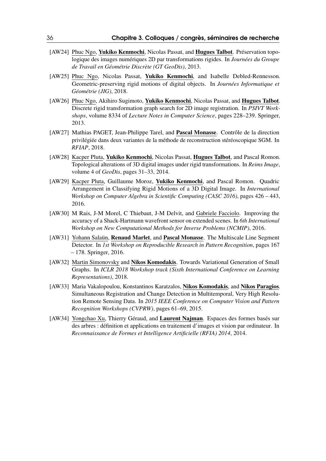- [AW24] Phuc Ngo, Yukiko Kenmochi, Nicolas Passat, and Hugues Talbot. Préservation topologique des images numériques 2D par transformations rigides. In *Journées du Groupe de Travail en Géométrie Discrète (GT GeoDis)*, 2013.
- [AW25] Phuc Ngo, Nicolas Passat, Yukiko Kenmochi, and Isabelle Debled-Rennesson. Geometric-preserving rigid motions of digital objects. In *Journées Informatique et Géométrie (JIG)*, 2018.
- [AW26] Phuc Ngo, Akihiro Sugimoto, Yukiko Kenmochi, Nicolas Passat, and Hugues Talbot. Discrete rigid transformation graph search for 2D image registration. In *PSIVT Workshops*, volume 8334 of *Lecture Notes in Computer Science*, pages 228–239. Springer, 2013.
- [AW27] Mathias PAGET, Jean-Philippe Tarel, and Pascal Monasse. Contrôle de la direction privilégiée dans deux variantes de la méthode de reconstruction stéréoscopique SGM. In *RFIAP*, 2018.
- [AW28] Kacper Pluta, Yukiko Kenmochi, Nicolas Passat, Hugues Talbot, and Pascal Romon. Topological alterations of 3D digital images under rigid transformations. In *Reims Image*, volume 4 of *GeoDis*, pages 31–33, 2014.
- [AW29] Kacper Pluta, Guillaume Moroz, Yukiko Kenmochi, and Pascal Romon. Quadric Arrangement in Classifying Rigid Motions of a 3D Digital Image. In *International Workshop on Computer Algebra in Scientific Computing (CASC 2016)*, pages 426 – 443, 2016.
- [AW30] M Rais, J-M Morel, C Thiebaut, J-M Delvit, and Gabriele Facciolo. Improving the accuracy of a Shack-Hartmann wavefront sensor on extended scenes. In *6th International Workshop on New Computational Methods for Inverse Problems (NCMIP)*, 2016.
- [AW31] Yohann Salaün, Renaud Marlet, and Pascal Monasse. The Multiscale Line Segment Detector. In *1st Workshop on Reproducible Research in Pattern Recognition*, pages 167 – 178. Springer, 2016.
- [AW32] Martin Simonovsky and Nikos Komodakis. Towards Variational Generation of Small Graphs. In *ICLR 2018 Workshop track (Sixth International Conference on Learning Representations)*, 2018.
- [AW33] Maria Vakalopoulou, Konstantinos Karatzalos, Nikos Komodakis, and Nikos Paragios. Simultaneous Registration and Change Detection in Multitemporal, Very High Resolution Remote Sensing Data. In *2015 IEEE Conference on Computer Vision and Pattern Recognition Workshops (CVPRW)*, pages 61–69, 2015.
- [AW34] Yongchao Xu, Thierry Géraud, and Laurent Najman. Espaces des formes basés sur des arbres : définition et applications en traitement d'images et vision par ordinateur. In *Reconnaissance de Formes et Intelligence Artificielle (RFIA) 2014*, 2014.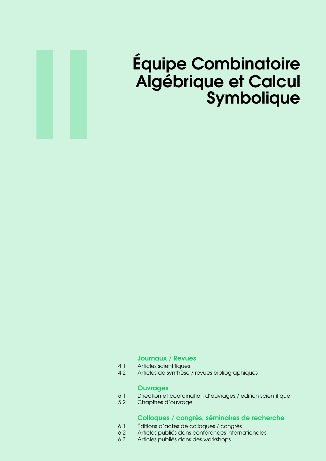

# Équipe Combinatoire Algébrique et Calcul Symbolique

#### [Journaux / Revues](#page-38-0)

- 4.1 [Articles scientifiques](#page-38-1)
- 4.2 [Articles de synthèse / revues bibliographiques](#page-41-0)

#### **[Ouvrages](#page-42-0)**

- 5.1 [Direction et coordination d'ouvrages / édition scientifique](#page-42-1)
- 5.2 [Chapitres d'ouvrage](#page-42-2)

#### [Colloques / congrès, séminaires de recherche](#page-44-0)

- 6.1 [Éditions d'actes de colloques / congrès](#page-44-1)<br>6.2 Articles publiés dans conférences interne
- Articles publiés dans conférences internationales
- 6.3 [Articles publiés dans des workshops](#page-45-0)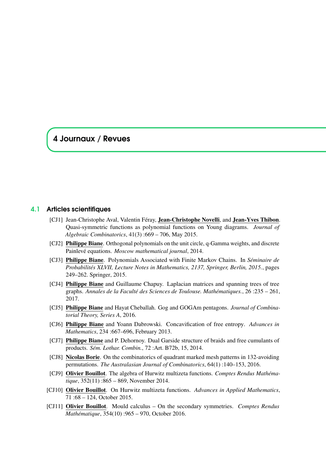### <span id="page-38-0"></span>4 Journaux / Revues

#### 4.1 Articles scientifiques

- <span id="page-38-1"></span>[CJ1] Jean-Christophe Aval, Valentin Féray, Jean-Christophe Novelli, and Jean-Yves Thibon. Quasi-symmetric functions as polynomial functions on Young diagrams. *Journal of Algebraic Combinatorics*, 41(3) :669 – 706, May 2015.
- [CJ2] **Philippe Biane**. Orthogonal polynomials on the unit circle, q-Gamma weights, and discrete Painlevé equations. *Moscow mathematical journal*, 2014.
- [CJ3] Philippe Biane. Polynomials Associated with Finite Markov Chains. In *Séminaire de Probabilités XLVII, Lecture Notes in Mathematics, 2137, Springer, Berlin, 2015.*, pages 249–262. Springer, 2015.
- [CJ4] Philippe Biane and Guillaume Chapuy. Laplacian matrices and spanning trees of tree graphs. *Annales de la Faculté des Sciences de Toulouse. Mathématiques.*, 26 :235 – 261, 2017.
- [CJ5] Philippe Biane and Hayat Cheballah. Gog and GOGAm pentagons. *Journal of Combinatorial Theory, Series A*, 2016.
- [CJ6] Philippe Biane and Yoann Dabrowski. Concavification of free entropy. *Advances in Mathematics*, 234 :667–696, February 2013.
- [CJ7] Philippe Biane and P. Dehornoy. Dual Garside structure of braids and free cumulants of products. *Sém. Lothar. Combin.*, 72 :Art. B72b, 15, 2014.
- [CJ8] Nicolas Borie. On the combinatorics of quadrant marked mesh patterns in 132-avoiding permutations. *The Australasian Journal of Combinatorics*, 64(1) :140–153, 2016.
- [CJ9] Olivier Bouillot. The algebra of Hurwitz multizeta functions. *Comptes Rendus Mathématique*, 352(11) :865 – 869, November 2014.
- [CJ10] Olivier Bouillot. On Hurwitz multizeta functions. *Advances in Applied Mathematics*, 71 :68 – 124, October 2015.
- [CJ11] Olivier Bouillot. Mould calculus On the secondary symmetries. *Comptes Rendus Mathématique*, 354(10) :965 – 970, October 2016.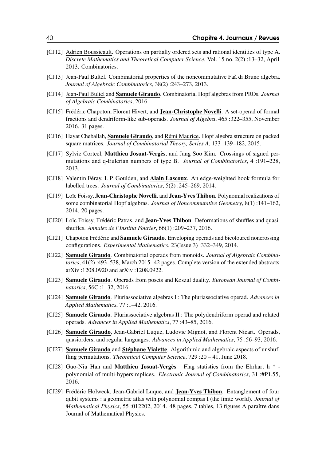- [CJ12] Adrien Boussicault. Operations on partially ordered sets and rational identities of type A. *Discrete Mathematics and Theoretical Computer Science*, Vol. 15 no. 2(2) :13–32, April 2013. Combinatorics.
- [CJ13] Jean-Paul Bultel. Combinatorial properties of the noncommutative Faà di Bruno algebra. *Journal of Algebraic Combinatorics*, 38(2) :243–273, 2013.
- [CJ14] Jean-Paul Bultel and Samuele Giraudo. Combinatorial Hopf algebras from PROs. *Journal of Algebraic Combinatorics*, 2016.
- [CJ15] Frédéric Chapoton, Florent Hivert, and **Jean-Christophe Novelli**. A set-operad of formal fractions and dendriform-like sub-operads. *Journal of Algebra*, 465 :322–355, November 2016. 31 pages.
- [CJ16] Hayat Cheballah, Samuele Giraudo, and Rémi Maurice. Hopf algebra structure on packed square matrices. *Journal of Combinatorial Theory, Series A*, 133 :139–182, 2015.
- [CJ17] Sylvie Corteel, Matthieu Josuat-Vergès, and Jang Soo Kim. Crossings of signed permutations and q-Eulerian numbers of type B. *Journal of Combinatorics*, 4 :191–228, 2013.
- [CJ18] Valentin Féray, I. P. Goulden, and Alain Lascoux. An edge-weighted hook formula for labelled trees. *Journal of Combinatorics*, 5(2) :245–269, 2014.
- [CJ19] Loïc Foissy, **Jean-Christophe Novelli**, and **Jean-Yves Thibon**. Polynomial realizations of some combinatorial Hopf algebras. *Journal of Noncommutative Geometry*, 8(1) :141–162, 2014. 20 pages.
- [CJ20] Loïc Foissy, Frédéric Patras, and Jean-Yves Thibon. Deformations of shuffles and quasishuffles. *Annales de l'Institut Fourier*, 66(1) :209–237, 2016.
- [CJ21] Chapoton Frédéric and **Samuele Giraudo**. Enveloping operads and bicoloured noncrossing configurations. *Experimental Mathematics*, 23(Issue 3) :332–349, 2014.
- [CJ22] Samuele Giraudo. Combinatorial operads from monoids. *Journal of Algebraic Combinatorics*, 41(2) :493–538, March 2015. 42 pages. Complete version of the extended abstracts arXiv :1208.0920 and arXiv :1208.0922.
- [CJ23] Samuele Giraudo. Operads from posets and Koszul duality. *European Journal of Combinatorics*, 56C :1–32, 2016.
- [CJ24] Samuele Giraudo. Pluriassociative algebras I : The pluriassociative operad. *Advances in Applied Mathematics*, 77 :1–42, 2016.
- [CJ25] Samuele Giraudo. Pluriassociative algebras II : The polydendriform operad and related operads. *Advances in Applied Mathematics*, 77 :43–85, 2016.
- [CJ26] Samuele Giraudo, Jean-Gabriel Luque, Ludovic Mignot, and Florent Nicart. Operads, quasiorders, and regular languages. *Advances in Applied Mathematics*, 75 :56–93, 2016.
- [CJ27] Samuele Giraudo and Stéphane Vialette. Algorithmic and algebraic aspects of unshuffling permutations. *Theoretical Computer Science*, 729 :20 – 41, June 2018.
- [CJ28] Guo-Niu Han and Matthieu Josuat-Vergès. Flag statistics from the Ehrhart h \* polynomial of multi-hypersimplices. *Electronic Journal of Combinatorics*, 31 :#P1.55, 2016.
- [CJ29] Frédéric Holweck, Jean-Gabriel Luque, and Jean-Yves Thibon. Entanglement of four qubit systems : a geometric atlas with polynomial compas I (the finite world). *Journal of Mathematical Physics*, 55 :012202, 2014. 48 pages, 7 tables, 13 figures A paraître dans Journal of Mathematical Physics.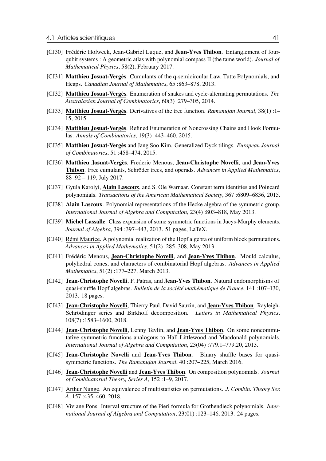- [CJ30] Frédéric Holweck, Jean-Gabriel Luque, and Jean-Yves Thibon. Entanglement of fourqubit systems : A geometric atlas with polynomial compass II (the tame world). *Journal of Mathematical Physics*, 58(2), February 2017.
- [CJ31] Matthieu Josuat-Vergès. Cumulants of the q-semicircular Law, Tutte Polynomials, and Heaps. *Canadian Journal of Mathematics*, 65 :863–878, 2013.
- [CJ32] Matthieu Josuat-Vergès. Enumeration of snakes and cycle-alternating permutations. *The Australasian Journal of Combinatorics*, 60(3) :279–305, 2014.
- [CJ33] Matthieu Josuat-Vergès. Derivatives of the tree function. *Ramanujan Journal*, 38(1) :1– 15, 2015.
- [CJ34] Matthieu Josuat-Vergès. Refined Enumeration of Noncrossing Chains and Hook Formulas. *Annals of Combinatorics*, 19(3) :443–460, 2015.
- [CJ35] Matthieu Josuat-Vergès and Jang Soo Kim. Generalized Dyck tilings. *European Journal of Combinatorics*, 51 :458–474, 2015.
- [CJ36] Matthieu Josuat-Vergès, Frederic Menous, Jean-Christophe Novelli, and Jean-Yves Thibon. Free cumulants, Schröder trees, and operads. *Advances in Applied Mathematics*, 88 :92 – 119, July 2017.
- [CJ37] Gyula Karolyi, Alain Lascoux, and S. Ole Warnaar. Constant term identities and Poincaré polynomials. *Transactions of the American Mathematical Society*, 367 :6809–6836, 2015.
- [CJ38] Alain Lascoux. Polynomial representations of the Hecke algebra of the symmetric group. *International Journal of Algebra and Computation*, 23(4) :803–818, May 2013.
- [CJ39] Michel Lassalle. Class expansion of some symmetric functions in Jucys-Murphy elements. *Journal of Algebra*, 394 :397–443, 2013. 51 pages, LaTeX.
- [CJ40] Rémi Maurice. A polynomial realization of the Hopf algebra of uniform block permutations. *Advances in Applied Mathematics*, 51(2) :285–308, May 2013.
- [CJ41] Frédéric Menous, Jean-Christophe Novelli, and Jean-Yves Thibon. Mould calculus, polyhedral cones, and characters of combinatorial Hopf algebras. *Advances in Applied Mathematics*, 51(2) :177–227, March 2013.
- [CJ42] Jean-Christophe Novelli, F. Patras, and Jean-Yves Thibon. Natural endomorphisms of quasi-shuffle Hopf algebras. *Bulletin de la société mathématique de France*, 141 :107–130, 2013. 18 pages.
- [CJ43] Jean-Christophe Novelli, Thierry Paul, David Sauzin, and Jean-Yves Thibon. Rayleigh-Schrödinger series and Birkhoff decomposition. *Letters in Mathematical Physics*, 108(7) :1583–1600, 2018.
- [CJ44] Jean-Christophe Novelli, Lenny Tevlin, and Jean-Yves Thibon. On some noncommutative symmetric functions analogous to Hall-Littlewood and Macdonald polynomials. *International Journal of Algebra and Computation*, 23(04) :779.1–779.20, 2013.
- [CJ45] Jean-Christophe Novelli and Jean-Yves Thibon. Binary shuffle bases for quasisymmetric functions. *The Ramanujan Journal*, 40 :207–225, March 2016.
- [CJ46] Jean-Christophe Novelli and Jean-Yves Thibon. On composition polynomials. *Journal of Combinatorial Theory, Series A*, 152 :1–9, 2017.
- [CJ47] Arthur Nunge. An equivalence of multistatistics on permutations. *J. Combin. Theory Ser. A*, 157 :435–460, 2018.
- [CJ48] Viviane Pons. Interval structure of the Pieri formula for Grothendieck polynomials. *International Journal of Algebra and Computation*, 23(01) :123–146, 2013. 24 pages.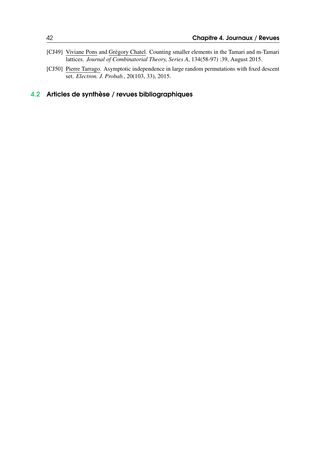- [CJ49] Viviane Pons and Grégory Chatel. Counting smaller elements in the Tamari and m-Tamari lattices. *Journal of Combinatorial Theory, Series A*, 134(58-97) :39, August 2015.
- [CJ50] Pierre Tarrago. Asymptotic independence in large random permutations with fixed descent set. *Electron. J. Probab.*, 20(103, 33), 2015.

# <span id="page-41-0"></span>4.2 Articles de synthèse / revues bibliographiques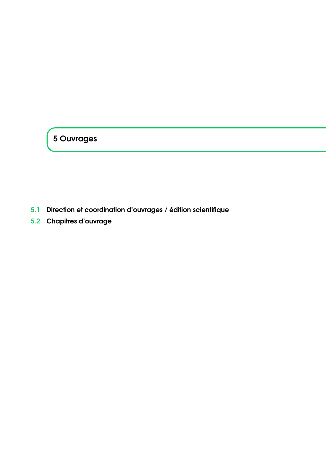# <span id="page-42-0"></span>5 Ouvrages

- <span id="page-42-1"></span>5.1 Direction et coordination d'ouvrages / édition scientifique
- <span id="page-42-2"></span>5.2 Chapitres d'ouvrage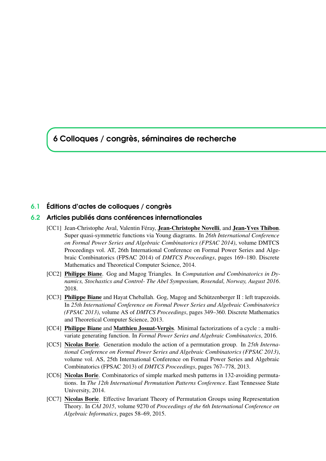<span id="page-44-0"></span>6 Colloques / congrès, séminaires de recherche

#### <span id="page-44-1"></span>6.1 Éditions d'actes de colloques / congrès

#### 6.2 Articles publiés dans conférences internationales

- <span id="page-44-2"></span>[CC1] Jean-Christophe Aval, Valentin Féray, Jean-Christophe Novelli, and Jean-Yves Thibon. Super quasi-symmetric functions via Young diagrams. In *26th International Conference on Formal Power Series and Algebraic Combinatorics (FPSAC 2014)*, volume DMTCS Proceedings vol. AT, 26th International Conference on Formal Power Series and Algebraic Combinatorics (FPSAC 2014) of *DMTCS Proceedings*, pages 169–180. Discrete Mathematics and Theoretical Computer Science, 2014.
- [CC2] Philippe Biane. Gog and Magog Triangles. In *Computation and Combinatorics in Dynamics, Stochastics and Control- The Abel Symposium, Rosendal, Norway, August 2016*. 2018.
- [CC3] Philippe Biane and Hayat Cheballah. Gog, Magog and Schützenberger II : left trapezoids. In *25th International Conference on Formal Power Series and Algebraic Combinatorics (FPSAC 2013)*, volume AS of *DMTCS Proceedings*, pages 349–360. Discrete Mathematics and Theoretical Computer Science, 2013.
- [CC4] Philippe Biane and Matthieu Josuat-Vergès. Minimal factorizations of a cycle : a multivariate generating function. In *Formal Power Series and Algebraic Combinatorics*, 2016.
- [CC5] Nicolas Borie. Generation modulo the action of a permutation group. In *25th International Conference on Formal Power Series and Algebraic Combinatorics (FPSAC 2013)*, volume vol. AS, 25th International Conference on Formal Power Series and Algebraic Combinatorics (FPSAC 2013) of *DMTCS Proceedings*, pages 767–778, 2013.
- [CC6] Nicolas Borie. Combinatorics of simple marked mesh patterns in 132-avoiding permutations. In *The 12th International Permutation Patterns Conference*. East Tennessee State University, 2014.
- [CC7] Nicolas Borie. Effective Invariant Theory of Permutation Groups using Representation Theory. In *CAI 2015*, volume 9270 of *Proceedings of the 6th International Conference on Algebraic Informatics*, pages 58–69, 2015.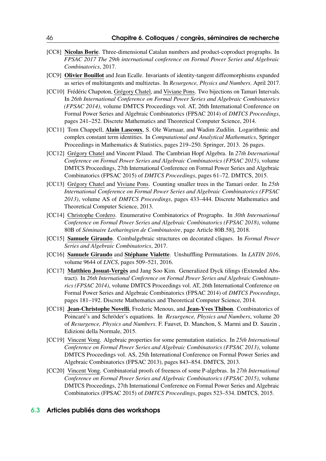- [CC8] Nicolas Borie. Three-dimensional Catalan numbers and product-coproduct prographs. In *FPSAC 2017 The 29th international conference on Formal Power Series and Algebraic Combinatorics*, 2017.
- [CC9] Olivier Bouillot and Jean Ecalle. Invariants of identity-tangent diffeomorphisms expanded as series of multitangents and multizetas. In *Resurgence, Physics and Numbers*. April 2017.
- [CC10] Frédéric Chapoton, Grégory Chatel, and Viviane Pons. Two bijections on Tamari Intervals. In *26th International Conference on Formal Power Series and Algebraic Combinatorics (FPSAC 2014)*, volume DMTCS Proceedings vol. AT, 26th International Conference on Formal Power Series and Algebraic Combinatorics (FPSAC 2014) of *DMTCS Proceedings*, pages 241–252. Discrete Mathematics and Theoretical Computer Science, 2014.
- [CC11] Tom Chappell, Alain Lascoux, S. Ole Warnaar, and Wadim Zudilin. Logarithmic and complex constant term identities. In *Computational and Analytical Mathematics*, Springer Proceedings in Mathematics & Statistics, pages 219–250. Springer, 2013. 26 pages.
- [CC12] Grégory Chatel and Vincent Pilaud. The Cambrian Hopf Algebra. In *27th International Conference on Formal Power Series and Algebraic Combinatorics (FPSAC 2015)*, volume DMTCS Proceedings, 27th International Conference on Formal Power Series and Algebraic Combinatorics (FPSAC 2015) of *DMTCS Proceedings*, pages 61–72. DMTCS, 2015.
- [CC13] Grégory Chatel and Viviane Pons. Counting smaller trees in the Tamari order. In *25th International Conference on Formal Power Series and Algebraic Combinatorics (FPSAC 2013)*, volume AS of *DMTCS Proceedings*, pages 433–444. Discrete Mathematics and Theoretical Computer Science, 2013.
- [CC14] Christophe Cordero. Enumerative Combinatorics of Prographs. In *30th International Conference on Formal Power Series and Algebraic Combinatorics (FPSAC 2018)*, volume 80B of *Séminaire Lotharingien de Combinatoire*, page Article 80B.58], 2018.
- [CC15] Samuele Giraudo. Combalgebraic structures on decorated cliques. In *Formal Power Series and Algebraic Combinatorics*, 2017.
- [CC16] Samuele Giraudo and Stéphane Vialette. Unshuffling Permutations. In *LATIN 2016*, volume 9644 of *LNCS*, pages 509–521, 2016.
- [CC17] Matthieu Josuat-Vergès and Jang Soo Kim. Generalized Dyck tilings (Extended Abstract). In *26th International Conference on Formal Power Series and Algebraic Combinatorics (FPSAC 2014)*, volume DMTCS Proceedings vol. AT, 26th International Conference on Formal Power Series and Algebraic Combinatorics (FPSAC 2014) of *DMTCS Proceedings*, pages 181–192. Discrete Mathematics and Theoretical Computer Science, 2014.
- [CC18] Jean-Christophe Novelli, Frederic Menous, and Jean-Yves Thibon. Combinatorics of Poincaré's and Schröder's equations. In *Resurgence, Physics and Numbers*, volume 20 of *Resurgence, Physics and Numbers*. F. Fauvet, D. Manchon, S. Marmi and D. Sauzin , Edizioni della Normale, 2015.
- [CC19] Vincent Vong. Algebraic properties for some permutation statistics. In *25th International Conference on Formal Power Series and Algebraic Combinatorics (FPSAC 2013)*, volume DMTCS Proceedings vol. AS, 25th International Conference on Formal Power Series and Algebraic Combinatorics (FPSAC 2013), pages 843–854. DMTCS, 2013.
- [CC20] Vincent Vong. Combinatorial proofs of freeness of some P-algebras. In *27th International Conference on Formal Power Series and Algebraic Combinatorics (FPSAC 2015)*, volume DMTCS Proceedings, 27th International Conference on Formal Power Series and Algebraic Combinatorics (FPSAC 2015) of *DMTCS Proceedings*, pages 523–534. DMTCS, 2015.

#### <span id="page-45-0"></span>6.3 Articles publiés dans des workshops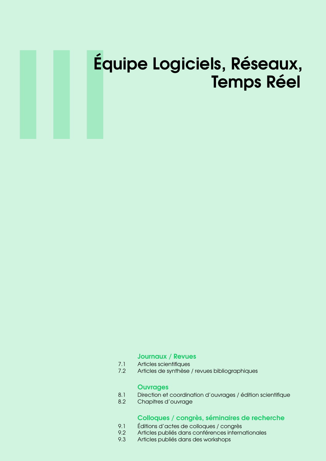# III Équipe Logiciels, Réseaux, Temps Réel

#### [Journaux / Revues](#page-48-0)

- 7.1 [Articles scientifiques](#page-48-1)<br>7.2 Articles de synthèse
- Articles de synthèse / revues bibliographiques

#### **[Ouvrages](#page-52-0)**

- 8.1 [Direction et coordination d'ouvrages / édition scientifique](#page-52-1)
- 8.2 [Chapitres d'ouvrage](#page-52-2)

#### [Colloques / congrès, séminaires de recherche](#page-54-0)

- 9.1 [Éditions d'actes de colloques / congrès](#page-54-1)<br>9.2 Articles publiés dans conférences interne
- Articles publiés dans conférences internationales
- 9.3 [Articles publiés dans des workshops](#page-61-0)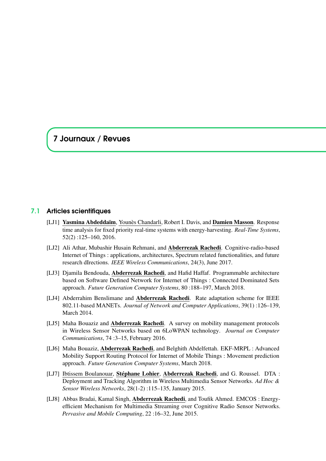## <span id="page-48-0"></span>7 Journaux / Revues

#### 7.1 Articles scientifiques

- <span id="page-48-1"></span>[LJ1] Yasmina Abdeddaïm, Younès Chandarli, Robert I. Davis, and Damien Masson. Response time analysis for fixed priority real-time systems with energy-harvesting. *Real-Time Systems*, 52(2) :125–160, 2016.
- [LJ2] Ali Athar, Mubashir Husain Rehmani, and Abderrezak Rachedi. Cognitive-radio-based Internet of Things : applications, architectures, Spectrum related functionalities, and future research dIrections. *IEEE Wireless Communications*, 24(3), June 2017.
- [LJ3] Djamila Bendouda, Abderrezak Rachedi, and Hafid Haffaf. Programmable architecture based on Software Defined Network for Internet of Things : Connected Dominated Sets approach. *Future Generation Computer Systems*, 80 :188–197, March 2018.
- [LJ4] Abderrahim Benslimane and Abderrezak Rachedi. Rate adaptation scheme for IEEE 802.11-based MANETs. *Journal of Network and Computer Applications*, 39(1) :126–139, March 2014.
- [LJ5] Maha Bouaziz and **Abderrezak Rachedi**. A survey on mobility management protocols in Wireless Sensor Networks based on 6LoWPAN technology. *Journal on Computer Communications*, 74 :3–15, February 2016.
- [LJ6] Maha Bouaziz, Abderrezak Rachedi, and Belghith Abdelfettah. EKF-MRPL : Advanced Mobility Support Routing Protocol for Internet of Mobile Things : Movement prediction approach. *Future Generation Computer Systems*, March 2018.
- [LJ7] Ibtissem Boulanouar, Stéphane Lohier, Abderrezak Rachedi, and G. Roussel. DTA : Deployment and Tracking Algorithm in Wireless Multimedia Sensor Networks. *Ad Hoc & Sensor Wireless Networks*, 28(1-2) :115–135, January 2015.
- [LJ8] Abbas Bradai, Kamal Singh, Abderrezak Rachedi, and Toufik Ahmed. EMCOS : Energyefficient Mechanism for Multimedia Streaming over Cognitive Radio Sensor Networks. *Pervasive and Mobile Computing*, 22 :16–32, June 2015.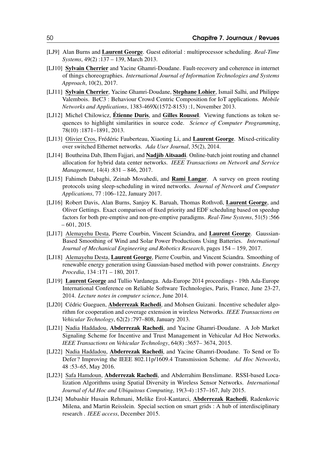- [LJ9] Alan Burns and Laurent George. Guest editorial : multiprocessor scheduling. *Real-Time Systems*, 49(2) :137 – 139, March 2013.
- [LJ10] Sylvain Cherrier and Yacine Ghamri-Doudane. Fault-recovery and coherence in internet of things choreographies. *International Journal of Information Technologies and Systems Approach*, 10(2), 2017.
- [LJ11] Sylvain Cherrier, Yacine Ghamri-Doudane, Stephane Lohier, Ismail Salhi, and Philippe Valembois. BeC3 : Behaviour Crowd Centric Composition for IoT applications. *Mobile Networks and Applications*, 1383-469X(1572-8153) :1, November 2013.
- [LJ12] Michel Chilowicz, **Étienne Duris**, and Gilles Roussel. Viewing functions as token sequences to highlight similarities in source code. *Science of Computer Programming*, 78(10) :1871–1891, 2013.
- [LJ13] Olivier Cros, Frédéric Fauberteau, Xiaoting Li, and Laurent George. Mixed-criticality over switched Ethernet networks. *Ada User Journal*, 35(2), 2014.
- [LJ14] Boutheina Dab, Ilhem Fajjari, and Nadjib Aitsaadi. Online-batch joint routing and channel allocation for hybrid data center networks. *IEEE Transactions on Network and Service Management*, 14(4) :831 – 846, 2017.
- [LJ15] Fahimeh Dabaghi, Zeinab Movahedi, and Rami Langar. A survey on green routing protocols using sleep-scheduling in wired networks. *Journal of Network and Computer Applications*, 77 :106–122, January 2017.
- [LJ16] Robert Davis, Alan Burns, Sanjoy K. Baruah, Thomas Rothvoß, Laurent George, and Oliver Gettings. Exact comparison of fixed priority and EDF scheduling based on speedup factors for both pre-emptive and non-pre-emptive paradigms. *Real-Time Systems*, 51(5) :566  $-601, 2015.$
- [LJ17] Alemayehu Desta, Pierre Courbin, Vincent Sciandra, and Laurent George. Gaussian-Based Smoothing of Wind and Solar Power Productions Using Batteries. *International Journal of Mechanical Engineering and Robotics Research*, pages 154 – 159, 2017.
- [LJ18] Alemayehu Desta, Laurent George, Pierre Courbin, and Vincent Sciandra. Smoothing of renewable energy generation using Gaussian-based method with power constraints. *Energy Procedia*, 134 :171 – 180, 2017.
- [LJ19] Laurent George and Tullio Vardanega. Ada-Europe 2014 proceedings 19th Ada-Europe International Conference on Reliable Software Technologies, Paris, France, June 23-27, 2014. *Lecture notes in computer science*, June 2014.
- [LJ20] Cédric Gueguen, **Abderrezak Rachedi**, and Mohsen Guizani. Incentive scheduler algorithm for cooperation and coverage extension in wireless Networks. *IEEE Transactions on Vehicular Technology*, 62(2) :797–808, January 2013.
- [LJ21] Nadia Haddadou, Abderrezak Rachedi, and Yacine Ghamri-Doudane. A Job Market Signaling Scheme for Incentive and Trust Management in Vehicular Ad Hoc Networks. *IEEE Transactions on Vehicular Technology*, 64(8) :3657– 3674, 2015.
- [LJ22] Nadia Haddadou, Abderrezak Rachedi, and Yacine Ghamri-Doudane. To Send or To Defer ? Improving the IEEE 802.11p/1609.4 Transmission Scheme. *Ad Hoc Networks*, 48 :53–65, May 2016.
- [LJ23] Safa Hamdoun, Abderrezak Rachedi, and Abderrahim Benslimane. RSSI-based Localization Algorithms using Spatial Diversity in Wireless Sensor Networks. *International Journal of Ad Hoc and Ubiquitous Computing*, 19(3-4) :157–167, July 2015.
- [LJ24] Mubashir Husain Rehmani, Melike Erol-Kantarci, Abderrezak Rachedi, Radenkovic Milena, and Martin Reisslein. Special section on smart grids : A hub of interdisciplinary research . *IEEE access*, December 2015.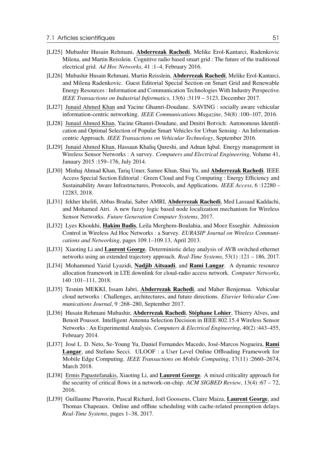- [LJ25] Mubashir Husain Rehmani, Abderrezak Rachedi, Melike Erol-Kantarci, Radenkovic Milena, and Martin Reisslein. Cognitive radio based smart grid : The future of the traditional electrical grid. *Ad Hoc Networks*, 41 :1–4, February 2016.
- [LJ26] Mubashir Husain Rehmani, Martin Reisslein, Abderrezak Rachedi, Melike Erol-Kantarci, and Milena Radenkovic. Guest Editorial Special Section on Smart Grid and Renewable Energy Resources : Information and Communication Technologies With Industry Perspective. *IEEE Transactions on Industrial Informatics*, 13(6) :3119 – 3123, December 2017.
- [LJ27] Junaid Ahmed Khan and Yacine Ghamri-Doudane. SAVING : socially aware vehicular information-centric networking. *IEEE Communications Magazine*, 54(8) :100–107, 2016.
- [LJ28] Junaid Ahmed Khan, Yacine Ghamri-Doudane, and Dmitri Botvich. Autonomous Identification and Optimal Selection of Popular Smart Vehicles for Urban Sensing - An Informationcentric Approach. *IEEE Transactions on Vehicular Technology*, September 2016.
- [LJ29] Junaid Ahmed Khan, Hassaan Khaliq Qureshi, and Adnan Iqbal. Energy management in Wireless Sensor Networks : A survey. *Computers and Electrical Engineering*, Volume 41, January 2015 :159–176, July 2014.
- [LJ30] Minhaj Ahmad Khan, Tariq Umer, Samee Khan, Shui Yu, and Abderrezak Rachedi. IEEE Access Special Section Editorial : Green Cloud and Fog Computing : Energy Efficiency and Sustainability Aware Infrastructures, Protocols, and Applications. *IEEE Access*, 6 :12280 – 12283, 2018.
- [LJ31] fekher khelifi, Abbas Bradai, Saber AMRI, Abderrezak Rachedi, Med Lassaad Kaddachi, and Mohamed Atri. A new fuzzy logic based node localization mechanism for Wireless Sensor Networks. *Future Generation Computer Systems*, 2017.
- [LJ32] Lyes Khoukhi, **Hakim Badis**, Leila Merghem-Boulahia, and Moez Esseghir. Admission Control in Wireless Ad Hoc Networks : a Survey. *EURASIP Journal on Wireless Communications and Networking*, pages 109.1–109.13, April 2013.
- [LJ33] Xiaoting Li and Laurent George. Deterministic delay analysis of AVB switched ethernet networks using an extended trajectory approach. *Real-Time Systems*, 53(1) :121 – 186, 2017.
- [LJ34] Mohammed Yazid Lyazidi, Nadjib Aitsaadi, and Rami Langar. A dynamic resource allocation framework in LTE downlink for cloud-radio access network. *Computer Networks*, 140 :101–111, 2018.
- [LJ35] Tesnim MEKKI, Issam Jabri, Abderrezak Rachedi, and Maher Benjemaa. Vehicular cloud networks : Challenges, architectures, and future directions. *Elsevier Vehicular Communications Journal*, 9 :268–280, September 2017.
- [LJ36] Husain Rehmani Mubashir, Abderrezak Rachedi, Stéphane Lohier, Thierry Alves, and Benoit Poussot. Intelligent Antenna Selection Decision in IEEE 802.15.4 Wireless Sensor Networks : An Experimental Analysis. *Computers & Electrical Engineering*, 40(2) :443–455, February 2014.
- [LJ37] José L. D. Neto, Se-Young Yu, Daniel Fernandes Macedo, José-Marcos Nogueira, Rami Langar, and Stefano Secci. ULOOF : a User Level Online Offloading Framework for Mobile Edge Computing. *IEEE Transactions on Mobile Computing*, 17(11) :2660–2674, March 2018.
- [LJ38] Ermis Papastefanakis, Xiaoting Li, and Laurent George. A mixed criticality approach for the security of critical flows in a network-on-chip. *ACM SIGBED Review*, 13(4) :67 – 72, 2016.
- [LJ39] Guillaume Phavorin, Pascal Richard, Joël Goossens, Claire Maiza, Laurent George, and Thomas Chapeaux. Online and offline scheduling with cache-related preemption delays. *Real-Time Systems*, pages 1–38, 2017.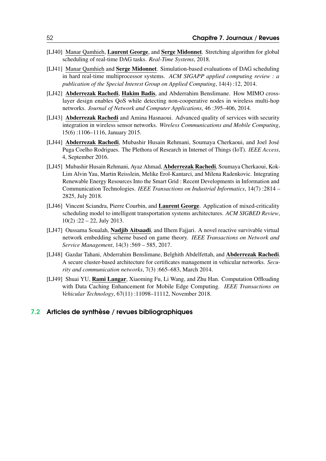- [LJ40] Manar Qamhieh, Laurent George, and Serge Midonnet. Stretching algorithm for global scheduling of real-time DAG tasks. *Real-Time Systems*, 2018.
- [LJ41] Manar Qamhieh and Serge Midonnet. Simulation-based evaluations of DAG scheduling in hard real-time multiprocessor systems. *ACM SIGAPP applied computing review : a publication of the Special Interest Group on Applied Computing*, 14(4) :12, 2014.
- [LJ42] Abderrezak Rachedi, Hakim Badis, and Abderrahim Benslimane. How MIMO crosslayer design enables QoS while detecting non-cooperative nodes in wireless multi-hop networks. *Journal of Network and Computer Applications*, 46 :395–406, 2014.
- [LJ43] Abderrezak Rachedi and Amina Hasnaoui. Advanced quality of services with security integration in wireless sensor networks. *Wireless Communications and Mobile Computing*, 15(6) :1106–1116, January 2015.
- [LJ44] Abderrezak Rachedi, Mubashir Husain Rehmani, Soumaya Cherkaoui, and Joel José Puga Coelho Rodrigues. The Plethora of Research in Internet of Things (IoT). *IEEE Access*, 4, September 2016.
- [LJ45] Mubashir Husain Rehmani, Ayaz Ahmad, Abderrezak Rachedi, Soumaya Cherkaoui, Kok-Lim Alvin Yau, Martin Reisslein, Melike Erol-Kantarci, and Milena Radenkovic. Integrating Renewable Energy Resources Into the Smart Grid : Recent Developments in Information and Communication Technologies. *IEEE Transactions on Industrial Informatics*, 14(7) :2814 – 2825, July 2018.
- [LJ46] Vincent Sciandra, Pierre Courbin, and Laurent George. Application of mixed-criticality scheduling model to intelligent transportation systems architectures. *ACM SIGBED Review*,  $10(2)$ :  $22 - 22$ , July 2013.
- [LJ47] Oussama Soualah, Nadjib Aitsaadi, and Ilhem Fajjari. A novel reactive survivable virtual network embedding scheme based on game theory. *IEEE Transactions on Network and Service Management*, 14(3) :569 – 585, 2017.
- [LJ48] Gazdar Tahani, Abderrahim Benslimane, Belghith Abdelfettah, and Abderrezak Rachedi. A secure cluster-based architecture for certificates management in vehicular networks. *Security and communication networks*, 7(3) :665–683, March 2014.
- [LJ49] Shuai YU, Rami Langar, Xiaoming Fu, Li Wang, and Zhu Han. Computation Offloading with Data Caching Enhancement for Mobile Edge Computing. *IEEE Transactions on Vehicular Technology*, 67(11) :11098–11112, November 2018.

#### <span id="page-51-0"></span>7.2 Articles de synthèse / revues bibliographiques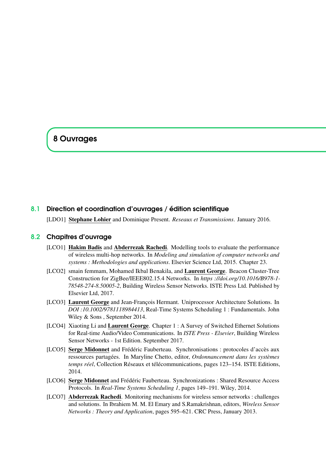# <span id="page-52-0"></span>8 Ouvrages

#### 8.1 Direction et coordination d'ouvrages / édition scientifique

<span id="page-52-1"></span>[LDO1] Stephane Lohier and Dominique Present. *Reseaux et Transmissions*. January 2016.

#### 8.2 Chapitres d'ouvrage

- <span id="page-52-2"></span>[LCO1] Hakim Badis and Abderrezak Rachedi. Modelling tools to evaluate the performance of wireless multi-hop networks. In *Modeling and simulation of computer networks and systems : Methodologies and applications*. Elsevier Science Ltd, 2015. Chapter 23.
- [LCO2] smain femmam, Mohamed Ikbal Benakila, and Laurent George. Beacon Cluster-Tree Construction for ZigBee/IEEE802.15.4 Networks. In *https ://doi.org/10.1016/B978-1- 78548-274-8.50005-2*, Building Wireless Sensor Networks. ISTE Press Ltd. Published by Elsevier Ltd, 2017.
- [LCO3] Laurent George and Jean-François Hermant. Uniprocessor Architecture Solutions. In *DOI :10.1002/9781118984413*, Real-Time Systems Scheduling 1 : Fundamentals. John Wiley & Sons , September 2014.
- [LCO4] Xiaoting Li and Laurent George. Chapter 1 : A Survey of Switched Ethernet Solutions for Real-time Audio/Video Communications. In *ISTE Press - Elsevier*, Building Wireless Sensor Networks - 1st Edition. September 2017.
- [LCO5] Serge Midonnet and Frédéric Fauberteau. Synchronisations : protocoles d'accès aux ressources partagées. In Maryline Chetto, editor, *Ordonnancement dans les systèmes temps réel*, Collection Réseaux et télécommunications, pages 123–154. ISTE Editions, 2014.
- [LCO6] Serge Midonnet and Frédéric Fauberteau. Synchronizations : Shared Resource Access Protocols. In *Real-Time Systems Scheduling 1*, pages 149–191. Wiley, 2014.
- [LCO7] **Abderrezak Rachedi**. Monitoring mechanisms for wireless sensor networks : challenges and solutions. In Ibrahiem M. M. El Emary and S.Ramakrishnan, editors, *Wireless Sensor Networks : Theory and Application*, pages 595–621. CRC Press, January 2013.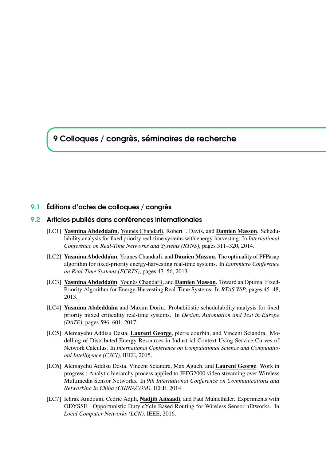<span id="page-54-0"></span>9 Colloques / congrès, séminaires de recherche

#### <span id="page-54-1"></span>9.1 Éditions d'actes de colloques / congrès

#### 9.2 Articles publiés dans conférences internationales

- <span id="page-54-2"></span>[LC1] Yasmina Abdeddaïm, Younès Chandarli, Robert I. Davis, and Damien Masson. Schedulability analysis for fixed priority real-time systems with energy-harvesting. In *International Conference on Real-Time Networks and Systems (RTNS)*, pages 311–320, 2014.
- [LC2] Yasmina Abdeddaïm, Younès Chandarli, and Damien Masson. The optimality of PFPasap algorithm for fixed-priority energy-harvesting real-time systems. In *Euromicro Conference on Real-Time Systems (ECRTS)*, pages 47–56, 2013.
- [LC3] Yasmina Abdeddaïm, Younès Chandarli, and Damien Masson. Toward an Optimal Fixed-Priority Algorithm for Energy-Harvesting Real-Time Systems. In *RTAS WiP*, pages 45–48, 2013.
- [LC4] Yasmina Abdeddaïm and Maxim Dorin. Probabilistic schedulability analysis for fixed priority mixed criticality real-time systems. In *Design, Automation and Test in Europe (DATE)*, pages 596–601, 2017.
- [LC5] Alemayehu Addisu Desta, Laurent George, pierre courbin, and Vincent Sciandra. Modelling of Distributed Energy Resources in Industrial Context Using Service Curves of Network Calculus. In *International Conference on Computational Science and Computational Intelligence (CSCI)*. IEEE, 2015.
- [LC6] Alemayehu Addisu Desta, Vincent Sciandra, Max Agueh, and Laurent George. Work in progress : Analytic hierarchy process applied to JPEG2000 video streaming over Wireless Multimedia Sensor Networks. In *9th International Conference on Communications and Networking in China (CHINACOM)*. IEEE, 2014.
- [LC7] Ichrak Amdouni, Cedric Adjih, Nadjib Aitsaadi, and Paul Muhlethaler. Experiments with ODYSSE : Opportunistic Duty cYcle Based Routing for Wireless Sensor nEtworks. In *Local Computer Networks (LCN)*. IEEE, 2016.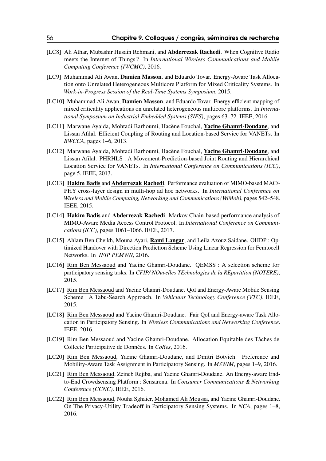- [LC8] Ali Athar, Mubashir Husain Rehmani, and Abderrezak Rachedi. When Cognitive Radio meets the Internet of Things ? In *International Wireless Communications and Mobile Computing Conference (IWCMC)*, 2016.
- [LC9] Muhammad Ali Awan, Damien Masson, and Eduardo Tovar. Energy-Aware Task Allocation onto Unrelated Heterogeneous Multicore Platform for Mixed Criticality Systems. In *Work-in-Progress Session of the Real-Time Systems Symposium*, 2015.
- [LC10] Muhammad Ali Awan, **Damien Masson**, and Eduardo Tovar. Energy efficient mapping of mixed criticality applications on unrelated heterogeneous multicore platforms. In *International Symposium on Industrial Embedded Systems (SIES)*, pages 63–72. IEEE, 2016.
- [LC11] Marwane Ayaida, Mohtadi Barhoumi, Hacène Fouchal, Yacine Ghamri-Doudane, and Lissan Afilal. Efficient Coupling of Routing and Location-based Service for VANETs. In *BWCCA*, pages 1–6, 2013.
- [LC12] Marwane Ayaida, Mohtadi Barhoumi, Hacène Fouchal, Yacine Ghamri-Doudane, and Lissan Afilal. PHRHLS : A Movement-Prediction-based Joint Routing and Hierarchical Location Service for VANETs. In *International Conference on Communications (ICC)*, page 5. IEEE, 2013.
- [LC13] Hakim Badis and Abderrezak Rachedi. Performance evaluation of MIMO-based MAC/- PHY cross-layer design in multi-hop ad hoc networks. In *International Conference on Wireless and Mobile Computing, Networking and Communications (WiMob)*, pages 542–548. IEEE, 2015.
- [LC14] Hakim Badis and Abderrezak Rachedi. Markov Chain-based performance analysis of MIMO-Aware Media Access Control Protocol. In *International Conference on Communications (ICC)*, pages 1061–1066. IEEE, 2017.
- [LC15] Ahlam Ben Cheikh, Mouna Ayari, Rami Langar, and Leila Azouz Saidane. OHDP : Optimized Handover with Direction Prediction Scheme Using Linear Regression for Femtocell Networks. In *IFIP PEMWN*, 2016.
- [LC16] Rim Ben Messaoud and Yacine Ghamri-Doudane. QEMSS : A selection scheme for participatory sensing tasks. In *CFIP/ NOuvelles TEchnologies de la REpartition (NOTERE)*, 2015.
- [LC17] Rim Ben Messaoud and Yacine Ghamri-Doudane. QoI and Energy-Aware Mobile Sensing Scheme : A Tabu-Search Approach. In *Vehicular Technology Conference (VTC)*. IEEE, 2015.
- [LC18] Rim Ben Messaoud and Yacine Ghamri-Doudane. Fair QoI and Energy-aware Task Allocation in Participatory Sensing. In *Wireless Communications and Networking Conference*. IEEE, 2016.
- [LC19] Rim Ben Messaoud and Yacine Ghamri-Doudane. Allocation Equitable des Tâches de Collecte Participative de Données. In *CoRes*, 2016.
- [LC20] Rim Ben Messaoud, Yacine Ghamri-Doudane, and Dmitri Botvich. Preference and Mobility-Aware Task Assignment in Participatory Sensing. In *MSWIM*, pages 1–9, 2016.
- [LC21] Rim Ben Messaoud, Zeineb Rejiba, and Yacine Ghamri-Doudane. An Energy-aware Endto-End Crowdsensing Platform : Sensarena. In *Consumer Communications & Networking Conference (CCNC)*. IEEE, 2016.
- [LC22] Rim Ben Messaoud, Nouha Sghaier, Mohamed Ali Moussa, and Yacine Ghamri-Doudane. On The Privacy-Utility Tradeoff in Participatory Sensing Systems. In *NCA*, pages 1–8, 2016.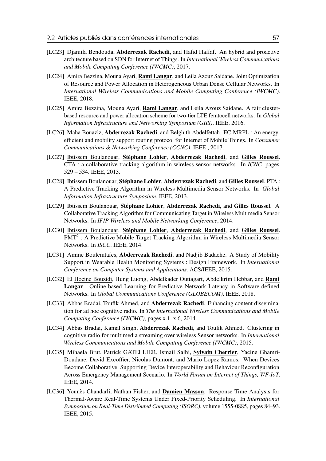- [LC23] Djamila Bendouda, **Abderrezak Rachedi**, and Hafid Haffaf. An hybrid and proactive architecture based on SDN for Internet of Things. In *International Wireless Communications and Mobile Computing Conference (IWCMC)*, 2017.
- [LC24] Amira Bezzina, Mouna Ayari, Rami Langar, and Leila Azouz Saidane. Joint Optimization of Resource and Power Allocation in Heterogeneous Urban Dense Cellular Networks. In *International Wireless Communications and Mobile Computing Conference (IWCMC)*. IEEE, 2018.
- [LC25] Amira Bezzina, Mouna Ayari, Rami Langar, and Leila Azouz Saidane. A fair clusterbased resource and power allocation scheme for two-tier LTE femtocell networks. In *Global Information Infrastructure and Networking Symposium (GIIS)*. IEEE, 2016.
- [LC26] Maha Bouaziz, Abderrezak Rachedi, and Belghith Abdelfettah. EC-MRPL : An energyefficient and mobility support routing protocol for Internet of Mobile Things. In *Consumer Communications & Networking Conference (CCNC)*. IEEE , 2017.
- [LC27] Ibtissem Boulanouar, Stéphane Lohier, Abderrezak Rachedi, and Gilles Roussel. CTA : a collaborative tracking algorithm in wireless sensor networks. In *ICNC*, pages 529 – 534. IEEE, 2013.
- [LC28] Ibtissem Boulanouar, Stéphane Lohier, Abderrezak Rachedi, and Gilles Roussel. PTA : A Predictive Tracking Algorithm in Wireless Multimedia Sensor Networks. In *Global Information Infrastructure Symposium*. IEEE, 2013.
- [LC29] Ibtissem Boulanouar, Stéphane Lohier, Abderrezak Rachedi, and Gilles Roussel. A Collaborative Tracking Algorithm for Communicating Target in Wireless Multimedia Sensor Networks. In *IFIP Wireless and Mobile Networking Conference*, 2014.
- [LC30] Ibtissem Boulanouar, Stéphane Lohier, Abderrezak Rachedi, and Gilles Roussel.  $PMT<sup>2</sup>$ : A Predictive Mobile Target Tracking Algorithm in Wireless Multimedia Sensor Networks. In *ISCC*. IEEE, 2014.
- [LC31] Amine Boulemtafes, **Abderrezak Rachedi**, and Nadjib Badache. A Study of Mobility Support in Wearable Health Monitoring Systems : Design Framework. In *International Conference on Computer Systems and Applications*. ACS/IEEE, 2015.
- [LC32] El Hocine Bouzidi, Hung Luong, Abdelkader Outtagart, Abdelkrim Hebbar, and **Rami** Langar. Online-based Learning for Predictive Network Latency in Software-defined Networks. In *Global Communications Conference (GLOBECOM)*. IEEE, 2018.
- [LC33] Abbas Bradai, Toufik Ahmed, and Abderrezak Rachedi. Enhancing content dissemination for ad hoc cognitive radio. In *The International Wireless Communications and Mobile Computing Conference (IWCMC)*, pages x.1–x.6, 2014.
- [LC34] Abbas Bradai, Kamal Singh, Abderrezak Rachedi, and Toufik Ahmed. Clustering in cognitive radio for multimedia streaming over wireless Sensor networks. In *International Wireless Communications and Mobile Computing Conference (IWCMC)*, 2015.
- [LC35] Mihaela Brut, Patrick GATELLIER, Ismail Salhi, Sylvain Cherrier, Yacine Ghamri-Doudane, David Excoffier, Nicolas Dumont, and Mario Lopez Ramos. When Devices Become Collaborative. Supporting Device Interoperability and Behaviour Reconfiguration Across Emergency Management Scenario. In *World Forum on Internet of Things, WF-IoT*. IEEE, 2014.
- [LC36] Younès Chandarli, Nathan Fisher, and Damien Masson. Response Time Analysis for Thermal-Aware Real-Time Systems Under Fixed-Priority Scheduling. In *International Symposium on Real-Time Distributed Computing (ISORC)*, volume 1555-0885, pages 84–93. IEEE, 2015.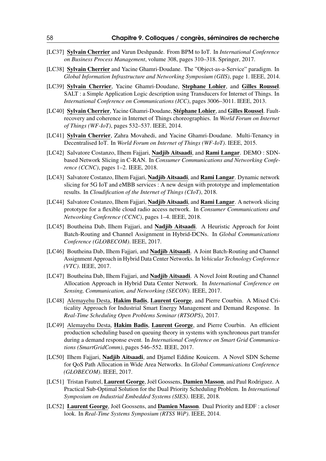- [LC37] Sylvain Cherrier and Varun Deshpande. From BPM to IoT. In *International Conference on Business Process Management*, volume 308, pages 310–318. Springer, 2017.
- [LC38] Sylvain Cherrier and Yacine Ghamri-Doudane. The "Object-as-a-Service" paradigm. In *Global Information Infrastructure and Networking Symposium (GIIS)*, page 1. IEEE, 2014.
- [LC39] Sylvain Cherrier, Yacine Ghamri-Doudane, Stephane Lohier, and Gilles Roussel. SALT : a Simple Application Logic description using Transducers for Internet of Things. In *International Conference on Communications (ICC)*, pages 3006–3011. IEEE, 2013.
- [LC40] Sylvain Cherrier, Yacine Ghamri-Doudane, Stéphane Lohier, and Gilles Roussel. Faultrecovery and coherence in Internet of Things choreographies. In *World Forum on Internet of Things (WF-IoT)*, pages 532–537. IEEE, 2014.
- [LC41] Sylvain Cherrier, Zahra Movahedi, and Yacine Ghamri-Doudane. Multi-Tenancy in Decentralised IoT. In *World Forum on Internet of Things (WF-IoT)*. IEEE, 2015.
- [LC42] Salvatore Costanzo, Ilhem Fajjari, Nadjib Aitsaadi, and Rami Langar. DEMO : SDNbased Network Slicing in C-RAN. In *Consumer Communications and Networking Conference (CCNC)*, pages 1–2. IEEE, 2018.
- [LC43] Salvatore Costanzo, Ilhem Fajjari, Nadjib Aitsaadi, and Rami Langar. Dynamic network slicing for 5G IoT and eMBB services : A new design with prototype and implementation results. In *Cloudification of the Internet of Things (CIoT)*, 2018.
- [LC44] Salvatore Costanzo, Ilhem Fajjari, Nadjib Aitsaadi, and Rami Langar. A network slicing prototype for a flexible cloud radio access network. In *Consumer Communications and Networking Conference (CCNC)*, pages 1–4. IEEE, 2018.
- [LC45] Boutheina Dab, Ilhem Fajjari, and Nadjib Aitsaadi. A Heuristic Approach for Joint Batch-Routing and Channel Assignment in Hybrid-DCNs. In *Global Communications Conference (GLOBECOM)*. IEEE, 2017.
- [LC46] Boutheina Dab, Ilhem Fajjari, and **Nadjib Aitsaadi**. A Joint Batch-Routing and Channel Assignment Approach in Hybrid Data Center Networks. In *Vehicular Technology Conference (VTC)*. IEEE, 2017.
- [LC47] Boutheina Dab, Ilhem Fajjari, and Nadjib Aitsaadi. A Novel Joint Routing and Channel Allocation Approach in Hybrid Data Center Network. In *International Conference on Sensing, Communication, and Networking (SECON)*. IEEE, 2017.
- [LC48] Alemayehu Desta, Hakim Badis, Laurent George, and Pierre Courbin. A Mixed Criticality Approach for Industrial Smart Energy Management and Demand Response. In *Real-Time Scheduling Open Problems Seminar (RTSOPS)*, 2017.
- [LC49] Alemayehu Desta, Hakim Badis, Laurent George, and Pierre Courbin. An efficient production scheduling based on queuing theory in systems with synchronous part transfer during a demand response event. In *International Conference on Smart Grid Communications (SmartGridComm)*, pages 546–552. IEEE, 2017.
- [LC50] Ilhem Fajjari, Nadjib Aitsaadi, and Djamel Eddine Kouicem. A Novel SDN Scheme for QoS Path Allocation in Wide Area Networks. In *Global Communications Conference (GLOBECOM)*. IEEE, 2017.
- [LC51] Tristan Fautrel, Laurent George, Joël Goossens, Damien Masson, and Paul Rodriguez. A Practical Sub-Optimal Solution for the Dual Priority Scheduling Problem. In *International Symposium on Industrial Embedded Systems (SIES)*. IEEE, 2018.
- [LC52] Laurent George, Joël Goossens, and Damien Masson. Dual Priority and EDF : a closer look. In *Real-Time Systems Symposium (RTSS WiP)*. IEEE, 2014.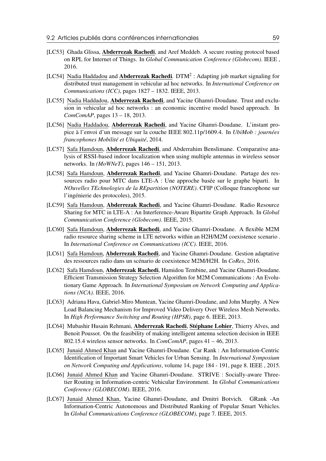- [LC53] Ghada Glissa, **Abderrezak Rachedi**, and Aref Meddeb. A secure routing protocol based on RPL for Internet of Things. In *Global Communication Conference (Globecom)*. IEEE , 2016.
- [LC54] Nadia Haddadou and **Abderrezak Rachedi**. DTM<sup>2</sup>: Adapting job market signaling for distributed trust management in vehicular ad hoc networks. In *International Conference on Communications (ICC)*, pages 1827 – 1832. IEEE, 2013.
- [LC55] Nadia Haddadou, Abderrezak Rachedi, and Yacine Ghamri-Doudane. Trust and exclusion in vehicular ad hoc networks : an economic incentive model based approach. In *ComComAP*, pages 13 – 18, 2013.
- [LC56] Nadia Haddadou, Abderrezak Rachedi, and Yacine Ghamri-Doudane. L'instant propice à l'envoi d'un message sur la couche IEEE 802.11p/1609.4. In *UbiMob : journées francophones Mobilité et Ubiquité*, 2014.
- [LC57] Safa Hamdoun, Abderrezak Rachedi, and Abderrahim Benslimane. Comparative analysis of RSSI-based indoor localization when using multiple antennas in wireless sensor networks. In *(MoWNeT)*, pages 146 – 151, 2013.
- [LC58] Safa Hamdoun, Abderrezak Rachedi, and Yacine Ghamri-Doudane. Partage des ressources radio pour MTC dans LTE-A : Une approche basée sur le graphe biparti. In *NOuvelles TEchnologies de la REpartition (NOTERE)*. CFIP (Colloque francophone sur l'ingénierie des protocoles), 2015.
- [LC59] Safa Hamdoun, Abderrezak Rachedi, and Yacine Ghamri-Doudane. Radio Resource Sharing for MTC in LTE-A : An Interference-Aware Bipartite Graph Approach. In *Global Communication Conference (Globecom)*. IEEE, 2015.
- [LC60] Safa Hamdoun, Abderrezak Rachedi, and Yacine Ghamri-Doudane. A flexible M2M radio resource sharing scheme in LTE networks within an H2H/M2M coexistence scenario . In *International Conference on Communications (ICC)*. IEEE, 2016.
- [LC61] Safa Hamdoun, Abderrezak Rachedi, and Yacine Ghamri-Doudane. Gestion adaptative des ressources radio dans un scénario de coexistence M2M/H2H. In *CoRes*, 2016.
- [LC62] Safa Hamdoun, Abderrezak Rachedi, Hamidou Tembine, and Yacine Ghamri-Doudane. Efficient Transmission Strategy Selection Algorithm for M2M Communications : An Evolutionary Game Approach. In *International Symposium on Network Computing and Applications (NCA)*. IEEE, 2016.
- [LC63] Adriana Hava, Gabriel-Miro Muntean, Yacine Ghamri-Doudane, and John Murphy. A New Load Balancing Mechanism for Improved Video Delivery Over Wireless Mesh Networks. In *High Performance Switching and Routing (HPSR)*, page 6. IEEE, 2013.
- [LC64] Mubashir Husain Rehmani, Abderrezak Rachedi, Stéphane Lohier, Thierry Alves, and Benoit Poussot. On the feasibility of making intelligent antenna selection decision in IEEE 802.15.4 wireless sensor networks. In *ComComAP*, pages 41 – 46, 2013.
- [LC65] Junaid Ahmed Khan and Yacine Ghamri-Doudane. Car Rank : An Information-Centric Identification of Important Smart Vehicles for Urban Sensing. In *International Symposium on Network Computing and Applications*, volume 14, page 184 - 191, page 8. IEEE , 2015.
- [LC66] Junaid Ahmed Khan and Yacine Ghamri-Doudane. STRIVE : Socially-aware Threetier Routing in Information-centric Vehicular Environment. In *Global Communications Conference (GLOBECOM)*. IEEE, 2016.
- [LC67] Junaid Ahmed Khan, Yacine Ghamri-Doudane, and Dmitri Botvich. GRank -An Information-Centric Autonomous and Distributed Ranking of Popular Smart Vehicles. In *Global Communications Conference (GLOBECOM)*, page 7. IEEE, 2015.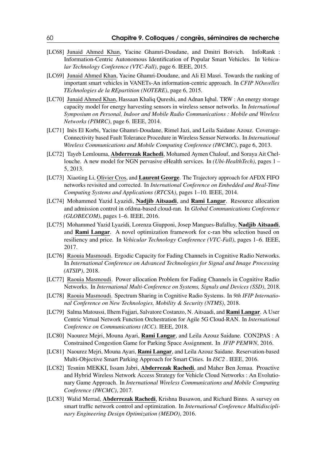- [LC68] Junaid Ahmed Khan, Yacine Ghamri-Doudane, and Dmitri Botvich. InfoRank : Information-Centric Autonomous Identification of Popular Smart Vehicles. In *Vehicular Technology Conference (VTC-Fall)*, page 6. IEEE, 2015.
- [LC69] Junaid Ahmed Khan, Yacine Ghamri-Doudane, and Ali El Masri. Towards the ranking of important smart vehicles in VANETs-An information-centric approach. In *CFIP NOuvelles TEchnologies de la REpartition (NOTERE)*, page 6, 2015.
- [LC70] Junaid Ahmed Khan, Hassaan Khaliq Qureshi, and Adnan Iqbal. TRW : An energy storage capacity model for energy harvesting sensors in wireless sensor networks. In *International Symposium on Personal, Indoor and Mobile Radio Communications : Mobile and Wireless Networks (PIMRC)*, page 6. IEEE, 2014.
- [LC71] Inès El Korbi, Yacine Ghamri-Doudane, Rimel Jazi, and Leila Saidane Azouz. Coverage-Connectivity based Fault Tolerance Procedure in Wireless Sensor Networks. In *International Wireless Communications and Mobile Computing Conference (IWCMC)*, page 6, 2013.
- [LC72] Tayeb Lemlouma, Abderrezak Rachedi, Mohamed Aymen Chalouf, and Soraya Ait Chellouche. A new model for NGN pervasive eHealth services. In *(Ubi-HealthTech)*, pages 1 – 5, 2013.
- [LC73] Xiaoting Li, Olivier Cros, and Laurent George. The Trajectory approach for AFDX FIFO networks revisited and corrected. In *International Conference on Embedded and Real-Time Computing Systems and Applications (RTCSA)*, pages 1–10. IEEE, 2014.
- [LC74] Mohammed Yazid Lyazidi, Nadjib Aitsaadi, and Rami Langar. Resource allocation and admission control in ofdma-based cloud-ran. In *Global Communications Conference (GLOBECOM)*, pages 1–6. IEEE, 2016.
- [LC75] Mohammed Yazid Lyazidi, Lorenza Giupponi, Josep Mangues-Bafalluy, Nadjib Aitsaadi, and Rami Langar. A novel optimization framework for c-ran bbu selection based on resiliency and price. In *Vehicular Technology Conference (VTC-Fall)*, pages 1–6. IEEE, 2017.
- [LC76] Raouia Masmoudi. Ergodic Capacity for Fading Channels in Cognitive Radio Networks. In *International Conference on Advanced Technologies for Signal and Image Processing (ATSIP)*, 2018.
- [LC77] Raouia Masmoudi. Power allocation Problem for Fading Channels in Cognitive Radio Networks. In *International Multi-Conference on Systems, Signals and Devices (SSD)*, 2018.
- [LC78] Raouia Masmoudi. Spectrum Sharing in Cognitive Radio Systems. In *9th IFIP International Conference on New Technologies, Mobility & Security (NTMS)*, 2018.
- [LC79] Salma Matoussi, Ilhem Fajjari, Salvatore Costanzo, N. Aitsaadi, and Rami Langar. A User Centric Virtual Network Function Orchestration for Agile 5G Cloud-RAN. In *International Conference on Communications (ICC)*. IEEE, 2018.
- [LC80] Naourez Mejri, Mouna Ayari, Rami Langar, and Leila Azouz Saidane. CON2PAS : A Constrained Congestion Game for Parking Space Assignment. In *IFIP PEMWN*, 2016.
- [LC81] Naourez Mejri, Mouna Ayari, Rami Langar, and Leila Azouz Saidane. Reservation-based Multi-Objective Smart Parking Approach for Smart Cities. In *ISC2* . IEEE, 2016.
- [LC82] Tesnim MEKKI, Issam Jabri, Abderrezak Rachedi, and Maher Ben Jemaa. Proactive and Hybrid Wireless Network Access Strategy for Vehicle Cloud Networks : An Evolutionary Game Approach. In *International Wireless Communications and Mobile Computing Conference (IWCMC)*, 2017.
- [LC83] Walid Merrad, **Abderrezak Rachedi**, Krishna Busawon, and Richard Binns. A survey on smart traffic network control and optimization. In *International Conference Multidisciplinary Engineering Design Optimization (MEDO)*, 2016.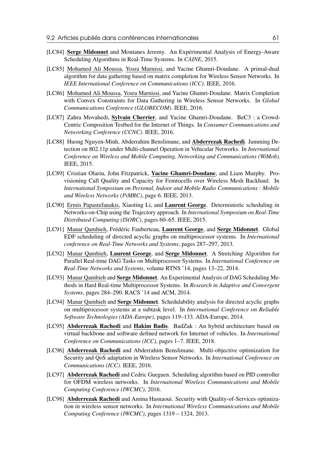- [LC84] Serge Midonnet and Montanes Jeremy. An Expérimental Analysis of Energy-Aware Scheduling Algorithms in Real-Time Systems. In *CAINE*, 2015.
- [LC85] Mohamed Ali Moussa, Yosra Marnissi, and Yacine Ghamri-Doudane. A primal-dual algorithm for data gathering based on matrix completion for Wireless Sensor Networks. In *IEEE International Conference on Communications (ICC)*. IEEE, 2016.
- [LC86] Mohamed Ali Moussa, Yosra Marnissi, and Yacine Ghamri-Doudane. Matrix Completion with Convex Constraints for Data Gathering in Wireless Sensor Networks. In *Global Communications Conference (GLOBECOM)*. IEEE, 2016.
- [LC87] Zahra Movahedi, Sylvain Cherrier, and Yacine Ghamri-Doudane. BeC3 : a Crowd-Centric Composition Testbed for the Internet of Things. In *Consumer Communications and Networking Conference (CCNC)*. IEEE, 2016.
- [LC88] Huong Nguyen-Minh, Abderrahim Benslimane, and Abderrezak Rachedi. Jamming Detection on 802.11p under Multi-channel Operation in Vehicular Networks. In *International Conference on Wireless and Mobile Computing, Networking and Communications (WiMob)*. IEEE, 2015.
- [LC89] Cristian Olariu, John Fitzpatrick, Yacine Ghamri-Doudane, and Liam Murphy. Provisioning Call Quality and Capacity for Femtocells over Wireless Mesh Backhaul. In *International Symposium on Personal, Indoor and Mobile Radio Communications : Mobile and Wireless Networks (PiMRC)*, page 6. IEEE, 2013.
- [LC90] Ermis Papastefanakis, Xiaoting Li, and Laurent George. Deterministic scheduling in Networks-on-Chip using the Trajectory approach. In *International Symposium on Real-Time Distributed Computing (ISORC)*, pages 60–65. IEEE, 2015.
- [LC91] Manar Qamhieh, Frédéric Fauberteau, Laurent George, and Serge Midonnet. Global EDF scheduling of directed acyclic graphs on multiprocessor systems. In *International conference on Real-Time Networks and Systems*, pages 287–297, 2013.
- [LC92] Manar Qamhieh, Laurent George, and Serge Midonnet. A Stretching Algorithm for Parallel Real-time DAG Tasks on Multiprocessor Systems. In *International Conference on Real-Time Networks and Systems*, volume RTNS '14, pages 13–22, 2014.
- [LC93] Manar Qamhieh and Serge Midonnet. An Experimental Analysis of DAG Scheduling Methods in Hard Real-time Multiprocessor Systems. In *Research in Adaptive and Convergent Systems*, pages 284–290. RACS '14 and ACM, 2014.
- [LC94] Manar Qamhieh and Serge Midonnet. Schedulability analysis for directed acyclic graphs on multiprocessor systems at a subtask level. In *International Conference on Reliable Software Technologies (ADA-Europe)*, pages 119–133. ADA-Europe, 2014.
- [LC95] Abderrezak Rachedi and Hakim Badis. BadZak : An hybrid architecture based on virtual backbone and software defined network for Internet of vehicles. In *International Conference on Communications (ICC)*, pages 1–7. IEEE, 2018.
- [LC96] Abderrezak Rachedi and Abderrahim Benslimane. Multi-objective optimization for Security and QoS adaptation in Wireless Sensor Networks. In *International Conference on Communications (ICC)*. IEEE, 2016.
- [LC97] Abderrezak Rachedi and Cedric Gueguen. Scheduling algorithm based on PID controller for OFDM wireless networks. In *International Wireless Communications and Mobile Computing Conference (IWCMC)*, 2016.
- [LC98] Abderrezak Rachedi and Amina Hasnaoui. Security with Quality-of-Services optimization in wireless sensor networks. In *International Wireless Communications and Mobile Computing Conference (IWCMC)*, pages 1319 – 1324, 2013.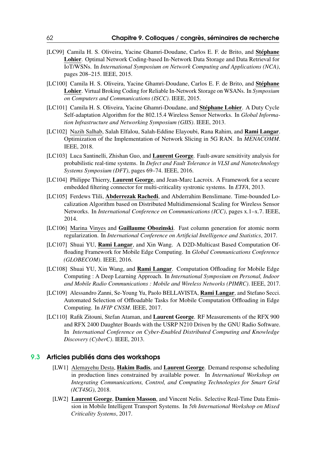- [LC99] Camila H. S. Oliveira, Yacine Ghamri-Doudane, Carlos E. F. de Brito, and Stéphane Lohier. Optimal Network Coding-based In-Network Data Storage and Data Retrieval for IoT/WSNs. In *International Symposium on Network Computing and Applications (NCA)*, pages 208–215. IEEE, 2015.
- [LC100] Camila H. S. Oliveira, Yacine Ghamri-Doudane, Carlos E. F. de Brito, and Stéphane Lohier. Virtual Broking Coding for Reliable In-Network Storage on WSANs. In *Symposium on Computers and Communications (ISCC)*. IEEE, 2015.
- [LC101] Camila H. S. Oliveira, Yacine Ghamri-Doudane, and Stéphane Lohier. A Duty Cycle Self-adaptation Algorithm for the 802.15.4 Wireless Sensor Networks. In *Global Information Infrastructure and Networking Symposium (GIIS)*. IEEE, 2013.
- [LC102] Nazih Salhab, Salah Elfalou, Salah-Eddine Elayoubi, Rana Rahim, and Rami Langar. Optimization of the Implementation of Network Slicing in 5G RAN. In *MENACOMM*. IEEE, 2018.
- [LC103] Luca Santinelli, Zhishan Guo, and Laurent George. Fault-aware sensitivity analysis for probabilistic real-time systems. In *Defect and Fault Tolerance in VLSI and Nanotechnology Systems Symposium (DFT)*, pages 69–74. IEEE, 2016.
- [LC104] Philippe Thierry, Laurent George, and Jean-Marc Lacroix. A Framework for a secure embedded filtering connector for multi-criticality systronic systems. In *ETFA*, 2013.
- [LC105] Ferdews Tlili, Abderrezak Rachedi, and Abderrahim Benslimane. Time-bounded Localization Algorithm based on Distributed Multidimensional Scaling for Wireless Sensor Networks. In *International Conference on Communications (ICC)*, pages x.1–x.7. IEEE, 2014.
- [LC106] Marina Vinyes and Guillaume Obozinski. Fast column generation for atomic norm regularization. In *International Conference on Artificial Intelligence and Statistics*, 2017.
- [LC107] Shuai YU, Rami Langar, and Xin Wang. A D2D-Multicast Based Computation Offloading Framework for Mobile Edge Computing. In *Global Communications Conference (GLOBECOM)*. IEEE, 2016.
- [LC108] Shuai YU, Xin Wang, and Rami Langar. Computation Offloading for Mobile Edge Computing : A Deep Learning Approach. In *International Symposium on Personal, Indoor and Mobile Radio Communications : Mobile and Wireless Networks (PIMRC)*. IEEE, 2017.
- [LC109] Alessandro Zanni, Se-Young Yu, Paolo BELLAVISTA, Rami Langar, and Stefano Secci. Automated Selection of Offloadable Tasks for Mobile Computation Offloading in Edge Computing. In *IFIP CNSM*. IEEE, 2017.
- [LC110] Rafik Zitouni, Stefan Ataman, and Laurent George. RF Measurements of the RFX 900 and RFX 2400 Daughter Boards with the USRP N210 Driven by the GNU Radio Software. In *International Conference on Cyber-Enabled Distributed Computing and Knowledge Discovery (CyberC)*. IEEE, 2013.

#### 9.3 Articles publiés dans des workshops

- <span id="page-61-0"></span>[LW1] Alemayehu Desta, Hakim Badis, and Laurent George. Demand response scheduling in production lines constrained by available power. In *International Workshop on Integrating Communications, Control, and Computing Technologies for Smart Grid (ICT4SG)*, 2018.
- [LW2] Laurent George, Damien Masson, and Vincent Nelis. Selective Real-Time Data Emission in Mobile Intelligent Transport Systems. In *5th International Workshop on Mixed Criticality Systems*, 2017.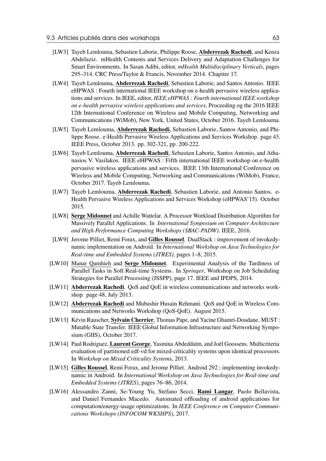- [LW3] Tayeb Lemlouma, Sebastien Laborie, Philippe Roose, Abderrezak Rachedi, and Kenza Abdelaziz. mHealth Contents and Services Delivery and Adaptation Challenges for Smart Environments. In Sasan Adibi, editor, *mHealth Multidisciplinary Verticals*, pages 295–314. CRC Press/Taylor & Francis, November 2014. Chapitre 17.
- [LW4] Tayeb Lemlouma, Abderrezak Rachedi, Sebastien Laborie, and Santos Antonio. IEEE eHPWAS : Fourth international IEEE workshop on e-health pervasive wireless applications and services. In IEEE, editor, *IEEE eHPWAS : Fourth international IEEE workshop on e-health pervasive wireless applications and services*, Proceeding og the 2016 IEEE 12th International Conference on Wireless and Mobile Computing, Networking and Communications (WiMob), New York, United States, October 2016. Tayeb Lemlouma.
- [LW5] Tayeb Lemlouma, Abderrezak Rachedi, Sebastien Laborie, Santos Antonio, and Philippe Roose. e-Health Pervasive Wireless Applications and Services Workshop. page 43. IEEE Press, October 2013. pp. 302-321, pp. 200-222.
- [LW6] Tayeb Lemlouma, Abderrezak Rachedi, Sebastien Laborie, Santos Antonio, and Athanasios V. Vasilakos. IEEE eHPWAS : Fifth international IEEE workshop on e-health pervasive wireless applications and services. IEEE 13th International Conference on Wireless and Mobile Computing, Networking and Communications (WiMob), France, October 2017. Tayeb Lemlouma.
- [LW7] Tayeb Lemlouma, Abderrezak Rachedi, Sebastien Laborie, and Antonio Santos. e-Health Pervasive Wireless Applications and Services Workshop (eHPWAS'15). October 2015.
- [LW8] Serge Midonnet and Achille Wattelar. A Processor Workload Distribution Algorithm for Massively Parallel Applications. In *International Symposium on Computer Architecture and High Performance Computing Workshops (SBAC-PADW)*. IEEE, 2016.
- [LW9] Jerome Pilliet, Remi Forax, and Gilles Roussel. DualStack : improvement of invokedynamic implementation on Android. In *International Workshop on Java Technologies for Real-time and Embedded Systems (JTRES)*, pages 1–8, 2015.
- [LW10] Manar Qamhieh and Serge Midonnet. Experimental Analysis of the Tardiness of Parallel Tasks in Soft Real-time Systems. In *Springer*, Workshop on Job Scheduling Strategies for Parallel Processing (JSSPP), page 17. IEEE and IPDPS, 2014.
- [LW11] **Abderrezak Rachedi**. QoS and QoE in wireless communications and networks workshop. page 48, July 2013.
- [LW12] Abderrezak Rachedi and Mubashir Husain Rehmani. QoS and QoE in Wireless Communications and Networks Workshop (QoS-QoE). August 2015.
- [LW13] Kévin Rauscher, Sylvain Cherrier, Thomas Pape, and Yacine Ghamri-Doudane. MUST : Mutable State Transfer. IEEE Global Information Infrastructure and Networking Symposium (GIIS), October 2017.
- [LW14] Paul Rodriguez, Laurent George, Yasmina Abdeddaïm, and Joël Goossens. Multicriteria evaluation of partitioned edf-vd for mixed-criticality systems upon identical processors. In *Workshop on Mixed Criticality Systems*, 2013.
- [LW15] Gilles Roussel, Remi Forax, and Jerome Pilliet. Android 292 : implementing invokedynamic in Android. In *International Workshop on Java Technologies for Real-time and Embedded Systems (JTRES)*, pages 76–86, 2014.
- [LW16] Alessandro Zanni, Se-Young Yu, Stefano Secci, Rami Langar, Paolo Bellavista, and Daniel Fernandes Macedo. Automated offloading of android applications for computation/energy-usage optimizations. In *IEEE Conference on Computer Communications Workshops (INFOCOM WKSHPS)*, 2017.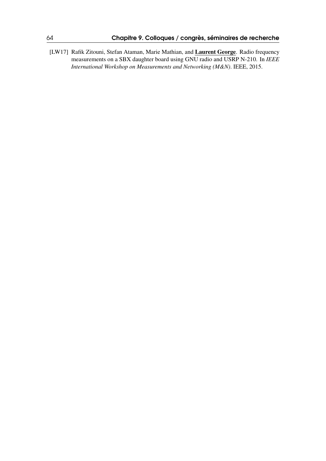[LW17] Rafik Zitouni, Stefan Ataman, Marie Mathian, and Laurent George. Radio frequency measurements on a SBX daughter board using GNU radio and USRP N-210. In *IEEE International Workshop on Measurements and Networking (M&N)*. IEEE, 2015.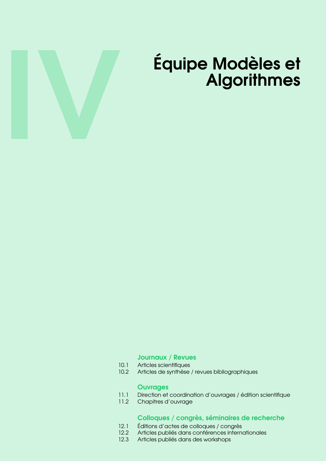

# Équipe Modèles et **Algorithmes**

#### [Journaux / Revues](#page-66-0)

- 10.1 [Articles scientifiques](#page-66-1)<br>10.2 Articles de synthèse
- Articles de synthèse / revues bibliographiques

#### **[Ouvrages](#page-76-0)**

- 11.1 [Direction et coordination d'ouvrages / édition scientifique](#page-76-1)
- 11.2 [Chapitres d'ouvrage](#page-76-2)

#### [Colloques / congrès, séminaires de recherche](#page-78-0)

- 12.1 [Éditions d'actes de colloques / congrès](#page-78-1)<br>12.2 Articles publiés dans conférences interne
- 12.2 [Articles publiés dans conférences internationales](#page-78-2)<br>12.3 Articles publiés dans des workshops
- Articles publiés dans des workshops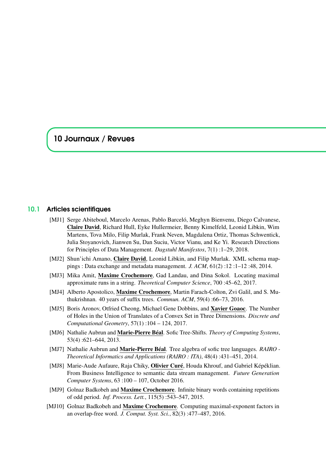# <span id="page-66-0"></span>10 Journaux / Revues

#### 10.1 Articles scientifiques

- <span id="page-66-1"></span>[MJ1] Serge Abiteboul, Marcelo Arenas, Pablo Barceló, Meghyn Bienvenu, Diego Calvanese, Claire David, Richard Hull, Eyke Hullermeier, Benny Kimelfeld, Leonid Libkin, Wim Martens, Tova Milo, Filip Murlak, Frank Neven, Magdalena Ortiz, Thomas Schwentick, Julia Stoyanovich, Jianwen Su, Dan Suciu, Victor Vianu, and Ke Yi. Research Directions for Principles of Data Management. *Dagstuhl Manifestos*, 7(1) :1–29, 2018.
- [MJ2] Shun'ichi Amano, Claire David, Leonid Libkin, and Filip Murlak. XML schema mappings : Data exchange and metadata management. *J. ACM*, 61(2) :12 :1–12 :48, 2014.
- [MJ3] Mika Amit, Maxime Crochemore, Gad Landau, and Dina Sokol. Locating maximal approximate runs in a string. *Theoretical Computer Science*, 700 :45–62, 2017.
- [MJ4] Alberto Apostolico, Maxime Crochemore, Martin Farach-Colton, Zvi Galil, and S. Muthukrishnan. 40 years of suffix trees. *Commun. ACM*, 59(4) :66–73, 2016.
- [MJ5] Boris Aronov, Otfried Cheong, Michael Gene Dobbins, and Xavier Goaoc. The Number of Holes in the Union of Translates of a Convex Set in Three Dimensions. *Discrete and Computational Geometry*, 57(1) :104 – 124, 2017.
- [MJ6] Nathalie Aubrun and Marie-Pierre Béal. Sofic Tree-Shifts. *Theory of Computing Systems*, 53(4) :621–644, 2013.
- [MJ7] Nathalie Aubrun and Marie-Pierre Béal. Tree algebra of sofic tree languages. *RAIRO - Theoretical Informatics and Applications (RAIRO : ITA)*, 48(4) :431–451, 2014.
- [MJ8] Marie-Aude Aufaure, Raja Chiky, Olivier Curé, Houda Khrouf, and Gabriel Képéklian. From Business Intelligence to semantic data stream management. *Future Generation Computer Systems*, 63 :100 – 107, October 2016.
- [MJ9] Golnaz Badkobeh and Maxime Crochemore. Infinite binary words containing repetitions of odd period. *Inf. Process. Lett.*, 115(5) :543–547, 2015.
- [MJ10] Golnaz Badkobeh and Maxime Crochemore. Computing maximal-exponent factors in an overlap-free word. *J. Comput. Syst. Sci.*, 82(3) :477–487, 2016.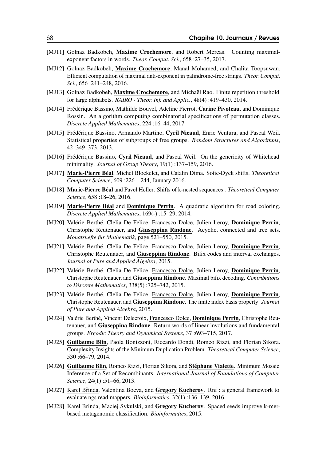- [MJ11] Golnaz Badkobeh, Maxime Crochemore, and Robert Mercas. Counting maximalexponent factors in words. *Theor. Comput. Sci.*, 658 :27–35, 2017.
- [MJ12] Golnaz Badkobeh, Maxime Crochemore, Manal Mohamed, and Chalita Toopsuwan. Efficient computation of maximal anti-exponent in palindrome-free strings. *Theor. Comput. Sci.*, 656 :241–248, 2016.
- [MJ13] Golnaz Badkobeh, Maxime Crochemore, and Michaël Rao. Finite repetition threshold for large alphabets. *RAIRO - Theor. Inf. and Applic.*, 48(4) :419–430, 2014.
- [MJ14] Frédérique Bassino, Mathilde Bouvel, Adeline Pierrot, Carine Pivoteau, and Dominique Rossin. An algorithm computing combinatorial specifications of permutation classes. *Discrete Applied Mathematics*, 224 :16–44, 2017.
- [MJ15] Frédérique Bassino, Armando Martino, Cyril Nicaud, Enric Ventura, and Pascal Weil. Statistical properties of subgroups of free groups. *Random Structures and Algorithms*, 42 :349–373, 2013.
- [MJ16] Frédérique Bassino, Cyril Nicaud, and Pascal Weil. On the genericity of Whitehead minimality. *Journal of Group Theory*, 19(1) :137–159, 2016.
- [MJ17] Marie-Pierre Béal, Michel Blockelet, and Catalin Dima. Sofic-Dyck shifts. *Theoretical Computer Science*, 609 :226 – 244, January 2016.
- [MJ18] Marie-Pierre Béal and Pavel Heller. Shifts of k-nested sequences . *Theoretical Computer Science*, 658 :18–26, 2016.
- [MJ19] Marie-Pierre Béal and Dominique Perrin. A quadratic algorithm for road coloring. *Discrete Applied Mathematics*, 169(-) :15–29, 2014.
- [MJ20] Valérie Berthé, Clelia De Felice, Francesco Dolce, Julien Leroy, Dominique Perrin, Christophe Reutenauer, and Giuseppina Rindone. Acyclic, connected and tree sets. *Monatshefte für Mathematik*, page 521–550, 2015.
- [MJ21] Valérie Berthé, Clelia De Felice, Francesco Dolce, Julien Leroy, Dominique Perrin, Christophe Reutenauer, and Giuseppina Rindone. Bifix codes and interval exchanges. *Journal of Pure and Applied Algebra*, 2015.
- [MJ22] Valérie Berthé, Clelia De Felice, Francesco Dolce, Julien Leroy, Dominique Perrin, Christophe Reutenauer, and Giuseppina Rindone. Maximal bifix decoding. *Contributions to Discrete Mathematics*, 338(5) :725–742, 2015.
- [MJ23] Valérie Berthé, Clelia De Felice, Francesco Dolce, Julien Leroy, Dominique Perrin, Christophe Reutenauer, and Giuseppina Rindone. The finite index basis property. *Journal of Pure and Applied Algebra*, 2015.
- [MJ24] Valérie Berthé, Vincent Delecroix, Francesco Dolce, Dominique Perrin, Christophe Reutenauer, and Giuseppina Rindone. Return words of linear involutions and fundamental groups. *Ergodic Theory and Dynamical Systems*, 37 :693–715, 2017.
- [MJ25] Guillaume Blin, Paola Bonizzoni, Riccardo Dondi, Romeo Rizzi, and Florian Sikora. Complexity Insights of the Minimum Duplication Problem. *Theoretical Computer Science*, 530 :66–79, 2014.
- [MJ26] Guillaume Blin, Romeo Rizzi, Florian Sikora, and Stéphane Vialette. Minimum Mosaic Inference of a Set of Recombinants. *International Journal of Foundations of Computer Science*, 24(1) :51–66, 2013.
- [MJ27] Karel Břinda, Valentina Boeva, and Gregory Kucherov. Rnf : a general framework to evaluate ngs read mappers. *Bioinformatics*, 32(1) :136–139, 2016.
- [MJ28] Karel Brinda, Maciej Sykulski, and Gregory Kucherov. Spaced seeds improve k-merbased metagenomic classification. *Bioinformatics*, 2015.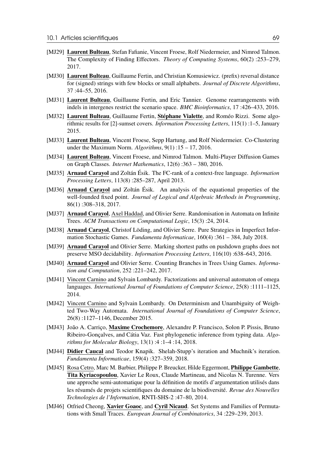- [MJ29] Laurent Bulteau, Stefan Fafianie, Vincent Froese, Rolf Niedermeier, and Nimrod Talmon. The Complexity of Finding Effectors. *Theory of Computing Systems*, 60(2) :253–279, 2017.
- [MJ30] Laurent Bulteau, Guillaume Fertin, and Christian Komusiewicz. (prefix) reversal distance for (signed) strings with few blocks or small alphabets. *Journal of Discrete Algorithms*, 37 :44–55, 2016.
- [MJ31] Laurent Bulteau, Guillaume Fertin, and Eric Tannier. Genome rearrangements with indels in intergenes restrict the scenario space. *BMC Bioinformatics*, 17 :426–433, 2016.
- [MJ32] Laurent Bulteau, Guillaume Fertin, Stéphane Vialette, and Roméo Rizzi. Some algorithmic results for [2]-sumset covers. *Information Processing Letters*, 115(1) :1–5, January 2015.
- [MJ33] Laurent Bulteau, Vincent Froese, Sepp Hartung, and Rolf Niedermeier. Co-Clustering under the Maximum Norm. *Algorithms*, 9(1) :15 – 17, 2016.
- [MJ34] Laurent Bulteau, Vincent Froese, and Nimrod Talmon. Multi-Player Diffusion Games on Graph Classes. *Internet Mathematics*, 12(6) :363 – 380, 2016.
- [MJ35] Arnaud Carayol and Zoltán Ésik. The FC-rank of a context-free language. *Information Processing Letters*, 113(8) :285–287, April 2013.
- [MJ36] Arnaud Carayol and Zoltán Ésik. An analysis of the equational properties of the well-founded fixed point. *Journal of Logical and Algebraic Methods in Programming*, 86(1) :308–318, 2017.
- [MJ37] Arnaud Carayol, Axel Haddad, and Olivier Serre. Randomisation in Automata on Infinite Trees. *ACM Transactions on Computational Logic*, 15(3) :24, 2014.
- [MJ38] Arnaud Carayol, Christof Löding, and Olivier Serre. Pure Strategies in Imperfect Information Stochastic Games. *Fundamenta Informaticae*, 160(4) :361 – 384, July 2018.
- [MJ39] Arnaud Carayol and Olivier Serre. Marking shortest paths on pushdown graphs does not preserve MSO decidability. *Information Processing Letters*, 116(10) :638–643, 2016.
- [MJ40] **Arnaud Carayol** and Olivier Serre. Counting Branches in Trees Using Games. *Information and Computation*, 252 :221–242, 2017.
- [MJ41] Vincent Carnino and Sylvain Lombardy. Factorizations and universal automaton of omega languages. *International Journal of Foundations of Computer Science*, 25(8) :1111–1125, 2014.
- [MJ42] Vincent Carnino and Sylvain Lombardy. On Determinism and Unambiguity of Weighted Two-Way Automata. *International Journal of Foundations of Computer Science*, 26(8) :1127–1146, December 2015.
- [MJ43] João A. Carriço, Maxime Crochemore, Alexandre P. Francisco, Solon P. Pissis, Bruno Ribeiro-Gonçalves, and Cátia Vaz. Fast phylogenetic inference from typing data. *Algorithms for Molecular Biology*, 13(1) :4 :1–4 :14, 2018.
- [MJ44] Didier Caucal and Teodor Knapik. Shelah-Stupp's iteration and Muchnik's iteration. *Fundamenta Informaticae*, 159(4) :327–359, 2018.
- [MJ45] Rosa Cetro, Marc M. Barbier, Philippe P. Breucker, Hilde Eggermont, Philippe Gambette, Tita Kyriacopoulou, Xavier Le Roux, Claude Martineau, and Nicolas N. Turenne. Vers une approche semi-automatique pour la définition de motifs d'argumentation utilisés dans les résumés de projets scientifiques du domaine de la biodiversité. *Revue des Nouvelles Technologies de l'Information*, RNTI-SHS-2 :47–80, 2014.
- [MJ46] Otfried Cheong, Xavier Goaoc, and Cyril Nicaud. Set Systems and Families of Permutations with Small Traces. *European Journal of Combinatorics*, 34 :229–239, 2013.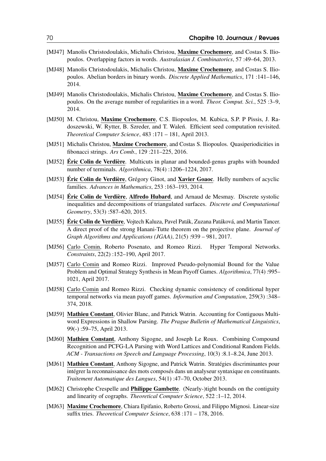- [MJ47] Manolis Christodoulakis, Michalis Christou, Maxime Crochemore, and Costas S. Iliopoulos. Overlapping factors in words. *Australasian J. Combinatorics*, 57 :49–64, 2013.
- [MJ48] Manolis Christodoulakis, Michalis Christou, Maxime Crochemore, and Costas S. Iliopoulos. Abelian borders in binary words. *Discrete Applied Mathematics*, 171 :141–146, 2014.
- [MJ49] Manolis Christodoulakis, Michalis Christou, Maxime Crochemore, and Costas S. Iliopoulos. On the average number of regularities in a word. *Theor. Comput. Sci.*, 525 :3–9, 2014.
- [MJ50] M. Christou, Maxime Crochemore, C.S. Iliopoulos, M. Kubica, S.P. P Pissis, J. Radoszewski, W. Rytter, B. Szreder, and T. Waleń. Efficient seed computation revisited. *Theoretical Computer Science*, 483 :171 – 181, April 2013.
- [MJ51] Michalis Christou, Maxime Crochemore, and Costas S. Iliopoulos. Quasiperiodicities in fibonacci strings. *Ars Comb.*, 129 :211–225, 2016.
- [MJ52] **Éric Colin de Verdière**. Multicuts in planar and bounded-genus graphs with bounded number of terminals. *Algorithmica*, 78(4) :1206–1224, 2017.
- [MJ53] **Éric Colin de Verdière**, Grégory Ginot, and **Xavier Goaoc**. Helly numbers of acyclic families. *Advances in Mathematics*, 253 :163–193, 2014.
- [MJ54] Éric Colin de Verdière, Alfredo Hubard, and Arnaud de Mesmay. Discrete systolic inequalities and decompositions of triangulated surfaces. *Discrete and Computational Geometry*, 53(3) :587–620, 2015.
- [MJ55] Éric Colin de Verdière, Vojtech Kaluza, Pavel Paták, Zuzana Patáková, and Martin Tancer. A direct proof of the strong Hanani-Tutte theorem on the projective plane. *Journal of Graph Algorithms and Applications (JGAA)*, 21(5) :939 – 981, 2017.
- [MJ56] Carlo Comin, Roberto Posenato, and Romeo Rizzi. Hyper Temporal Networks. *Constraints*, 22(2) :152–190, April 2017.
- [MJ57] Carlo Comin and Romeo Rizzi. Improved Pseudo-polynomial Bound for the Value Problem and Optimal Strategy Synthesis in Mean Payoff Games. *Algorithmica*, 77(4) :995– 1021, April 2017.
- [MJ58] Carlo Comin and Romeo Rizzi. Checking dynamic consistency of conditional hyper temporal networks via mean payoff games. *Information and Computation*, 259(3) :348– 374, 2018.
- [MJ59] Mathieu Constant, Olivier Blanc, and Patrick Watrin. Accounting for Contiguous Multiword Expressions in Shallow Parsing. *The Prague Bulletin of Mathematical Linguistics*, 99(-) :59–75, April 2013.
- [MJ60] Mathieu Constant, Anthony Sigogne, and Joseph Le Roux. Combining Compound Recognition and PCFG-LA Parsing with Word Lattices and Conditional Random Fields. *ACM - Transactions on Speech and Language Processing*, 10(3) :8.1–8.24, June 2013.
- [MJ61] Mathieu Constant, Anthony Sigogne, and Patrick Watrin. Stratégies discriminantes pour intégrer la reconnaissance des mots composés dans un analyseur syntaxique en constituants. *Traitement Automatique des Langues*, 54(1) :47–70, October 2013.
- [MJ62] Christophe Crespelle and **Philippe Gambette**. (Nearly-)tight bounds on the contiguity and linearity of cographs. *Theoretical Computer Science*, 522 :1–12, 2014.
- [MJ63] Maxime Crochemore, Chiara Epifanio, Roberto Grossi, and Filippo Mignosi. Linear-size suffix tries. *Theoretical Computer Science*, 638 :171 – 178, 2016.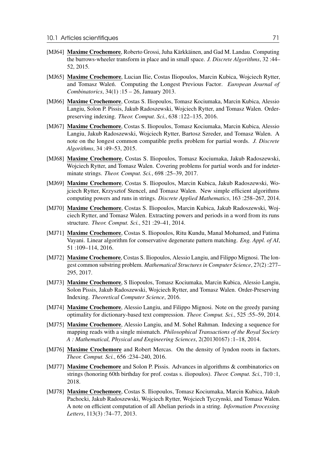- [MJ64] Maxime Crochemore, Roberto Grossi, Juha Kärkkäinen, and Gad M. Landau. Computing the burrows-wheeler transform in place and in small space. *J. Discrete Algorithms*, 32 :44– 52, 2015.
- [MJ65] Maxime Crochemore, Lucian Ilie, Costas Iliopoulos, Marcin Kubica, Wojciech Rytter, and Tomasz Walen. Computing the Longest Previous Factor. *European Journal of Combinatorics*, 34(1) :15 – 26, January 2013.
- [MJ66] Maxime Crochemore, Costas S. Iliopoulos, Tomasz Kociumaka, Marcin Kubica, Alessio Langiu, Solon P. Pissis, Jakub Radoszewski, Wojciech Rytter, and Tomasz Walen. Orderpreserving indexing. *Theor. Comput. Sci.*, 638 :122–135, 2016.
- [MJ67] Maxime Crochemore, Costas S. Iliopoulos, Tomasz Kociumaka, Marcin Kubica, Alessio Langiu, Jakub Radoszewski, Wojciech Rytter, Bartosz Szreder, and Tomasz Walen. A note on the longest common compatible prefix problem for partial words. *J. Discrete Algorithms*, 34 :49–53, 2015.
- [MJ68] Maxime Crochemore, Costas S. Iliopoulos, Tomasz Kociumaka, Jakub Radoszewski, Wojciech Rytter, and Tomasz Walen. Covering problems for partial words and for indeterminate strings. *Theor. Comput. Sci.*, 698 :25–39, 2017.
- [MJ69] Maxime Crochemore, Costas S. Iliopoulos, Marcin Kubica, Jakub Radoszewski, Wojciech Rytter, Krzysztof Stencel, and Tomasz Walen. New simple efficient algorithms computing powers and runs in strings. *Discrete Applied Mathematics*, 163 :258–267, 2014.
- [MJ70] Maxime Crochemore, Costas S. Iliopoulos, Marcin Kubica, Jakub Radoszewski, Wojciech Rytter, and Tomasz Walen. Extracting powers and periods in a word from its runs structure. *Theor. Comput. Sci.*, 521 :29–41, 2014.
- [MJ71] Maxime Crochemore, Costas S. Iliopoulos, Ritu Kundu, Manal Mohamed, and Fatima Vayani. Linear algorithm for conservative degenerate pattern matching. *Eng. Appl. of AI*, 51 :109–114, 2016.
- [MJ72] Maxime Crochemore, Costas S. Iliopoulos, Alessio Langiu, and Filippo Mignosi. The longest common substring problem. *Mathematical Structures in Computer Science*, 27(2) :277– 295, 2017.
- [MJ73] Maxime Crochemore, S Iliopoulos, Tomasz Kociumaka, Marcin Kubica, Alessio Langiu, Solon Pissis, Jakub Radoszewski, Wojciech Rytter, and Tomasz Walen. Order-Preserving Indexing. *Theoretical Computer Science*, 2016.
- [MJ74] Maxime Crochemore, Alessio Langiu, and Filippo Mignosi. Note on the greedy parsing optimality for dictionary-based text compression. *Theor. Comput. Sci.*, 525 :55–59, 2014.
- [MJ75] Maxime Crochemore, Alessio Langiu, and M. Sohel Rahman. Indexing a sequence for mapping reads with a single mismatch. *Philosophical Transactions of the Royal Society A : Mathematical, Physical and Engineering Sciences*, 2(20130167) :1–18, 2014.
- [MJ76] Maxime Crochemore and Robert Mercas. On the density of lyndon roots in factors. *Theor. Comput. Sci.*, 656 :234–240, 2016.
- [MJ77] Maxime Crochemore and Solon P. Pissis. Advances in algorithms & combinatorics on strings (honoring 60th birthday for prof. costas s. iliopoulos). *Theor. Comput. Sci.*, 710 :1, 2018.
- [MJ78] Maxime Crochemore, Costas S. Iliopoulos, Tomasz Kociumaka, Marcin Kubica, Jakub Pachocki, Jakub Radoszewski, Wojciech Rytter, Wojciech Tyczynski, and Tomasz Walen. A note on efficient computation of all Abelian periods in a string. *Information Processing Letters*, 113(3) :74–77, 2013.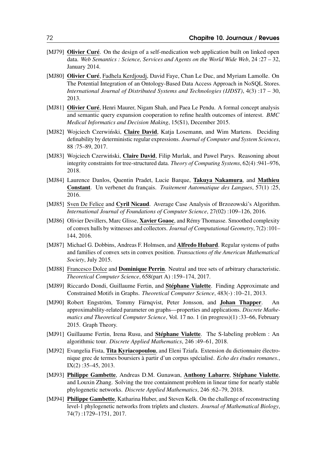- [MJ79] Olivier Curé. On the design of a self-medication web application built on linked open data. *Web Semantics : Science, Services and Agents on the World Wide Web*, 24 :27 – 32, January 2014.
- [MJ80] Olivier Curé, Fadhela Kerdjoudj, David Faye, Chan Le Duc, and Myriam Lamolle. On The Potential Integration of an Ontology-Based Data Access Approach in NoSQL Stores. *International Journal of Distributed Systems and Technologies (IJDST)*, 4(3) :17 – 30, 2013.
- [MJ81] Olivier Curé, Henri Maurer, Nigam Shah, and Paea Le Pendu. A formal concept analysis and semantic query expansion cooperation to refine health outcomes of interest. *BMC Medical Informatics and Decision Making*, 15(S1), December 2015.
- [MJ82] Wojciech Czerwiński, Claire David, Katja Losemann, and Wim Martens. Deciding definability by deterministic regular expressions. *Journal of Computer and System Sciences*, 88 :75–89, 2017.
- [MJ83] Wojciech Czerwiński, Claire David, Filip Murlak, and Pawel Parys. Reasoning about integrity constraints for tree-structured data. *Theory of Computing Systems*, 62(4) :941–976, 2018.
- [MJ84] Laurence Danlos, Quentin Pradet, Lucie Barque, Takuya Nakamura, and Mathieu Constant. Un verbenet du français. *Traitement Automatique des Langues*, 57(1) :25, 2016.
- [MJ85] Sven De Felice and Cyril Nicaud. Average Case Analysis of Brzozowski's Algorithm. *International Journal of Foundations of Computer Science*, 27(02) :109–126, 2016.
- [MJ86] Olivier Devillers, Marc Glisse, Xavier Goaoc, and Rémy Thomasse. Smoothed complexity of convex hulls by witnesses and collectors. *Journal of Computational Geometry*, 7(2) :101– 144, 2016.
- [MJ87] Michael G. Dobbins, Andreas F. Holmsen, and **Alfredo Hubard**. Regular systems of paths and families of convex sets in convex position. *Transactions of the American Mathematical Society*, July 2015.
- [MJ88] Francesco Dolce and **Dominique Perrin**. Neutral and tree sets of arbitrary characteristic. *Theoretical Computer Science*, 658(part A) :159–174, 2017.
- [MJ89] Riccardo Dondi, Guillaume Fertin, and Stéphane Vialette. Finding Approximate and Constrained Motifs in Graphs. *Theoretical Computer Science*, 483(-) :10–21, 2013.
- [MJ90] Robert Engström, Tommy Färnqvist, Peter Jonsson, and Johan Thapper. An approximability-related parameter on graphs—properties and applications. *Discrete Mathematics and Theoretical Computer Science*, Vol. 17 no. 1 (in progress)(1) :33–66, February 2015. Graph Theory.
- [MJ91] Guillaume Fertin, Irena Rusu, and **Stéphane Vialette**. The S-labeling problem : An algorithmic tour. *Discrete Applied Mathematics*, 246 :49–61, 2018.
- [MJ92] Evangelia Fista, Tita Kyriacopoulou, and Eleni Tziafa. Extension du dictionnaire électronique grec de termes boursiers à partir d'un corpus spécialisé. *Echo des études romanes.*, IX(2) :35–45, 2013.
- [MJ93] Philippe Gambette, Andreas D.M. Gunawan, Anthony Labarre, Stéphane Vialette, and Louxin Zhang. Solving the tree containment problem in linear time for nearly stable phylogenetic networks. *Discrete Applied Mathematics*, 246 :62–79, 2018.
- [MJ94] **Philippe Gambette**, Katharina Huber, and Steven Kelk. On the challenge of reconstructing level-1 phylogenetic networks from triplets and clusters. *Journal of Mathematical Biology*, 74(7) :1729–1751, 2017.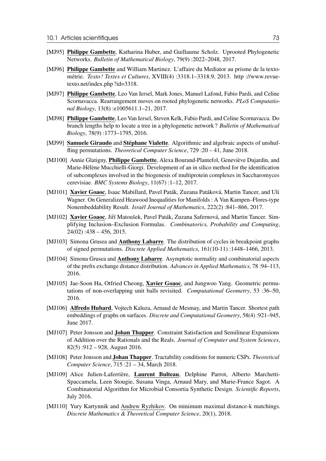- [MJ95] Philippe Gambette, Katharina Huber, and Guillaume Scholz. Uprooted Phylogenetic Networks. *Bulletin of Mathematical Biology*, 79(9) :2022–2048, 2017.
- [MJ96] Philippe Gambette and William Martinez. L'affaire du Mediator au prisme de la textométrie. *Texto ! Textes et Cultures*, XVIII(4) :3318.1–3318.9, 2013. http ://www.revuetexto.net/index.php ?id=3318.
- [MJ97] Philippe Gambette, Leo Van Iersel, Mark Jones, Manuel Lafond, Fabio Pardi, and Celine Scornavacca. Rearrangement moves on rooted phylogenetic networks. *PLoS Computational Biology*, 13(8) :e1005611.1–21, 2017.
- [MJ98] Philippe Gambette, Leo Van Iersel, Steven Kelk, Fabio Pardi, and Celine Scornavacca. Do branch lengths help to locate a tree in a phylogenetic network ? *Bulletin of Mathematical Biology*, 78(9) :1773–1795, 2016.
- [MJ99] Samuele Giraudo and Stéphane Vialette. Algorithmic and algebraic aspects of unshuffling permutations. *Theoretical Computer Science*, 729 :20 – 41, June 2018.
- [MJ100] Annie Glatigny, **Philippe Gambette**, Alexa Bourand-Plantefol, Geneviève Dujardin, and Marie-Hélène Mucchielli-Giorgi. Development of an in silico method for the identification of subcomplexes involved in the biogenesis of multiprotein complexes in Saccharomyces cerevisiae. *BMC Systems Biology*, 11(67) :1–12, 2017.
- [MJ101] Xavier Goaoc, Isaac Mabillard, Pavel Paták, Zuzana Patáková, Martin Tancer, and Uli Wagner. On Generalized Heawood Inequalities for Manifolds : A Van Kampen–Flores-type Nonembeddability Result. *Israël Journal of Mathematics*, 222(2) :841–866, 2017.
- [MJ102] Xavier Goaoc, Jiří Matoušek, Pavel Paták, Zuzana Safernová, and Martin Tancer. Simplifying Inclusion–Exclusion Formulas. *Combinatorics, Probability and Computing*,  $24(02)$ : 438 – 456, 2015.
- [MJ103] Simona Grusea and Anthony Labarre. The distribution of cycles in breakpoint graphs of signed permutations. *Discrete Applied Mathematics*, 161(10-11) :1448–1466, 2013.
- [MJ104] Simona Grusea and **Anthony Labarre**. Asymptotic normality and combinatorial aspects of the prefix exchange distance distribution. *Advances in Applied Mathematics*, 78 :94–113, 2016.
- [MJ105] Jae-Soon Ha, Otfried Cheong, Xavier Goaoc, and Jungwoo Yang. Geometric permutations of non-overlapping unit balls revisited. *Computational Geometry*, 53 :36–50, 2016.
- [MJ106] Alfredo Hubard, Vojtech Kaluza, Arnaud de Mesmay, and Martin Tancer. Shortest path embeddings of graphs on surfaces. *Discrete and Computational Geometry*, 58(4) :921–945, June 2017.
- [MJ107] Peter Jonsson and **Johan Thapper**. Constraint Satisfaction and Semilinear Expansions of Addition over the Rationals and the Reals. *Journal of Computer and System Sciences*, 82(5) :912 – 928, August 2016.
- [MJ108] Peter Jonsson and Johan Thapper. Tractability conditions for numeric CSPs. *Theoretical Computer Science*, 715 :21 – 34, March 2018.
- [MJ109] Alice Julien-Laferrière, Laurent Bulteau, Delphine Parrot, Alberto Marchetti-Spaccamela, Leen Stougie, Susana Vinga, Arnaud Mary, and Marie-France Sagot. A Combinatorial Algorithm for Microbial Consortia Synthetic Design. *Scientific Reports*, July 2016.
- [MJ110] Yury Kartynnik and Andrew Ryzhikov. On minimum maximal distance-k matchings. *Discrete Mathematics & Theoretical Computer Science*, 20(1), 2018.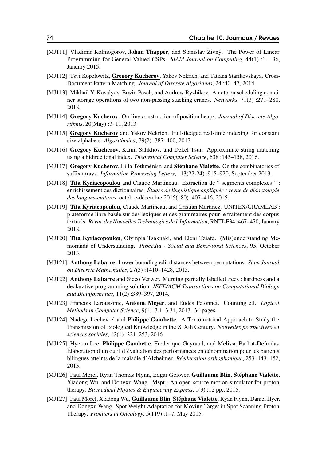- [MJ111] Vladimir Kolmogorov, **Johan Thapper**, and Stanislav Živný. The Power of Linear Programming for General-Valued CSPs. *SIAM Journal on Computing*, 44(1) :1 – 36, January 2015.
- [MJ112] Tsvi Kopelowitz, Gregory Kucherov, Yakov Nekrich, and Tatiana Starikovskaya. Cross-Document Pattern Matching. *Journal of Discrete Algorithms*, 24 :40–47, 2014.
- [MJ113] Mikhail Y. Kovalyov, Erwin Pesch, and Andrew Ryzhikov. A note on scheduling container storage operations of two non-passing stacking cranes. *Networks*, 71(3) :271–280, 2018.
- [MJ114] Gregory Kucherov. On-line construction of position heaps. *Journal of Discrete Algorithms*, 20(May) :3–11, 2013.
- [MJ115] Gregory Kucherov and Yakov Nekrich. Full-fledged real-time indexing for constant size alphabets. *Algorithmica*, 79(2) :387–400, 2017.
- [MJ116] Gregory Kucherov, Kamil Salikhov, and Dekel Tsur. Approximate string matching using a bidirectional index. *Theoretical Computer Science*, 638 :145–158, 2016.
- [MJ117] Gregory Kucherov, Lilla Tóthmérész, and Stéphane Vialette. On the combinatorics of suffix arrays. *Information Processing Letters*, 113(22-24) :915–920, September 2013.
- [MJ118] Tita Kyriacopoulou and Claude Martineau. Extraction de " segments complexes " : enrichissement des dictionnaires. *Études de linguistique appliquée : revue de didactologie des langues-cultures*, octobre-décembre 2015(180) :407–416, 2015.
- [MJ119] Tita Kyriacopoulou, Claude Martineau, and Cristian Martinez. UNITEX/GRAMLAB : plateforme libre basée sur des lexiques et des grammaires pour le traitement des corpus textuels. *Revue des Nouvelles Technologies de l'Information*, RNTI-E34 :467–470, January 2018.
- [MJ120] Tita Kyriacopoulou, Olympia Tsaknaki, and Eleni Tziafa. (Mis)understanding Memoranda of Understanding. *Procedia - Social and Behavioral Sciences*, 95, October 2013.
- [MJ121] Anthony Labarre. Lower bounding edit distances between permutations. *Siam Journal on Discrete Mathematics*, 27(3) :1410–1428, 2013.
- [MJ122] **Anthony Labarre** and Sicco Verwer. Merging partially labelled trees : hardness and a declarative programming solution. *IEEE/ACM Transactions on Computational Biology and Bioinformatics*, 11(2) :389–397, 2014.
- [MJ123] François Laroussinie, Antoine Meyer, and Eudes Petonnet. Counting ctl. *Logical Methods in Computer Science*, 9(1) :3.1–3.34, 2013. 34 pages.
- [MJ124] Nadège Lechevrel and **Philippe Gambette**. A Textometrical Approach to Study the Transmission of Biological Knowledge in the XIXth Century. *Nouvelles perspectives en sciences sociales*, 12(1) :221–253, 2016.
- [MJ125] Hyeran Lee, **Philippe Gambette**, Frederique Gayraud, and Melissa Barkat-Defradas. Élaboration d'un outil d'évaluation des performances en dénomination pour les patients bilingues atteints de la maladie d'Alzheimer. *Rééducation orthophonique*, 253 :143–152, 2013.
- [MJ126] Paul Morel, Ryan Thomas Flynn, Edgar Gelover, Guillaume Blin, Stéphane Vialette, Xiadong Wu, and Dongxu Wang. Mspt : An open-source motion simulator for proton therapy. *Biomedical Physics & Engineering Express*, 1(3) :12 pp., 2015.
- [MJ127] Paul Morel, Xiadong Wu, Guillaume Blin, Stéphane Vialette, Ryan Flynn, Daniel Hyer, and Dongxu Wang. Spot Weight Adaptation for Moving Target in Spot Scanning Proton Therapy. *Frontiers in Oncology*, 5(119) :1–7, May 2015.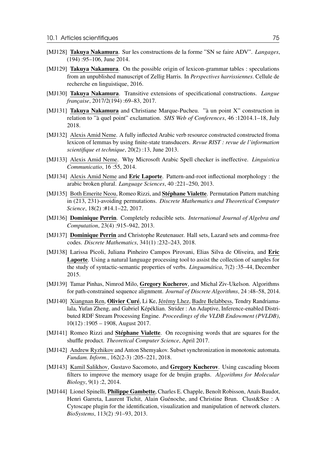- [MJ128] Takuya Nakamura. Sur les constructions de la forme "SN se faire ADV". *Langages*, (194) :95–106, June 2014.
- [MJ129] **Takuya Nakamura**. On the possible origin of lexicon-grammar tables : speculations from an unpublished manuscript of Zellig Harris. In *Perspectives harrissiennes*. Cellule de recherche en linguistique, 2016.
- [MJ130] Takuya Nakamura. Transitive extensions of specificational constructions. *Langue française*, 2017/2(194) :69–83, 2017.
- [MJ131] Takuya Nakamura and Christiane Marque-Pucheu. "à un point X" construction in relation to "à quel point" exclamation. *SHS Web of Conferences*, 46 :12014.1–18, July 2018.
- [MJ132] Alexis Amid Neme. A fully inflected Arabic verb resource constructed constructed froma lexicon of lemmas by using finite-state transducers. *Revue RIST : revue de l'information scientifique et technique*, 20(2) :13, June 2013.
- [MJ133] Alexis Amid Neme. Why Microsoft Arabic Spell checker is ineffective. *Linguistica Communicatio*, 16 :55, 2014.
- [MJ134] Alexis Amid Neme and **Eric Laporte**. Pattern-and-root inflectional morphology : the arabic broken plural. *Language Sciences*, 40 :221–250, 2013.
- [MJ135] Both Emerite Neou, Romeo Rizzi, and Stéphane Vialette. Permutation Pattern matching in (213, 231)-avoiding permutations. *Discrete Mathematics and Theoretical Computer Science*, 18(2) :#14.1–22, 2017.
- [MJ136] Dominique Perrin. Completely reducible sets. *International Journal of Algebra and Computation*, 23(4) :915–942, 2013.
- [MJ137] **Dominique Perrin** and Christophe Reutenauer. Hall sets, Lazard sets and comma-free codes. *Discrete Mathematics*, 341(1) :232–243, 2018.
- [MJ138] Larissa Picoli, Juliana Pinheiro Campos Pirovani, Elias Silva de Oliveira, and Eric Laporte. Using a natural language processing tool to assist the collection of samples for the study of syntactic-semantic properties of verbs. *Linguamática*, 7(2) :35–44, December 2015.
- [MJ139] Tamar Pinhas, Nimrod Milo, Gregory Kucherov, and Michal Ziv-Ukelson. Algorithms for path-constrained sequence alignment. *Journal of Discrete Algorithms*, 24 :48–58, 2014.
- [MJ140] Xiangnan Ren, Olivier Curé, Li Ke, Jérémy Lhez, Badre Belabbess, Tendry Randriamalala, Yufan Zheng, and Gabriel Képéklian. Strider : An Adaptive, Inference-enabled Distributed RDF Stream Processing Engine. *Proceedings of the VLDB Endowment (PVLDB)*, 10(12) :1905 – 1908, August 2017.
- [MJ141] Romeo Rizzi and **Stéphane Vialette**. On recognising words that are squares for the shuffle product. *Theoretical Computer Science*, April 2017.
- [MJ142] Andrew Ryzhikov and Anton Shemyakov. Subset synchronization in monotonic automata. *Fundam. Inform.*, 162(2-3) :205–221, 2018.
- [MJ143] Kamil Salikhov, Gustavo Sacomoto, and Gregory Kucherov. Using cascading bloom filters to improve the memory usage for de brujin graphs. *Algorithms for Molecular Biology*, 9(1) :2, 2014.
- [MJ144] Lionel Spinelli, Philippe Gambette, Charles E. Chapple, Benoît Robisson, Anaïs Baudot, Henri Garreta, Laurent Tichit, Alain Guénoche, and Christine Brun. Clust&See : A Cytoscape plugin for the identification, visualization and manipulation of network clusters. *BioSystems*, 113(2) :91–93, 2013.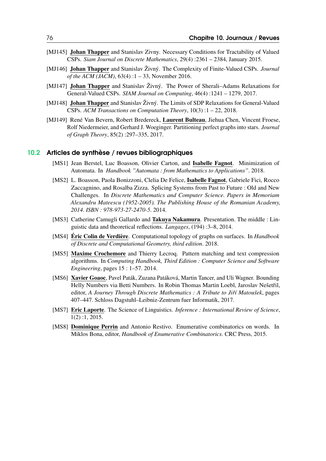- [MJ145] **Johan Thapper** and Stanislav Zivny. Necessary Conditions for Tractability of Valued CSPs. *Siam Journal on Discrete Mathematics*, 29(4) :2361 – 2384, January 2015.
- [MJ146] Johan Thapper and Stanislav Živný. The Complexity of Finite-Valued CSPs. *Journal of the ACM (JACM)*, 63(4):1 – 33, November 2016.
- [MJ147] Johan Thapper and Stanislav Živný. The Power of Sherali–Adams Relaxations for General-Valued CSPs. *SIAM Journal on Computing*, 46(4) :1241 – 1279, 2017.
- [MJ148] Johan Thapper and Stanislav Živný. The Limits of SDP Relaxations for General-Valued CSPs. *ACM Transactions on Computation Theory*, 10(3) :1 – 22, 2018.
- [MJ149] René Van Bevern, Robert Bredereck, Laurent Bulteau, Jiehua Chen, Vincent Froese, Rolf Niedermeier, and Gerhard J. Woeginger. Partitioning perfect graphs into stars. *Journal of Graph Theory*, 85(2) :297–335, 2017.

#### 10.2 Articles de synthèse / revues bibliographiques

- [MS1] Jean Berstel, Luc Boasson, Olivier Carton, and Isabelle Fagnot. Minimization of Automata. In *Handbook "Automata : from Mathematics to Applications"*. 2018.
- [MS2] L. Boasson, Paola Bonizzoni, Clelia De Felice, Isabelle Fagnot, Gabriele Fici, Rocco Zaccagnino, and Rosalba Zizza. Splicing Systems from Past to Future : Old and New Challenges. In *Discrete Mathematics and Computer Science. Papers in Memoriam Alexandru Mateescu (1952-2005). The Publishing House of the Romanian Academy, 2014. ISBN : 978-973-27-2470-5*. 2014.
- [MS3] Catherine Camugli Gallardo and Takuya Nakamura. Presentation. The middle : Linguistic data and theoretical reflections. *Langages*, (194) :3–8, 2014.
- [MS4] Éric Colin de Verdière. Computational topology of graphs on surfaces. In *Handbook of Discrete and Computational Geometry, third edition*. 2018.
- [MS5] Maxime Crochemore and Thierry Lecroq. Pattern matching and text compression algorithms. In *Computing Handbook, Third Edition : Computer Science and Software Engineering*, pages 15 : 1–57. 2014.
- [MS6] Xavier Goaoc, Pavel Paták, Zuzana Patáková, Martin Tancer, and Uli Wagner. Bounding Helly Numbers via Betti Numbers. In Robin Thomas Martin Loebl, Jaroslav Nešetřil, editor, *A Journey Through Discrete Mathematics : A Tribute to Jiˇrí Matoušek*, pages 407–447. Schloss Dagstuhl–Leibniz-Zentrum fuer Informatik, 2017.
- [MS7] Eric Laporte. The Science of Linguistics. *Inference : International Review of Science*, 1(2) :1, 2015.
- [MS8] Dominique Perrin and Antonio Restivo. Enumerative combinatorics on words. In Miklos Bona, editor, *Handbook of Enumerative Combinatorics*. CRC Press, 2015.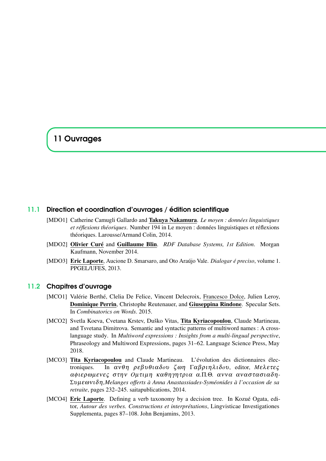# 11 Ouvrages

#### 11.1 Direction et coordination d'ouvrages / édition scientifique

- [MDO1] Catherine Camugli Gallardo and Takuya Nakamura. *Le moyen : données linguistiques et réflexions théoriques*. Number 194 in Le moyen : données linguistiques et réflexions théoriques. Larousse/Armand Colin, 2014.
- [MDO2] Olivier Curé and Guillaume Blin. *RDF Database Systems, 1st Edition*. Morgan Kaufmann, November 2014.
- [MDO3] Eric Laporte, Aucione D. Smarsaro, and Oto Araújo Vale. *Dialogar é preciso*, volume 1. PPGEL/UFES, 2013.

#### 11.2 Chapitres d'ouvrage

- [MCO1] Valérie Berthé, Clelia De Felice, Vincent Delecroix, Francesco Dolce, Julien Leroy, Dominique Perrin, Christophe Reutenauer, and Giuseppina Rindone. Specular Sets. In *Combinatorics on Words*. 2015.
- [MCO2] Svetla Koeva, Cvetana Krstev, Duško Vitas, Tita Kyriacopoulou, Claude Martineau, and Tsvetana Dimitrova. Semantic and syntactic patterns of multiword names : A crosslanguage study. In *Multiword expressions : Insights from a multi-lingual perspective*, Phraseology and Multiword Expressions, pages 31–62. Language Science Press, May 2018.
- [MCO3] Tita Kyriacopoulou and Claude Martineau. L'évolution des dictionnaires électroniques. In ανθη ρεβυθιαδου ζωη Γαβριηλιδου, editor, Μελετες αφιερωμενες στην Ομτιμη καθηγητρια α.Π.Θ. αννα αναστασιαδη-Συµεων ιδ η*,Melanges offerts à Anna Anastassiades-Syméonides à l'occasion de sa retraite*, pages 232–245. saitapublications, 2014.
- [MCO4] Eric Laporte. Defining a verb taxonomy by a decision tree. In Kozué Ogata, editor, *Autour des verbes. Constructions et interprétations*, Lingvisticae Investigationes Supplementa, pages 87–108. John Benjamins, 2013.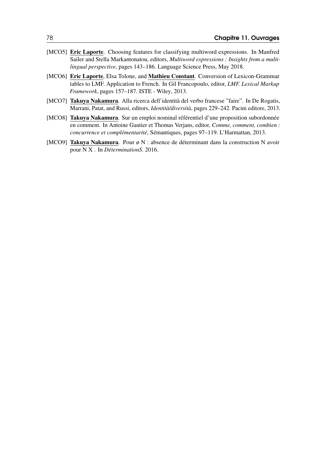- [MCO5] **Eric Laporte.** Choosing features for classifying multiword expressions. In Manfred Sailer and Stella Markantonatou, editors, *Multiword expressions : Insights from a multilingual perspective*, pages 143–186. Language Science Press, May 2018.
- [MCO6] Eric Laporte, Elsa Tolone, and Mathieu Constant. Conversion of Lexicon-Grammar tables to LMF. Application to French. In Gil Francopoulo, editor, *LMF. Lexical Markup Framework*, pages 157–187. ISTE - Wiley, 2013.
- [MCO7] Takuya Nakamura. Alla ricerca dell'identità del verbo francese "faire". In De Rogatis, Marrani, Patat, and Russi, editors, *Identità/diversità*, pages 229–242. Pacini editore, 2013.
- [MCO8] Takuya Nakamura. Sur un emploi nominal référentiel d'une proposition subordonnée en comment. In Antoine Gautier et Thomas Verjans, editor, *Comme, comment, combien : concurrence et complémentarité*, Sémantiques, pages 97–119. L'Harmattan, 2013.
- [MCO9] Takuya Nakamura. Pour ø N : absence de déterminant dans la construction N avoir pour N X . In *DéterminationS*. 2016.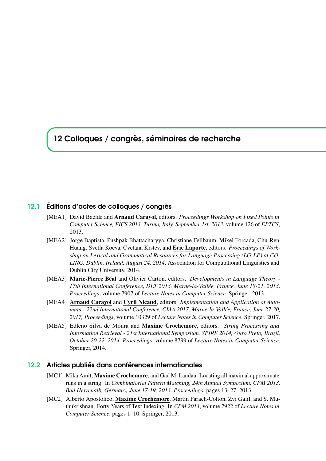# 12 Colloques / congrès, séminaires de recherche

#### 12.1 Éditions d'actes de colloques / congrès

- [MEA1] David Baelde and Arnaud Carayol, editors. *Proceedings Workshop on Fixed Points in Computer Science, FICS 2013, Turino, Italy, September 1st, 2013*, volume 126 of *EPTCS*, 2013.
- [MEA2] Jorge Baptista, Pushpak Bhattacharyya, Christiane Fellbaum, Mikel Forcada, Chu-Ren Huang, Svetla Koeva, Cvetana Krstev, and Eric Laporte, editors. *Proceedings of Workshop on Lexical and Grammatical Resources for Language Processing (LG-LP) at CO-LING, Dublin, Ireland, August 24, 2014*. Association for Computational Linguistics and Dublin City University, 2014.
- [MEA3] Marie-Pierre Béal and Olivier Carton, editors. *Developments in Language Theory - 17th International Conference, DLT 2013, Marne-la-Vallée, France, June 18-21, 2013. Proceedings*, volume 7907 of *Lecture Notes in Computer Science*. Springer, 2013.
- [MEA4] Arnaud Carayol and Cyril Nicaud, editors. *Implementation and Application of Automata - 22nd International Conference, CIAA 2017, Marne-la-Vallée, France, June 27-30, 2017, Proceedings*, volume 10329 of *Lecture Notes in Computer Science*. Springer, 2017.
- [MEA5] Edleno Silva de Moura and Maxime Crochemore, editors. *String Processing and Information Retrieval - 21st International Symposium, SPIRE 2014, Ouro Preto, Brazil, October 20-22, 2014. Proceedings*, volume 8799 of *Lecture Notes in Computer Science*. Springer, 2014.

#### 12.2 Articles publiés dans conférences internationales

- [MC1] Mika Amit, Maxime Crochemore, and Gad M. Landau. Locating all maximal approximate runs in a string. In *Combinatorial Pattern Matching, 24th Annual Symposium, CPM 2013, Bad Herrenalb, Germany, June 17-19, 2013. Proceedings*, pages 13–27, 2013.
- [MC2] Alberto Apostolico, Maxime Crochemore, Martin Farach-Colton, Zvi Galil, and S. Muthukrishnan. Forty Years of Text Indexing. In *CPM 2013*, volume 7922 of *Lecture Notes in Computer Science*, pages 1–10. Springer, 2013.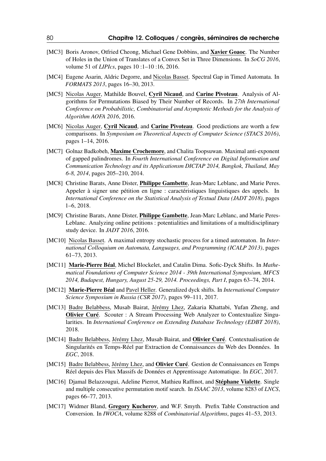- [MC3] Boris Aronov, Otfried Cheong, Michael Gene Dobbins, and **Xavier Goaoc**. The Number of Holes in the Union of Translates of a Convex Set in Three Dimensions. In *SoCG 2016*, volume 51 of *LIPIcs*, pages 10 :1–10 :16, 2016.
- [MC4] Eugene Asarin, Aldric Degorre, and Nicolas Basset. Spectral Gap in Timed Automata. In *FORMATS 2013*, pages 16–30, 2013.
- [MC5] Nicolas Auger, Mathilde Bouvel, Cyril Nicaud, and Carine Pivoteau. Analysis of Algorithms for Permutations Biased by Their Number of Records. In *27th International Conference on Probabilistic, Combinatorial and Asymptotic Methods for the Analysis of Algorithm AOFA 2016*, 2016.
- [MC6] Nicolas Auger, Cyril Nicaud, and Carine Pivoteau. Good predictions are worth a few comparisons. In *Symposium on Theoretical Aspects of Computer Science (STACS 2016)*, pages 1–14, 2016.
- [MC7] Golnaz Badkobeh, Maxime Crochemore, and Chalita Toopsuwan. Maximal anti-exponent of gapped palindromes. In *Fourth International Conference on Digital Information and Communication Technology and its Applicationsm DICTAP 2014, Bangkok, Thailand, May 6-8, 2014*, pages 205–210, 2014.
- [MC8] Christine Barats, Anne Dister, *Philippe Gambette*, Jean-Marc Leblanc, and Marie Peres. Appeler à signer une pétition en ligne : caractéristiques linguistiques des appels. In *International Conference on the Statistical Analysis of Textual Data (JADT 2018)*, pages 1–6, 2018.
- [MC9] Christine Barats, Anne Dister, *Philippe Gambette*, Jean-Marc Leblanc, and Marie Peres-Leblanc. Analyzing online petitions : potentialities and limitations of a multidisciplinary study device. In *JADT 2016*, 2016.
- [MC10] Nicolas Basset. A maximal entropy stochastic process for a timed automaton. In *International Colloquium on Automata, Languages, and Programming (ICALP 2013)*, pages 61–73, 2013.
- [MC11] Marie-Pierre Béal, Michel Blockelet, and Catalin Dima. Sofic-Dyck Shifts. In *Mathematical Foundations of Computer Science 2014 - 39th International Symposium, MFCS 2014, Budapest, Hungary, August 25-29, 2014. Proceedings, Part I*, pages 63–74, 2014.
- [MC12] Marie-Pierre Béal and Pavel Heller. Generalized dyck shifts. In *International Computer Science Symposium in Russia (CSR 2017)*, pages 99–111, 2017.
- [MC13] Badre Belabbess, Musab Bairat, Jérémy Lhez, Zakaria Khattabi, Yufan Zheng, and Olivier Curé. Scouter : A Stream Processing Web Analyzer to Contextualize Singularities. In *International Conference on Extending Database Technology (EDBT 2018)*, 2018.
- [MC14] Badre Belabbess, Jérémy Lhez, Musab Bairat, and Olivier Curé. Contextualisation de Singularités en Temps-Réel par Extraction de Connaissances du Web des Données. In *EGC*, 2018.
- [MC15] Badre Belabbess, Jérémy Lhez, and Olivier Curé. Gestion de Connaissances en Temps Réel depuis des Flux Massifs de Données et Apprentissage Automatique. In *EGC*, 2017.
- [MC16] Djamal Belazzougui, Adeline Pierrot, Mathieu Raffinot, and Stéphane Vialette. Single and multiple consecutive permutation motif search. In *ISAAC 2013*, volume 8283 of *LNCS*, pages 66–77, 2013.
- [MC17] Widmer Bland, Gregory Kucherov, and W.F. Smyth. Prefix Table Construction and Conversion. In *IWOCA*, volume 8288 of *Combinatorial Algorithms*, pages 41–53, 2013.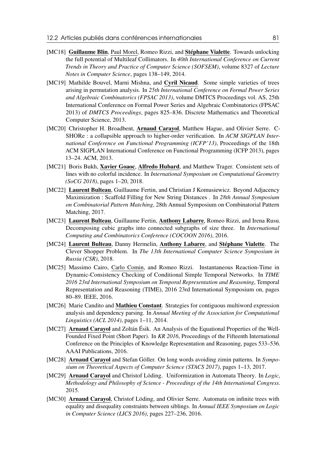- [MC18] Guillaume Blin, Paul Morel, Romeo Rizzi, and Stéphane Vialette. Towards unlocking the full potential of Multileaf Collimators. In *40th International Conference on Current Trends in Theory and Practice of Computer Science (SOFSEM)*, volume 8327 of *Lecture Notes in Computer Science*, pages 138–149, 2014.
- [MC19] Mathilde Bouvel, Marni Mishna, and Cyril Nicaud. Some simple varieties of trees arising in permutation analysis. In *25th International Conference on Formal Power Series and Algebraic Combinatorics (FPSAC 2013)*, volume DMTCS Proceedings vol. AS, 25th International Conference on Formal Power Series and Algebraic Combinatorics (FPSAC 2013) of *DMTCS Proceedings*, pages 825–836. Discrete Mathematics and Theoretical Computer Science, 2013.
- [MC20] Christopher H. Broadbent, Arnaud Carayol, Matthew Hague, and Olivier Serre. C-SHORe : a collapsible approach to higher-order verification. In *ACM SIGPLAN International Conference on Functional Programming (ICFP'13)*, Proceedings of the 18th ACM SIGPLAN International Conference on Functional Programming (ICFP 2013), pages 13–24. ACM, 2013.
- [MC21] Boris Bukh, Xavier Goaoc, Alfredo Hubard, and Matthew Trager. Consistent sets of lines with no colorful incidence. In *International Symposium on Computational Geometry (SoCG 2018)*, pages 1–20, 2018.
- [MC22] Laurent Bulteau, Guillaume Fertin, and Christian J Komusiewicz, Beyond Adjacency Maximization : Scaffold Filling for New String Distances . In *28th Annual Symposium on Combinatorial Pattern Matching*, 28th Annual Symposium on Combinatorial Pattern Matching, 2017.
- [MC23] Laurent Bulteau, Guillaume Fertin, Anthony Labarre, Romeo Rizzi, and Irena Rusu. Decomposing cubic graphs into connected subgraphs of size three. In *International Computing and Combinatorics Conference (COCOON 2016)*, 2016.
- [MC24] Laurent Bulteau, Danny Hermelin, Anthony Labarre, and Stéphane Vialette. The Clever Shopper Problem. In *The 13th International Computer Science Symposium in Russia (CSR)*, 2018.
- [MC25] Massimo Cairo, Carlo Comin, and Romeo Rizzi. Instantaneous Reaction-Time in Dynamic-Consistency Checking of Conditional Simple Temporal Networks. In *TIME 2016 23rd International Symposium on Temporal Representation and Reasoning*, Temporal Representation and Reasoning (TIME), 2016 23rd International Symposium on, pages 80–89. IEEE, 2016.
- [MC26] Marie Candito and **Mathieu Constant**. Strategies for contiguous multiword expression analysis and dependency parsing. In *Annual Meeting of the Association for Computational Linguistics (ACL 2014)*, pages 1–11, 2014.
- [MC27] Arnaud Carayol and Zoltán Ésik. An Analysis of the Equational Properties of the Well-Founded Fixed Point (Short Paper). In *KR 2016*, Proceedings of the Fifteenth International Conference on the Principles of Knowledge Representation and Reasoning, pages 533–536. AAAI Publications, 2016.
- [MC28] Arnaud Carayol and Stefan Göller. On long words avoiding zimin patterns. In *Symposium on Theoretical Aspects of Computer Science (STACS 2017)*, pages 1–13, 2017.
- [MC29] Arnaud Carayol and Christof Löding. Uniformization in Automata Theory. In *Logic, Methodology and Philosophy of Science - Proceedings of the 14th International Congress*. 2015.
- [MC30] **Arnaud Carayol**, Christof Löding, and Olivier Serre. Automata on infinite trees with equality and disequality constraints between siblings. In *Annual IEEE Symposium on Logic in Computer Science (LICS 2016)*, pages 227–236, 2016.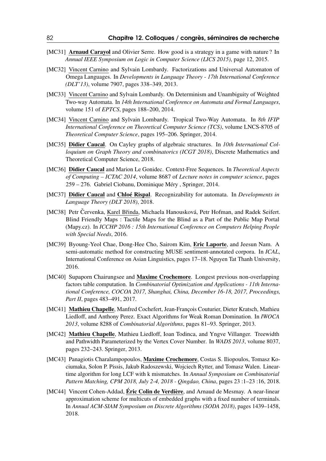- [MC31] **Arnaud Carayol** and Olivier Serre. How good is a strategy in a game with nature? In *Annual IEEE Symposium on Logic in Computer Science (LICS 2015)*, page 12, 2015.
- [MC32] Vincent Carnino and Sylvain Lombardy. Factorizations and Universal Automaton of Omega Languages. In *Developments in Language Theory - 17th International Conference (DLT'13)*, volume 7907, pages 338–349, 2013.
- [MC33] Vincent Carnino and Sylvain Lombardy. On Determinism and Unambiguity of Weighted Two-way Automata. In *14th International Conference on Automata and Formal Languages*, volume 151 of *EPTCS*, pages 188–200, 2014.
- [MC34] Vincent Carnino and Sylvain Lombardy. Tropical Two-Way Automata. In *8th IFIP International Conference on Theoretical Computer Science (TCS)*, volume LNCS-8705 of *Theoretical Computer Science*, pages 195–206. Springer, 2014.
- [MC35] Didier Caucal. On Cayley graphs of algebraic structures. In *10th International Colloquium on Graph Theory and combinatorics (ICGT 2018)*, Discrete Mathematics and Theoretical Computer Science, 2018.
- [MC36] Didier Caucal and Marion Le Gonidec. Context-Free Sequences. In *Theoretical Aspects of Computing – ICTAC 2014*, volume 8687 of *Lecture notes in computer science*, pages 259 – 276. Gabriel Ciobanu, Dominique Méry , Springer, 2014.
- [MC37] Didier Caucal and Chloé Rispal. Recognizability for automata. In *Developments in Language Theory (DLT 2018)*, 2018.
- [MC38] Petr Červenka, Karel Břinda, Michaela Hanousková, Petr Hofman, and Radek Seifert. Blind Friendly Maps : Tactile Maps for the Blind as a Part of the Public Map Portal (Mapy.cz). In *ICCHP 2016 : 15th International Conference on Computers Helping People with Special Needs*, 2016.
- [MC39] Byoung-Yeol Chae, Dong-Hee Cho, Sairom Kim, Eric Laporte, and Jeesun Nam. A semi-automatic method for constructing MUSE sentiment-annotated corpora. In *ICAL*, International Conference on Asian Linguistics, pages 17–18. Nguyen Tat Thanh University, 2016.
- [MC40] Supaporn Chairungsee and Maxime Crochemore. Longest previous non-overlapping factors table computation. In *Combinatorial Optimization and Applications - 11th International Conference, COCOA 2017, Shanghai, China, December 16-18, 2017, Proceedings, Part II*, pages 483–491, 2017.
- [MC41] Mathieu Chapelle, Manfred Cochefert, Jean-François Couturier, Dieter Kratsch, Mathieu Liedloff, and Anthony Perez. Exact Algorithms for Weak Roman Domination. In *IWOCA 2013*, volume 8288 of *Combinatorial Algorithms*, pages 81–93. Springer, 2013.
- [MC42] Mathieu Chapelle, Mathieu Liedloff, Ioan Todinca, and Yngve Villanger. Treewidth and Pathwidth Parameterized by the Vertex Cover Number. In *WADS 2013*, volume 8037, pages 232–243. Springer, 2013.
- [MC43] Panagiotis Charalampopoulos, Maxime Crochemore, Costas S. Iliopoulos, Tomasz Kociumaka, Solon P. Pissis, Jakub Radoszewski, Wojciech Rytter, and Tomasz Walen. Lineartime algorithm for long LCF with k mismatches. In *Annual Symposium on Combinatorial Pattern Matching, CPM 2018, July 2-4, 2018 - Qingdao, China*, pages 23 :1–23 :16, 2018.
- [MC44] Vincent Cohen-Addad, Éric Colin de Verdière, and Arnaud de Mesmay. A near-linear approximation scheme for multicuts of embedded graphs with a fixed number of terminals. In *Annual ACM-SIAM Symposium on Discrete Algorithms (SODA 2018)*, pages 1439–1458, 2018.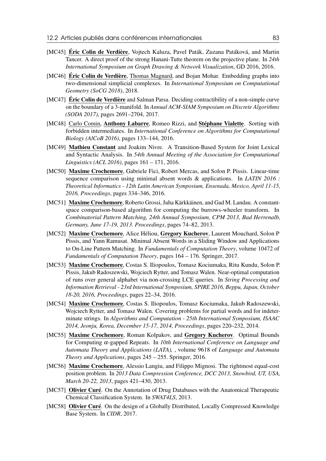- [MC45] Éric Colin de Verdière, Vojtech Kaluza, Pavel Paták, Zuzana Patáková, and Martin Tancer. A direct proof of the strong Hanani-Tutte theorem on the projective plane. In *24th International Symposium on Graph Drawing & Network Visualization*, GD 2016, 2016.
- [MC46] **Éric Colin de Verdière**, Thomas Magnard, and Bojan Mohar. Embedding graphs into two-dimensional simplicial complexes. In *International Symposium on Computational Geometry (SoCG 2018)*, 2018.
- [MC47] **Éric Colin de Verdière** and Salman Parsa. Deciding contractibility of a non-simple curve on the boundary of a 3-manifold. In *Annual ACM-SIAM Symposium on Discrete Algorithms (SODA 2017)*, pages 2691–2704, 2017.
- [MC48] Carlo Comin, Anthony Labarre, Romeo Rizzi, and Stéphane Vialette. Sorting with forbidden intermediates. In *International Conference on Algorithms for Computational Biology (AlCoB 2016)*, pages 133–144, 2016.
- [MC49] Mathieu Constant and Joakim Nivre. A Transition-Based System for Joint Lexical and Syntactic Analysis. In *54th Annual Meeting of the Association for Computational Linguistics (ACL 2016)*, pages 161 – 171, 2016.
- [MC50] Maxime Crochemore, Gabriele Fici, Robert Mercas, and Solon P. Pissis. Linear-time sequence comparison using minimal absent words & applications. In *LATIN 2016 : Theoretical Informatics - 12th Latin American Symposium, Ensenada, Mexico, April 11-15, 2016, Proceedings*, pages 334–346, 2016.
- [MC51] Maxime Crochemore, Roberto Grossi, Juha Kärkkäinen, and Gad M. Landau. A constantspace comparison-based algorithm for computing the burrows-wheeler transform. In *Combinatorial Pattern Matching, 24th Annual Symposium, CPM 2013, Bad Herrenalb, Germany, June 17-19, 2013. Proceedings*, pages 74–82, 2013.
- [MC52] Maxime Crochemore, Alice Héliou, Gregory Kucherov, Laurent Mouchard, Solon P Pissis, and Yann Ramusat. Minimal Absent Words in a Sliding Window and Applications to On-Line Pattern Matching. In *Fundamentals of Computation Theory*, volume 10472 of *Fundamentals of Computation Theory*, pages 164 – 176. Springer, 2017.
- [MC53] Maxime Crochemore, Costas S. Iliopoulos, Tomasz Kociumaka, Ritu Kundu, Solon P. Pissis, Jakub Radoszewski, Wojciech Rytter, and Tomasz Walen. Near-optimal computation of runs over general alphabet via non-crossing LCE queries. In *String Processing and Information Retrieval - 23rd International Symposium, SPIRE 2016, Beppu, Japan, October 18-20, 2016, Proceedings*, pages 22–34, 2016.
- [MC54] Maxime Crochemore, Costas S. Iliopoulos, Tomasz Kociumaka, Jakub Radoszewski, Wojciech Rytter, and Tomasz Walen. Covering problems for partial words and for indeterminate strings. In *Algorithms and Computation - 25th International Symposium, ISAAC 2014, Jeonju, Korea, December 15-17, 2014, Proceedings*, pages 220–232, 2014.
- [MC55] Maxime Crochemore, Roman Kolpakov, and Gregory Kucherov. Optimal Bounds for Computing α-gapped Repeats. In *10th International Conference on Language and Automata Theory and Applications (LATA),* , volume 9618 of *Language and Automata Theory and Applications*, pages 245 – 255. Springer, 2016.
- [MC56] Maxime Crochemore, Alessio Langiu, and Filippo Mignosi. The rightmost equal-cost position problem. In *2013 Data Compression Conference, DCC 2013, Snowbird, UT, USA, March 20-22, 2013*, pages 421–430, 2013.
- [MC57] Olivier Curé. On the Annotation of Drug Databases with the Anatomical Therapeutic Chemical Classification System. In *SWAT4LS*, 2013.
- [MC58] Olivier Curé. On the design of a Globally Distributed, Locally Compressed Knowledge Base System. In *CIDR*, 2017.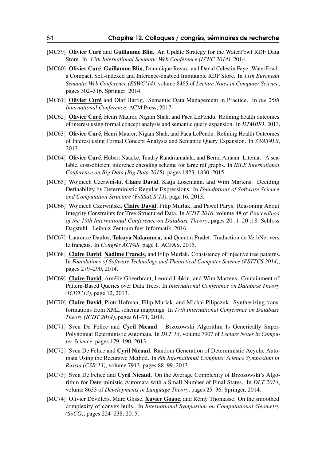- [MC59] Olivier Curé and Guillaume Blin. An Update Strategy for the WaterFowl RDF Data Store. In *13th International Semantic Web Conference (ISWC 2014)*, 2014.
- [MC60] Olivier Curé, Guillaume Blin, Dominique Revuz, and David Célestin Faye. WaterFowl : a Compact, Self-indexed and Inference-enabled Immutable RDF Store. In *11th European Semantic Web Conference (ESWC'14)*, volume 8465 of *Lecture Notes in Computer Science*, pages 302–316. Springer, 2014.
- [MC61] Olivier Curé and Olaf Hartig. Semantic Data Management in Practice. In *the 26th International Conference*. ACM Press, 2017.
- [MC62] Olivier Curé, Henri Maurer, Nigam Shah, and Paea LePendu. Refining health outcomes of interest using formal concept analysis and semantic query expansion. In *DTMBIO*, 2013.
- [MC63] Olivier Curé, Henri Maurer, Nigam Shah, and Paea LePendu. Refining Health Outcomes of Interest using Formal Concept Analysis and Semantic Query Expansion. In *SWAT4LS*, 2013.
- [MC64] Olivier Curé, Hubert Naacke, Tendry Randriamalala, and Bernd Amann. Litemat : A scalable, cost-efficient inference encoding scheme for large rdf graphs. In *IEEE International Conference on Big Data (Big Data 2015)*, pages 1823–1830, 2015.
- [MC65] Wojciech Czerwiński, Claire David, Katja Losemann, and Wim Martens. Deciding Definability by Deterministic Regular Expressions. In *Foundations of Software Science and Computation Structure (FoSSaCS'13)*, page 16, 2013.
- [MC66] Wojciech Czerwiński, Claire David, Filip Murlak, and Pawel Parys. Reasoning About Integrity Constraints for Tree-Structured Data. In *ICDT 2016*, volume 48 of *Proceedings of the 19th International Conference on Database Theory*, pages 20 :1–20 :18. Schloss Dagstuhl - Leibniz-Zentrum fuer Informatik, 2016.
- [MC67] Laurence Danlos, Takuya Nakamura, and Quentin Pradet. Traduction de VerbNet vers le français. In *Congrès ACFAS*, page 1. ACFAS, 2015.
- [MC68] Claire David, Nadime Francis, and Filip Murlak. Consistency of injective tree patterns. In *Foundations of Software Technology and Theoretical Computer Science (FSTTCS 2014)*, pages 279–290, 2014.
- [MC69] Claire David, Amélie Gheerbrant, Leonid Libkin, and Wim Martens. Containment of Pattern-Based Queries over Data Trees. In *International Conference on Database Theory (ICDT'13)*, page 12, 2013.
- [MC70] Claire David, Piotr Hofman, Filip Murlak, and Michal Pilipczuk. Synthesizing transformations from XML schema mappings. In *17th International Conference on Database Theory (ICDT 2014)*, pages 61–71, 2014.
- [MC71] Sven De Felice and Cyril Nicaud. Brzozowski Algorithm Is Generically Super-Polynomial Deterministic Automata. In *DLT'13*, volume 7907 of *Lecture Notes in Computer Science*, pages 179–190, 2013.
- [MC72] Sven De Felice and Cyril Nicaud. Random Generation of Deterministic Acyclic Automata Using the Recursive Method. In *8th International Computer Science Symposium in Russia (CSR'13)*, volume 7913, pages 88–99, 2013.
- [MC73] Sven De Felice and Cyril Nicaud. On the Average Complexity of Brzozowski's Algorithm for Deterministic Automata with a Small Number of Final States. In *DLT 2014*, volume 8633 of *Developments in Language Theory*, pages 25–36. Springer, 2014.
- [MC74] Olivier Devillers, Marc Glisse, Xavier Goaoc, and Rémy Thomasse. On the smoothed complexity of convex hulls. In *International Symposium on Computational Geometry (SoCG)*, pages 224–238, 2015.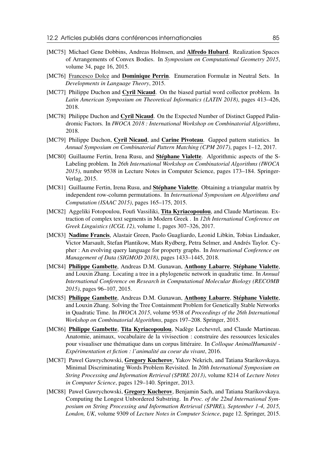- [MC75] Michael Gene Dobbins, Andreas Holmsen, and **Alfredo Hubard**. Realization Spaces of Arrangements of Convex Bodies. In *Symposium on Computational Geometry 2015*, volume 34, page 16, 2015.
- [MC76] Francesco Dolce and **Dominique Perrin**. Enumeration Formulæ in Neutral Sets. In *Developments in Language Theory*, 2015.
- [MC77] Philippe Duchon and Cyril Nicaud. On the biased partial word collector problem. In *Latin American Symposium on Theoretical Informatics (LATIN 2018)*, pages 413–426, 2018.
- [MC78] Philippe Duchon and Cyril Nicaud. On the Expected Number of Distinct Gapped Palindromic Factors. In *IWOCA 2018 : International Workshop on Combinatorial Algorithms*, 2018.
- [MC79] Philippe Duchon, Cyril Nicaud, and Carine Pivoteau. Gapped pattern statistics. In *Annual Symposium on Combinatorial Pattern Matching (CPM 2017)*, pages 1–12, 2017.
- [MC80] Guillaume Fertin, Irena Rusu, and Stéphane Vialette. Algorithmic aspects of the S-Labeling problem. In *26th International Workshop on Combinatorial Algorithms (IWOCA 2015)*, number 9538 in Lecture Notes in Computer Science, pages 173–184. Springer-Verlag, 2015.
- [MC81] Guillaume Fertin, Irena Rusu, and **Stéphane Vialette**. Obtaining a triangular matrix by independent row-column permutations. In *International Symposium on Algorithms and Computation (ISAAC 2015)*, pages 165–175, 2015.
- [MC82] Aggeliki Fotopoulou, Foufi Vassiliki, Tita Kyriacopoulou, and Claude Martineau. Extraction of complex text segments in Modern Greek . In *12th International Conference on Greek Linguistics (ICGL 12)*, volume 1, pages 307–326, 2017.
- [MC83] Nadime Francis, Alastair Green, Paolo Guagliardo, Leonid Libkin, Tobias Lindaaker, Victor Marsault, Stefan Plantikow, Mats Rydberg, Petra Selmer, and Andrés Taylor. Cypher : An evolving query language for property graphs. In *International Conference on Management of Data (SIGMOD 2018)*, pages 1433–1445, 2018.
- [MC84] Philippe Gambette, Andreas D.M. Gunawan, Anthony Labarre, Stéphane Vialette, and Louxin Zhang. Locating a tree in a phylogenetic network in quadratic time. In *Annual International Conference on Research in Computational Molecular Biology (RECOMB 2015)*, pages 96–107, 2015.
- [MC85] Philippe Gambette, Andreas D.M. Gunawan, Anthony Labarre, Stéphane Vialette, and Louxin Zhang. Solving the Tree Containment Problem for Genetically Stable Networks in Quadratic Time. In *IWOCA 2015*, volume 9538 of *Proceedings of the 26th International Workshop on Combinatorial Algorithms*, pages 197–208. Springer, 2015.
- [MC86] Philippe Gambette, Tita Kyriacopoulou, Nadège Lechevrel, and Claude Martineau. Anatomie, animaux, vocabulaire de la vivisection : construire des ressources lexicales pour visualiser une thématique dans un corpus littéraire. In *Colloque AnimalHumanité - Expérimentation et fiction : l'animalité au coeur du vivant*, 2016.
- [MC87] Pawel Gawrychowski, Gregory Kucherov, Yakov Nekrich, and Tatiana Starikovskaya. Minimal Discriminating Words Problem Revisited. In *20th International Symposium on String Processing and Information Retrieval (SPIRE 2013)*, volume 8214 of *Lecture Notes in Computer Science*, pages 129–140. Springer, 2013.
- [MC88] Pawel Gawrychowski, Gregory Kucherov, Benjamin Sach, and Tatiana Starikovskaya. Computing the Longest Unbordered Substring. In *Proc. of the 22nd International Symposium on String Processing and Information Retrieval (SPIRE), September 1-4, 2015, London, UK*, volume 9309 of *Lecture Notes in Computer Science*, page 12. Springer, 2015.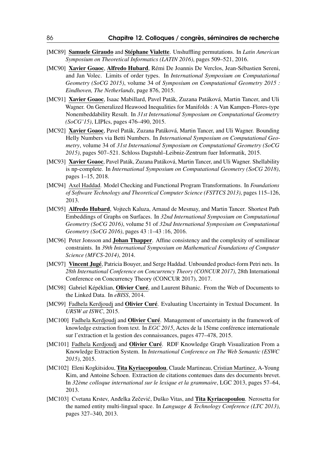- [MC89] Samuele Giraudo and Stéphane Vialette. Unshuffling permutations. In *Latin American Symposium on Theoretical Informatics (LATIN 2016)*, pages 509–521, 2016.
- [MC90] Xavier Goaoc, Alfredo Hubard, Rémi De Joannis De Verclos, Jean-Sébastien Sereni, and Jan Volec. Limits of order types. In *International Symposium on Computational Geometry (SoCG 2015)*, volume 34 of *Symposium on Computational Geometry 2015 : Eindhoven, The Netherlands*, page 876, 2015.
- [MC91] Xavier Goaoc, Isaac Mabillard, Pavel Paták, Zuzana Patáková, Martin Tancer, and Uli Wagner. On Generalized Heawood Inequalities for Manifolds : A Van Kampen–Flores-type Nonembeddability Result. In *31st International Symposium on Computational Geometry (SoCG'15)*, LIPIcs, pages 476–490, 2015.
- [MC92] Xavier Goaoc, Pavel Paták, Zuzana Patáková, Martin Tancer, and Uli Wagner. Bounding Helly Numbers via Betti Numbers. In *International Symposium on Computational Geometry*, volume 34 of *31st International Symposium on Computational Geometry (SoCG 2015)*, pages 507–521. Schloss Dagstuhl–Leibniz-Zentrum fuer Informatik, 2015.
- [MC93] Xavier Goaoc, Pavel Paták, Zuzana Patáková, Martin Tancer, and Uli Wagner. Shellability is np-complete. In *International Symposium on Computational Geometry (SoCG 2018)*, pages 1–15, 2018.
- [MC94] Axel Haddad. Model Checking and Functional Program Transformations. In *Foundations of Software Technology and Theoretical Computer Science (FSTTCS 2013)*, pages 115–126, 2013.
- [MC95] Alfredo Hubard, Vojtech Kaluza, Arnaud de Mesmay, and Martin Tancer. Shortest Path Embeddings of Graphs on Surfaces. In *32nd International Symposium on Computational Geometry (SoCG 2016)*, volume 51 of *32nd International Symposium on Computational Geometry (SoCG 2016)*, pages 43 :1–43 :16, 2016.
- [MC96] Peter Jonsson and **Johan Thapper**. Affine consistency and the complexity of semilinear constraints. In *39th International Symposium on Mathematical Foundations of Computer Science (MFCS-2014)*, 2014.
- [MC97] Vincent Jugé, Patricia Bouyer, and Serge Haddad. Unbounded product-form Petri nets. In *28th International Conference on Concurrency Theory (CONCUR 2017)*, 28th International Conference on Concurrency Theory (CONCUR 2017), 2017.
- [MC98] Gabriel Képéklian, Olivier Curé, and Laurent Bihanic. From the Web of Documents to the Linked Data. In *eBISS*, 2014.
- [MC99] Fadhela Kerdjoudj and Olivier Curé. Evaluating Uncertainty in Textual Document. In *URSW at ISWC*, 2015.
- [MC100] Fadhela Kerdjoudj and **Olivier Curé**. Management of uncertainty in the framework of knowledge extraction from text. In *EGC 2015*, Actes de la 15ème conférence internationale sur l'extraction et la gestion des connaissances, pages 477–478, 2015.
- [MC101] Fadhela Kerdjoudj and Olivier Curé. RDF Knowledge Graph Visualization From a Knowledge Extraction System. In *International Conference on The Web Semantic (ESWC 2015)*, 2015.
- [MC102] Eleni Kogkitsidou, Tita Kyriacopoulou, Claude Martineau, Cristian Martinez, A-Young Kim, and Antoine Schoen. Extraction de citations contenues dans des documents brevet. In *32ème colloque international sur le lexique et la grammaire*, LGC 2013, pages 57–64, 2013.
- [MC103] Cvetana Krstev, Andelka Zečević, Duško Vitas, and **Tita Kyriacopoulou**. Nerosetta for the named entity multi-lingual space. In *Language & Technology Conference (LTC 2013)*, pages 327–340, 2013.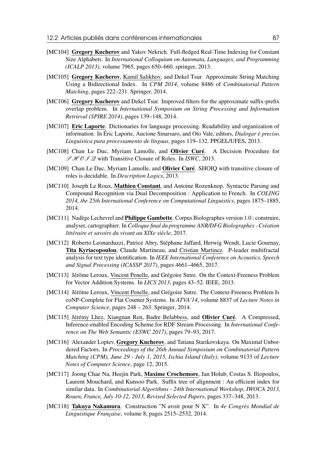- [MC104] Gregory Kucherov and Yakov Nekrich. Full-fledged Real-Time Indexing for Constant Size Alphabets. In *International Colloquium on Automata, Languages, and Programming (ICALP 2013)*, volume 7965, pages 650–660. springer, 2013.
- [MC105] Gregory Kucherov, Kamil Salikhov, and Dekel Tsur. Approximate String Matching Using a Bidirectional Index. In *CPM 2014*, volume 8486 of *Combinatorial Pattern Matching*, pages 222–231. Springer, 2014.
- [MC106] Gregory Kucherov and Dekel Tsur. Improved filters for the approximate suffix-prefix overlap problem. In *International Symposium on String Processing and Information Retrieval (SPIRE 2014)*, pages 139–148, 2014.
- [MC107] Eric Laporte. Dictionaries for language processing. Readability and organization of information. In Éric Laporte, Aucione Smarsaro, and Oto Vale, editors, *Dialogar é preciso. Linguística para processamento de línguas*, pages 119–132. PPGEL/UFES, 2013.
- [MC108] Chan Le Duc, Myriam Lamolle, and Olivier Curé. A Decision Procedure for S H OI Q with Transitive Closure of Roles. In *ISWC*, 2013.
- [MC109] Chan Le Duc, Myriam Lamolle, and Olivier Curé. SHOIQ with transitive closure of roles is decidable. In *Description Logics*, 2013.
- [MC110] Joseph Le Roux, Mathieu Constant, and Antoine Rozenknop. Syntactic Parsing and Compound Recognition via Dual Decomposition : Application to French. In *COLING 2014, the 25th International Conference on Computational Linguistics*, pages 1875–1885, 2014.
- [MC111] Nadège Lechevrel and **Philippe Gambette**. Corpus Biolographes version 1.0 : construire, analyser, cartographier. In *Colloque final du programme ANR/DFG Biolographes - Création littéraire et savoirs du vivant au XIXe siècle*, 2017.
- [MC112] Roberto Leonarduzzi, Patrice Abry, Stéphane Jaffard, Herwig Wendt, Lucie Gournay, Tita Kyriacopoulou, Claude Martineau, and Cristian Martinez. P-leader multifractal analysis for text type identification. In *IEEE International Conference on Acoustics, Speech and Signal Processing (ICASSP 2017)*, pages 4661–4665, 2017.
- [MC113] Jérôme Leroux, Vincent Penelle, and Grégoire Sutre. On the Context-Freeness Problem for Vector Addition Systems. In *LICS 2013*, pages 43–52. IEEE, 2013.
- [MC114] Jérôme Leroux, Vincent Penelle, and Grégoire Sutre. The Context-Freeness Problem Is coNP-Complete for Flat Counter Systems. In *ATVA'14*, volume 8837 of *Lecture Notes in Computer Science*, pages 248 – 263. Springer, 2014.
- [MC115] Jérémy Lhez, Xiangnan Ren, Badre Belabbess, and Olivier Curé. A Compressed, Inference-enabled Encoding Scheme for RDF Stream Processing. In *International Conference on The Web Semantic (ESWC 2017)*, pages 79–93, 2017.
- [MC116] Alexander Loptev, Gregory Kucherov, and Tatiana Starikovskaya. On Maximal Unbordered Factors. In *Proceedings of the 26th Annual Symposium on Combinatorial Pattern Matching (CPM), June 29 - July 1, 2015, Ischia Island (Italy)*, volume 9133 of *Lecture Notes of Computer Science*, page 12, 2015.
- [MC117] Joong Chae Na, Heejin Park, Maxime Crochemore, Jan Holub, Costas S. Iliopoulos, Laurent Mouchard, and Kunsoo Park. Suffix tree of alignment : An efficient index for similar data. In *Combinatorial Algorithms - 24th International Workshop, IWOCA 2013, Rouen, France, July 10-12, 2013, Revised Selected Papers*, pages 337–348, 2013.
- [MC118] Takuya Nakamura. Construction "N avoir pour N X". In *4e Congrès Mondial de Linguistique Française*, volume 8, pages 2515–2532, 2014.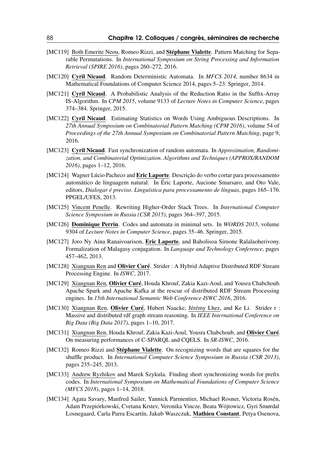- [MC119] Both Emerite Neou, Romeo Rizzi, and Stéphane Vialette. Pattern Matching for Separable Permutations. In *International Symposium on String Processing and Information Retrieval (SPIRE 2016)*, pages 260–272, 2016.
- [MC120] Cyril Nicaud. Random Deterministic Automata. In *MFCS 2014*, number 8634 in Mathematical Foundations of Computer Science 2014, pages 5–23. Springer, 2014.
- [MC121] Cyril Nicaud. A Probabilistic Analysis of the Reduction Ratio in the Suffix-Array IS-Algorithm. In *CPM 2015*, volume 9133 of *Lecture Notes in Computer Science*, pages 374–384. Springer, 2015.
- [MC122] Cyril Nicaud. Estimating Statistics on Words Using Ambiguous Descriptions. In *27th Annual Symposium on Combinatorial Pattern Matching (CPM 2016)*, volume 54 of *Proceedings of the 27th Annual Symposium on Combinatorial Pattern Matching*, page 9, 2016.
- [MC123] Cyril Nicaud. Fast synchronization of random automata. In *Approximation, Randomization, and Combinatorial Optimization. Algorithms and Techniques (APPROX/RANDOM 2016)*, pages 1–12, 2016.
- [MC124] Wagner Lúcio Pacheco and Eric Laporte. Descrição do verbo cortar para processamento automático de linguagem natural. In Éric Laporte, Aucione Smarsaro, and Oto Vale, editors, *Dialogar é preciso. Linguística para processamento de línguas*, pages 165–176. PPGEL/UFES, 2013.
- [MC125] Vincent Penelle. Rewriting Higher-Order Stack Trees. In *International Computer Science Symposium in Russia (CSR 2015)*, pages 364–397, 2015.
- [MC126] Dominique Perrin. Codes and automata in minimal sets. In *WORDS 2015*, volume 9304 of *Lecture Notes in Computer Science*, pages 35–46. Springer, 2015.
- [MC127] Joro Ny Aina Ranaivoarison, Eric Laporte, and Baholisoa Simone Ralalaoherivony. Formalization of Malagasy conjugation. In *Language and Technology Conference*, pages 457–462, 2013.
- [MC128] Xiangnan Ren and Olivier Curé. Strider : A Hybrid Adaptive Distributed RDF Stream Processing Engine. In *ISWC*, 2017.
- [MC129] Xiangnan Ren, Olivier Curé, Houda Khrouf, Zakia Kazi-Aoul, and Yousra Chabchoub. Apache Spark and Apache Kafka at the rescue of distributed RDF Stream Processing engines. In *15th International Semantic Web Conference ISWC 2016*, 2016.
- [MC130] Xiangnan Ren, Olivier Curé, Hubert Naacke, Jérémy Lhez, and Ke Li. Strider r : Massive and distributed rdf graph stream reasoning. In *IEEE International Conference on Big Data (Big Data 2017)*, pages 1–10, 2017.
- [MC131] Xiangnan Ren, Houda Khrouf, Zakia Kazi-Aoul, Yousra Chabchoub, and Olivier Curé. On measuring performances of C-SPARQL and CQELS. In *SR-ISWC*, 2016.
- [MC132] Romeo Rizzi and Stéphane Vialette. On recognizing words that are squares for the shuffle product. In *International Computer Science Symposium in Russia (CSR 2013)*, pages 235–245, 2013.
- [MC133] Andrew Ryzhikov and Marek Szykula. Finding short synchronizing words for prefix codes. In *International Symposium on Mathematical Foundations of Computer Science (MFCS 2018)*, pages 1–14, 2018.
- [MC134] Agata Savary, Manfred Sailer, Yannick Parmentier, Michael Rosner, Victoria Rosén, Adam Przepiórkowski, Cvetana Krstev, Veronika Vincze, Beata Wójtowicz, Gyri Smørdal Losnegaard, Carla Parra Escartín, Jakub Waszczuk, Mathieu Constant, Petya Osenova,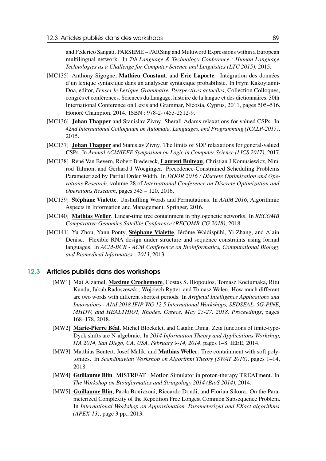and Federico Sangati. PARSEME – PARSing and Multiword Expressions within a European multilingual network. In *7th Language & Technology Conference : Human Language Technologies as a Challenge for Computer Science and Linguistics (LTC 2015)*, 2015.

- [MC135] Anthony Sigogne, Mathieu Constant, and Eric Laporte. Intégration des données d'un lexique syntaxique dans un analyseur syntaxique probabiliste. In Fryni Kakoyianni-Doa, editor, *Penser le Lexique-Grammaire. Perspectives actuelles*, Collection Colloques, congrès et conférences. Sciences du Langage, histoire de la langue et des dictionnaires. 30th International Conference on Lexis and Grammar, Nicosia, Cyprus, 2011, pages 505–516. Honoré Champion, 2014. ISBN : 978-2-7453-2512-9.
- [MC136] Johan Thapper and Stanislav Zivny. Sherali-Adams relaxations for valued CSPs. In *42nd International Colloquium on Automata, Languages, and Programming (ICALP-2015)*, 2015.
- [MC137] Johan Thapper and Stanislav Zivny. The limits of SDP relaxations for general-valued CSPs. In *Annual ACM/IEEE Symposium on Logic in Computer Science (LICS 2017)*, 2017.
- [MC138] René Van Bevern, Robert Bredereck, Laurent Bulteau, Christian J Komusiewicz, Nimrod Talmon, and Gerhard J Woeginger. Precedence-Constrained Scheduling Problems Parameterized by Partial Order Width. In *DOOR 2016 : Discrete Optimization and Operations Research*, volume 28 of *International Conference on Discrete Optimization and Operations Research*, pages 345 – 120, 2016.
- [MC139] Stéphane Vialette. Unshuffling Words and Permutations. In *AAIM 2016*, Algorithmic Aspects in Information and Management. Springer, 2016.
- [MC140] Mathias Weller. Linear-time tree containment in phylogenetic networks. In *RECOMB Comparative Genomics Satellite Conference (RECOMB-CG 2018)*, 2018.
- [MC141] Yu Zhou, Yann Ponty, Stéphane Vialette, Jérôme Waldispühl, Yi Zhang, and Alain Denise. Flexible RNA design under structure and sequence constraints using formal languages. In *ACM-BCB - ACM Conference on Bioinformatics, Computational Biology and Biomedical Informatics - 2013*, 2013.

#### 12.3 Articles publiés dans des workshops

- [MW1] Mai Alzamel, Maxime Crochemore, Costas S. Iliopoulos, Tomasz Kociumaka, Ritu Kundu, Jakub Radoszewski, Wojciech Rytter, and Tomasz Walen. How much different are two words with different shortest periods. In *Artificial Intelligence Applications and Innovations - AIAI 2018 IFIP WG 12.5 International Workshops, SEDSEAL, 5G-PINE, MHDW, and HEALTHIOT, Rhodes, Greece, May 25-27, 2018, Proceedings*, pages 168–178, 2018.
- [MW2] Marie-Pierre Béal, Michel Blockelet, and Catalin Dima. Zeta functions of finite-type-Dyck shifts are N-algebraic. In *2014 Information Theory and Applications Workshop, ITA 2014, San Diego, CA, USA, February 9-14, 2014*, pages 1–8. IEEE, 2014.
- [MW3] Matthias Bentert, Josef Malík, and **Mathias Weller**. Tree containment with soft polytomies. In *Scandinavian Workshop on Algorithm Theory (SWAT 2018)*, pages 1–14, 2018.
- [MW4] Guillaume Blin. MISTREAT : MotIon Simulator in proton-therapy TREATment. In *The Workshop on Bioinformatics and Stringology 2014 (BioS 2014)*, 2014.
- [MW5] Guillaume Blin, Paola Bonizzoni, Riccardo Dondi, and Florian Sikora. On the Parameterized Complexity of the Repetition Free Longest Common Subsequence Problem. In *International Workshop on Approximation, Parameterized and EXact algorithms (APEX'13)*, page 3 pp., 2013.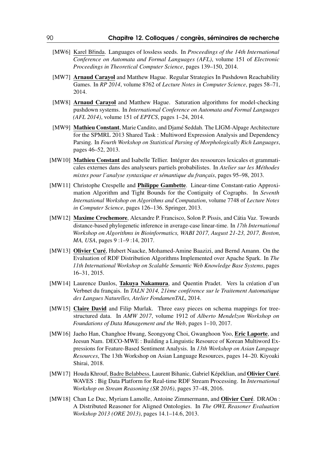- [MW6] Karel Břinda. Languages of lossless seeds. In *Proceedings of the 14th International Conference on Automata and Formal Languages (AFL)*, volume 151 of *Electronic Proceedings in Theoretical Computer Science*, pages 139–150, 2014.
- [MW7] Arnaud Carayol and Matthew Hague. Regular Strategies In Pushdown Reachability Games. In *RP 2014*, volume 8762 of *Lecture Notes in Computer Science*, pages 58–71, 2014.
- [MW8] Arnaud Carayol and Matthew Hague. Saturation algorithms for model-checking pushdown systems. In *International Conference on Automata and Formal Languages (AFL 2014)*, volume 151 of *EPTCS*, pages 1–24, 2014.
- [MW9] Mathieu Constant, Marie Candito, and Djamé Seddah. The LIGM-Alpage Architecture for the SPMRL 2013 Shared Task : Multiword Expression Analysis and Dependency Parsing. In *Fourth Workshop on Statistical Parsing of Morphologically Rich Languages*, pages 46–52, 2013.
- [MW10] Mathieu Constant and Isabelle Tellier. Intégrer des ressources lexicales et grammaticales externes dans des analyseurs partiels probabilistes. In *Atelier sur les Méthodes mixtes pour l'analyse syntaxique et sémantique du français*, pages 95–98, 2013.
- [MW11] Christophe Crespelle and Philippe Gambette. Linear-time Constant-ratio Approximation Algorithm and Tight Bounds for the Contiguity of Cographs. In *Seventh International Workshop on Algorithms and Computation*, volume 7748 of *Lecture Notes in Computer Science*, pages 126–136. Springer, 2013.
- [MW12] Maxime Crochemore, Alexandre P. Francisco, Solon P. Pissis, and Cátia Vaz. Towards distance-based phylogenetic inference in average-case linear-time. In *17th International Workshop on Algorithms in Bioinformatics, WABI 2017, August 21-23, 2017, Boston, MA, USA*, pages 9 :1–9 :14, 2017.
- [MW13] Olivier Curé, Hubert Naacke, Mohamed-Amine Baazizi, and Bernd Amann. On the Evaluation of RDF Distribution Algorithms Implemented over Apache Spark. In *The 11th International Workshop on Scalable Semantic Web Knowledge Base Systems*, pages 16–31, 2015.
- [MW14] Laurence Danlos, Takuya Nakamura, and Quentin Pradet. Vers la création d'un Verbnet du français. In *TALN 2014, 21ème conférence sur le Traitement Automatique des Langues Naturelles, Atelier FondamenTAL*, 2014.
- [MW15] Claire David and Filip Murlak. Three easy pieces on schema mappings for treestructured data. In *AMW 2017*, volume 1912 of *Alberto Mendelzon Workshop on Foundations of Data Management and the Web*, pages 1–10, 2017.
- [MW16] Jaeho Han, Changhoe Hwang, Seongyong Choi, Gwanghoon Yoo, Eric Laporte, and Jeesun Nam. DECO-MWE : Building a Linguistic Resource of Korean Multiword Expressions for Feature-Based Sentiment Analysis. In *13th Workshop on Asian Language Resources*, The 13th Workshop on Asian Language Resources, pages 14–20. Kiyoaki Shirai, 2018.
- [MW17] Houda Khrouf, Badre Belabbess, Laurent Bihanic, Gabriel Képéklian, and Olivier Curé. WAVES : Big Data Platform for Real-time RDF Stream Processing. In *International Workshop on Stream Reasoning (SR 2016)*, pages 37–48, 2016.
- [MW18] Chan Le Duc, Myriam Lamolle, Antoine Zimmermann, and Olivier Curé. DRAOn : A Distributed Reasoner for Aligned Ontologies. In *The OWL Reasoner Evaluation Workshop 2013 (ORE 2013)*, pages 14.1–14.6, 2013.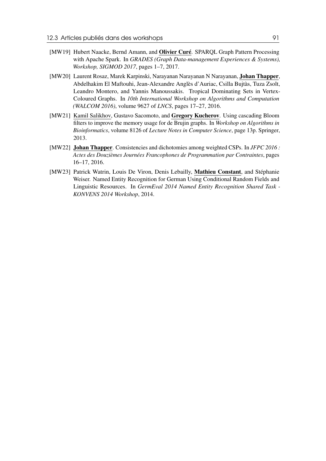- [MW19] Hubert Naacke, Bernd Amann, and Olivier Curé. SPAROL Graph Pattern Processing with Apache Spark. In *GRADES (Graph Data-management Experiences & Systems), Workshop, SIGMOD 2017*, pages 1–7, 2017.
- [MW20] Laurent Rosaz, Marek Karpinski, Narayanan Narayanan N Narayanan, Johan Thapper, Abdelhakim El Maftouhi, Jean-Alexandre Anglès d'Auriac, Csilla Bujtàs, Tuza Zsolt, Leandro Montero, and Yannis Manoussakis. Tropical Dominating Sets in Vertex-Coloured Graphs. In *10th International Workshop on Algorithms and Computation (WALCOM 2016)*, volume 9627 of *LNCS*, pages 17–27, 2016.
- [MW21] Kamil Salikhov, Gustavo Sacomoto, and Gregory Kucherov. Using cascading Bloom filters to improve the memory usage for de Brujin graphs. In *Workshop on Algorithms in Bioinformatics*, volume 8126 of *Lecture Notes in Computer Science*, page 13p. Springer, 2013.
- [MW22] Johan Thapper. Consistencies and dichotomies among weighted CSPs. In *JFPC 2016 : Actes des Douzièmes Journées Francophones de Programmation par Contraintes*, pages 16–17, 2016.
- [MW23] Patrick Watrin, Louis De Viron, Denis Lebailly, Mathieu Constant, and Stéphanie Weiser. Named Entity Recognition for German Using Conditional Random Fields and Linguistic Resources. In *GermEval 2014 Named Entity Recognition Shared Task - KONVENS 2014 Workshop*, 2014.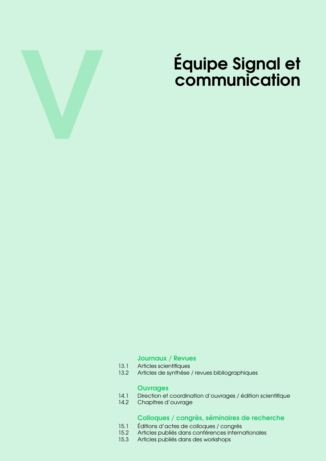

# Équipe Signal et communication

#### [Journaux / Revues](#page-94-0)

- 13.1 [Articles scientifiques](#page-94-1)
- 13.2 [Articles de synthèse / revues bibliographiques](#page-98-0)

- **[Ouvrages](#page-100-0)**<br>14.1 Direction et 14.1 [Direction et coordination d'ouvrages / édition scientifique](#page-100-1)<br>14.2 Chapitres d'ouvrage
- Chapitres d'ouvrage

### [Colloques / congrès, séminaires de recherche](#page-102-0)

- 15.1 [Éditions d'actes de colloques / congrès](#page-102-1)<br>15.2 Articles publiés dans conférences interne
- 15.2 [Articles publiés dans conférences internationales](#page-102-2)<br>15.3 Articles publiés dans des workshops
- Articles publiés dans des workshops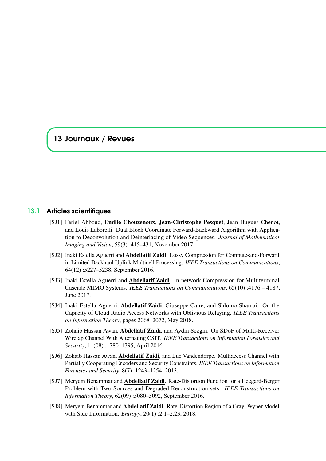## <span id="page-94-0"></span>13 Journaux / Revues

#### 13.1 Articles scientifiques

- <span id="page-94-1"></span>[SJ1] Feriel Abboud, Emilie Chouzenoux, Jean-Christophe Pesquet, Jean-Hugues Chenot, and Louis Laborelli. Dual Block Coordinate Forward-Backward Algorithm with Application to Deconvolution and Deinterlacing of Video Sequences. *Journal of Mathematical Imaging and Vision*, 59(3) :415–431, November 2017.
- [SJ2] Inaki Estella Aguerri and **Abdellatif Zaidi**. Lossy Compression for Compute-and-Forward in Limited Backhaul Uplink Multicell Processing. *IEEE Transactions on Communications*, 64(12) :5227–5238, September 2016.
- [SJ3] Inaki Estella Aguerri and Abdellatif Zaidi. In-network Compression for Multiterminal Cascade MIMO Systems. *IEEE Transactions on Communications*, 65(10) :4176 – 4187, June 2017.
- [SJ4] Inaki Estella Aguerri, Abdellatif Zaidi, Giuseppe Caire, and Shlomo Shamai. On the Capacity of Cloud Radio Access Networks with Oblivious Relaying. *IEEE Transactions on Information Theory*, pages 2068–2072, May 2018.
- [SJ5] Zohaib Hassan Awan, Abdellatif Zaidi, and Aydin Sezgin. On SDoF of Multi-Receiver Wiretap Channel With Alternating CSIT. *IEEE Transactions on Information Forensics and Security*, 11(08) :1780–1795, April 2016.
- [SJ6] Zohaib Hassan Awan, Abdellatif Zaidi, and Luc Vandendorpe. Multiaccess Channel with Partially Cooperating Encoders and Security Constraints. *IEEE Transactions on Information Forensics and Security*, 8(7) :1243–1254, 2013.
- [SJ7] Meryem Benammar and Abdellatif Zaidi. Rate-Distortion Function for a Heegard-Berger Problem with Two Sources and Degraded Reconstruction sets. *IEEE Transactions on Information Theory*, 62(09) :5080–5092, September 2016.
- [SJ8] Meryem Benammar and Abdellatif Zaidi. Rate-Distortion Region of a Gray–Wyner Model with Side Information. *Entropy*, 20(1) :2.1–2.23, 2018.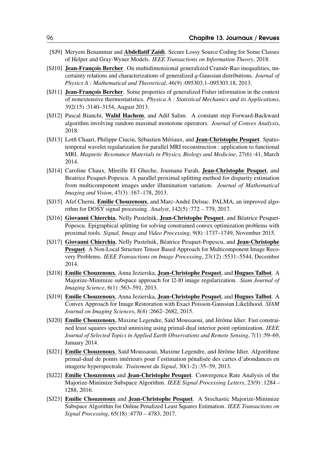- [SJ9] Meryem Benammar and Abdellatif Zaidi. Secure Lossy Source Coding for Some Classes of Helper and Gray-Wyner Models. *IEEE Transactions on Information Theory*, 2018.
- [SJ10] Jean-François Bercher. On multidimensional generalized Cramér-Rao inequalities, uncertainty relations and characterizations of generalized *q*-Gaussian distributions. *Journal of Physics A : Mathematical and Theoretical*, 46(9) :095303.1–095303.18, 2013.
- [SJ11] Jean-François Bercher. Some properties of generalized Fisher information in the context of nonextensive thermostatistics. *Physica A : Statistical Mechanics and its Applications*, 392(15) :3140–3154, August 2013.
- [SJ12] Pascal Bianchi, Walid Hachem, and Adil Salim. A constant step Forward-Backward algorithm involving random maximal monotone operators. *Journal of Convex Analysis*, 2018.
- [SJ13] Lotfi Chaari, Philippe Ciuciu, Sébastien Mériaux, and Jean-Christophe Pesquet. Spatiotemporal wavelet regularization for parallel MRI reconstruction : application to functional MRI. *Magnetic Resonance Materials in Physics, Biology and Medicine*, 27(6) :41, March 2014.
- [SJ14] Caroline Chaux, Mireille El Gheche, Joumana Farah, Jean-Christophe Pesquet, and Beatrice Pesquet-Popescu. A parallel proximal splitting method for disparity estimation from multicomponent images under illumination variation. *Journal of Mathematical Imaging and Vision*, 47(3) :167–178, 2013.
- [SJ15] Afef Cherni, **Emilie Chouzenoux**, and Marc-André Delsuc. PALMA, an improved algorithm for DOSY signal processing. *Analyst*, 142(5) :772 – 779, 2017.
- [SJ16] Giovanni Chierchia, Nelly Pustelnik, Jean-Christophe Pesquet, and Béatrice Pesquet-Popescu. Epigraphical splitting for solving constrained convex optimization problems with proximal tools. *Signal, Image and Video Processing*, 9(8) :1737–1749, November 2015.
- [SJ17] Giovanni Chierchia, Nelly Pustelnik, Béatrice Pesquet-Popescu, and Jean-Christophe Pesquet. A Non-Local Structure Tensor Based Approach for Multicomponent Image Recovery Problems. *IEEE Transactions on Image Processing*, 23(12) :5531–5544, December 2014.
- [SJ18] Emilie Chouzenoux, Anna Jezierska, Jean-Christophe Pesquet, and Hugues Talbot. A Majorize-Minimize subspace approach for l2-l0 image regularization. *Siam Journal of Imaging Science*, 6(1) :563–591, 2013.
- [SJ19] Emilie Chouzenoux, Anna Jezierska, Jean-Christophe Pesquet, and Hugues Talbot. A Convex Approach for Image Restoration with Exact Poisson-Gaussian Likelihood. *SIAM Journal on Imaging Sciences*, 8(4) :2662–2682, 2015.
- [SJ20] Emilie Chouzenoux, Maxime Legendre, Saïd Moussaoui, and Jérôme Idier. Fast constrained least squares spectral unmixing using primal-dual interior point optimization. *IEEE Journal of Selected Topics in Applied Earth Observations and Remote Sensing*, 7(1) :59–69, January 2014.
- [SJ21] Emilie Chouzenoux, Saïd Moussaoui, Maxime Legendre, and Jérôme Idier. Algorithme primal-dual de points intérieurs pour l'estimation pénalisée des cartes d'abondances en imagerie hyperspectrale. *Traitement du Signal*, 30(1-2) :35–59, 2013.
- [SJ22] Emilie Chouzenoux and Jean-Christophe Pesquet. Convergence Rate Analysis of the Majorize-Minimize Subspace Algorithm. *IEEE Signal Processing Letters*, 23(9) :1284 – 1288, 2016.
- [SJ23] Emilie Chouzenoux and Jean-Christophe Pesquet. A Stochastic Majorize-Minimize Subspace Algorithm for Online Penalized Least Squares Estimation. *IEEE Transactions on Signal Processing*, 65(18) :4770 – 4783, 2017.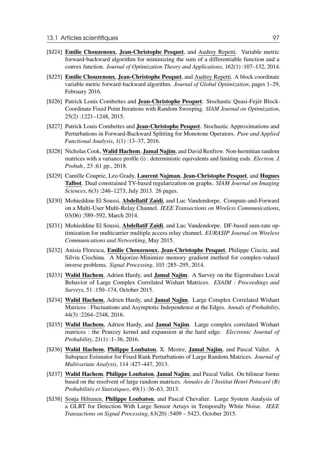- [SJ24] Emilie Chouzenoux, Jean-Christophe Pesquet, and Audrey Repetti. Variable metric forward-backward algorithm for minimizing the sum of a differentiable function and a convex function. *Journal of Optimization Theory and Applications*, 162(1) :107–132, 2014.
- [SJ25] Emilie Chouzenoux, Jean-Christophe Pesquet, and Audrey Repetti. A block coordinate variable metric forward-backward algorithm. *Journal of Global Optimization*, pages 1–29, February 2016.
- [SJ26] Patrick Louis Combettes and Jean-Christophe Pesquet. Stochastic Quasi-Fejér Block-Coordinate Fixed Point Iterations with Random Sweeping. *SIAM Journal on Optimization*, 25(2) :1221–1248, 2015.
- [SJ27] Patrick Louis Combettes and Jean-Christophe Pesquet. Stochastic Approximations and Perturbations in Forward-Backward Splitting for Monotone Operators. *Pure and Applied Functional Analysis*, 1(1) :13–37, 2016.
- [SJ28] Nicholas Cook, Walid Hachem, Jamal Najim, and David Renfrew. Non-hermitian random matrices with a variance profile (i) : deterministic equivalents and limiting esds. *Electron. J. Probab.*, 23 :61 pp., 2018.
- [SJ29] Camille Couprie, Leo Grady, Laurent Najman, Jean-Christophe Pesquet, and Hugues Talbot. Dual constrained TV-based regularization on graphs. *SIAM Journal on Imaging Sciences*, 6(3) :246–1273, July 2013. 26 pages.
- [SJ30] Mohieddine El Soussi, Abdellatif Zaidi, and Luc Vandendorpe. Compute-and-Forward on a Multi-User Multi-Relay Channel. *IEEE Transactions on Wireless Communications*, 03(06) :589–592, March 2014.
- [SJ31] Mohieddine El Soussi, Abdellatif Zaidi, and Luc Vandendorpe. DF-based sum-rate optimization for multicarrier multiple access relay channel. *EURASIP Journal on Wireless Communications and Networking*, May 2015.
- [SJ32] Anisia Florescu, **Emilie Chouzenoux, Jean-Christophe Pesquet**, Philippe Ciuciu, and Silviu Ciochina. A Majorize-Minimize memory gradient method for complex-valued inverse problems. *Signal Processing*, 103 :285–295, 2014.
- [SJ33] Walid Hachem, Adrien Hardy, and Jamal Najim. A Survey on the Eigenvalues Local Behavior of Large Complex Correlated Wishart Matrices. *ESAIM : Proceedings and Surveys*, 51 :150–174, October 2015.
- [SJ34] Walid Hachem, Adrien Hardy, and Jamal Najim. Large Complex Correlated Wishart Matrices : Fluctuations and Asymptotic Independence at the Edges. *Annals of Probability*, 44(3) :2264–2348, 2016.
- [SJ35] Walid Hachem, Adrien Hardy, and Jamal Najim. Large complex correlated Wishart matrices : the Pearcey kernel and expansion at the hard edge. *Electronic Journal of Probability*, 21(1) :1–36, 2016.
- [SJ36] Walid Hachem, Philippe Loubaton, X. Mestre, Jamal Najim, and Pascal Vallet. A Subspace Estimator for Fixed Rank Perturbations of Large Random Matrices. *Journal of Multivariate Analysis*, 114 :427–447, 2013.
- [SJ37] Walid Hachem, Philippe Loubaton, Jamal Najim, and Pascal Vallet. On bilinear forms based on the resolvent of large random matrices. *Annales de l'Institut Henri Poincaré (B) Probabilités et Statistiques*, 49(1) :36–63, 2013.
- [SJ38] Sonja Hiltunen, Philippe Loubaton, and Pascal Chevalier. Large System Analysis of a GLRT for Detection With Large Sensor Arrays in Temporally White Noise. *IEEE Transactions on Signal Processing*, 63(20) :5409 – 5423, October 2015.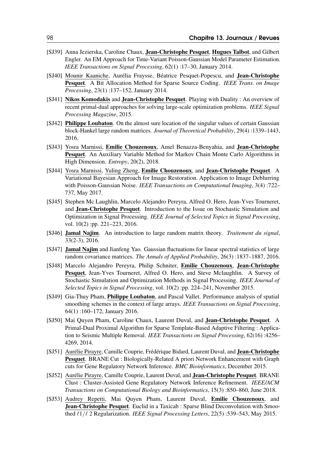- [SJ39] Anna Jezierska, Caroline Chaux, **Jean-Christophe Pesquet, Hugues Talbot**, and Gilbert Engler. An EM Approach for Time-Variant Poisson-Gaussian Model Parameter Estimation. *IEEE Transactions on Signal Processing*, 62(1) :17–30, January 2014.
- [SJ40] Mounir Kaaniche, Aurélia Fraysse, Béatrice Pesquet-Popescu, and Jean-Christophe Pesquet. A Bit Allocation Method for Sparse Source Coding. *IEEE Trans. on Image Processing*, 23(1) :137–152, January 2014.
- [SJ41] Nikos Komodakis and Jean-Christophe Pesquet. Playing with Duality : An overview of recent primal-dual approaches for solving large-scale optimization problems. *IEEE Signal Processing Magazine*, 2015.
- [SJ42] **Philippe Loubaton**. On the almost sure location of the singular values of certain Gaussian block-Hankel large random matrices. *Journal of Theoretical Probability*, 29(4) :1339–1443, 2016.
- [SJ43] Yosra Marnissi, Emilie Chouzenoux, Amel Benazza-Benyahia, and Jean-Christophe Pesquet. An Auxiliary Variable Method for Markov Chain Monte Carlo Algorithms in High Dimension. *Entropy*, 20(2), 2018.
- [SJ44] Yosra Marnissi, Yuling Zheng, Emilie Chouzenoux, and Jean-Christophe Pesquet. A Variational Bayesian Approach for Image Restoration. Application to Image Deblurring with Poisson-Gaussian Noise. *IEEE Transactions on Computational Imaging*, 3(4) :722– 737, May 2017.
- [SJ45] Stephen Mc Laughlin, Marcelo Alejandro Pereyra, Alfred O. Hero, Jean-Yves Tourneret, and Jean-Christophe Pesquet. Introduction to the Issue on Stochastic Simulation and Optimization in Signal Processing. *IEEE Journal of Selected Topics in Signal Processing*, vol. 10(2) :pp. 221–223, 2016.
- [SJ46] Jamal Najim. An introduction to large random matrix theory. *Traitement du signal*, 33(2-3), 2016.
- [SJ47] Jamal Najim and Jianfeng Yao. Gaussian fluctuations for linear spectral statistics of large random covariance matrices. *The Annals of Applied Probability*, 26(3) :1837–1887, 2016.
- [SJ48] Marcelo Alejandro Pereyra, Philip Schniter, Emilie Chouzenoux, Jean-Christophe Pesquet, Jean-Yves Tourneret, Alfred O. Hero, and Steve Mclaughlin. A Survey of Stochastic Simulation and Optimization Methods in Signal Processing. *IEEE Journal of Selected Topics in Signal Processing*, vol. 10(2) :pp. 224–241, November 2015.
- [SJ49] Gia-Thuy Pham, **Philippe Loubaton**, and Pascal Vallet. Performance analysis of spatial smoothing schemes in the context of large arrays. *IEEE Transactions on Signal Processing*, 64(1) :160–172, January 2016.
- [SJ50] Mai Quyen Pham, Caroline Chaux, Laurent Duval, and Jean-Christophe Pesquet. A Primal-Dual Proximal Algorithm for Sparse Template-Based Adaptive Filtering : Application to Seismic Multiple Removal. *IEEE Transactions on Signal Processing*, 62(16) :4256– 4269, 2014.
- [SJ51] Aurélie Pirayre, Camille Couprie, Frédérique Bidard, Laurent Duval, and **Jean-Christophe** Pesquet. BRANE Cut : Biologically-Related A priori Network Enhancement with Graph cuts for Gene Regulatory Network Inference. *BMC Bioinformatics*, December 2015.
- [SJ52] Aurélie Pirayre, Camille Couprie, Laurent Duval, and Jean-Christophe Pesquet. BRANE Clust : Cluster-Assisted Gene Regulatory Network Inference Refinement. *IEEE/ACM Transactions on Computational Biology and Bioinformatics*, 15(3) :850–860, June 2018.
- [SJ53] Audrey Repetti, Mai Quyen Pham, Laurent Duval, Emilie Chouzenoux, and Jean-Christophe Pesquet. Euclid in a Taxicab : Sparse Blind Deconvolution with Smoothed  $\ell_1/\ell$  2 Regularization. *IEEE Signal Processing Letters*, 22(5) :539–543, May 2015.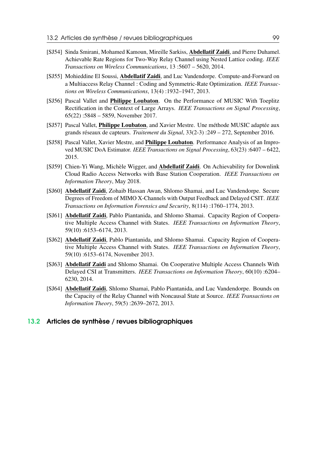- [SJ54] Sinda Smirani, Mohamed Kamoun, Mireille Sarkiss, Abdellatif Zaidi, and Pierre Duhamel. Achievable Rate Regions for Two-Way Relay Channel using Nested Lattice coding. *IEEE Transactions on Wireless Communications*, 13 :5607 – 5620, 2014.
- [SJ55] Mohieddine El Soussi, **Abdellatif Zaidi**, and Luc Vandendorpe. Compute-and-Forward on a Multiaccess Relay Channel : Coding and Symmetric-Rate Optimization. *IEEE Transactions on Wireless Communications*, 13(4) :1932–1947, 2013.
- [SJ56] Pascal Vallet and Philippe Loubaton. On the Performance of MUSIC With Toeplitz Rectification in the Context of Large Arrays. *IEEE Transactions on Signal Processing*, 65(22) :5848 – 5859, November 2017.
- [SJ57] Pascal Vallet, Philippe Loubaton, and Xavier Mestre. Une méthode MUSIC adaptée aux grands réseaux de capteurs. *Traitement du Signal*, 33(2-3) :249 – 272, September 2016.
- [SJ58] Pascal Vallet, Xavier Mestre, and Philippe Loubaton. Performance Analysis of an Improved MUSIC DoA Estimator. *IEEE Transactions on Signal Processing*, 63(23) :6407 – 6422, 2015.
- [SJ59] Chien-Yi Wang, Michèle Wigger, and Abdellatif Zaidi. On Achievability for Downlink Cloud Radio Access Networks with Base Station Cooperation. *IEEE Transactions on Information Theory*, May 2018.
- [SJ60] Abdellatif Zaidi, Zohaib Hassan Awan, Shlomo Shamai, and Luc Vandendorpe. Secure Degrees of Freedom of MIMO X-Channels with Output Feedback and Delayed CSIT. *IEEE Transactions on Information Forensics and Security*, 8(114) :1760–1774, 2013.
- [SJ61] Abdellatif Zaidi, Pablo Piantanida, and Shlomo Shamai. Capacity Region of Cooperative Multiple Access Channel with States. *IEEE Transactions on Information Theory*, 59(10) :6153–6174, 2013.
- [SJ62] Abdellatif Zaidi, Pablo Piantanida, and Shlomo Shamai. Capacity Region of Cooperative Multiple Access Channel with States. *IEEE Transactions on Information Theory*, 59(10) :6153–6174, November 2013.
- [SJ63] Abdellatif Zaidi and Shlomo Shamai. On Cooperative Multiple Access Channels With Delayed CSI at Transmitters. *IEEE Transactions on Information Theory*, 60(10) :6204– 6230, 2014.
- [SJ64] Abdellatif Zaidi, Shlomo Shamai, Pablo Piantanida, and Luc Vandendorpe. Bounds on the Capacity of the Relay Channel with Noncausal State at Source. *IEEE Transactions on Information Theory*, 59(5) :2639–2672, 2013.

#### <span id="page-98-0"></span>13.2 Articles de synthèse / revues bibliographiques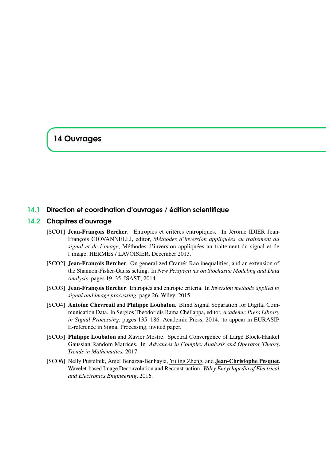# <span id="page-100-0"></span>14 Ouvrages

#### <span id="page-100-1"></span>14.1 Direction et coordination d'ouvrages / édition scientifique

#### 14.2 Chapitres d'ouvrage

- <span id="page-100-2"></span>[SCO1] Jean-François Bercher. Entropies et critères entropiques. In Jérome IDIER Jean-François GIOVANNELLI, editor, *Méthodes d'inversion appliquées au traitement du signal et de l'image*, Méthodes d'inversion appliquées au traitement du signal et de l'image. HERMÈS / LAVOISIER, December 2013.
- [SCO2] Jean-François Bercher. On generalized Cramér-Rao inequalities, and an extension of the Shannon-Fisher-Gauss setting. In *New Perspectives on Stochastic Modeling and Data Analysis*, pages 19–35. ISAST, 2014.
- [SCO3] Jean-François Bercher. Entropies and entropic criteria. In *Inversion methods applied to signal and image processing*, page 26. Wiley, 2015.
- [SCO4] Antoine Chevreuil and Philippe Loubaton. Blind Signal Separation for Digital Communication Data. In Sergios Theodoridis Rama Chellappa, editor, *Academic Press Library in Signal Processing*, pages 135–186. Academic Press, 2014. to appear in EURASIP E-reference in Signal Processing, invited paper.
- [SCO5] Philippe Loubaton and Xavier Mestre. Spectral Convergence of Large Block-Hankel Gaussian Random Matrices. In *Advances in Complex Analysis and Operator Theory. Trends in Mathematics.* 2017.
- [SCO6] Nelly Pustelnik, Amel Benazza-Benhayia, Yuling Zheng, and Jean-Christophe Pesquet. Wavelet-based Image Deconvolution and Reconstruction. *Wiley Encyclopedia of Electrical and Electronics Engineering*, 2016.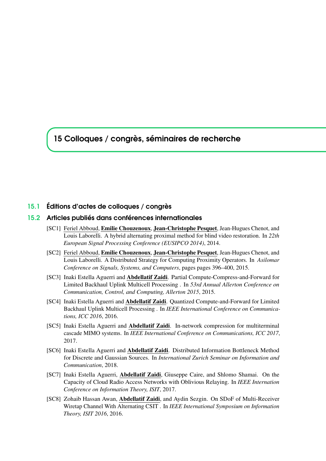# <span id="page-102-0"></span>15 Colloques / congrès, séminaires de recherche

#### <span id="page-102-1"></span>15.1 Éditions d'actes de colloques / congrès

#### 15.2 Articles publiés dans conférences internationales

- <span id="page-102-2"></span>[SC1] Feriel Abboud, Emilie Chouzenoux, Jean-Christophe Pesquet, Jean-Hugues Chenot, and Louis Laborelli. A hybrid alternating proximal method for blind video restoration. In *22th European Signal Processing Conference (EUSIPCO 2014)*, 2014.
- [SC2] Feriel Abboud, Emilie Chouzenoux, Jean-Christophe Pesquet, Jean-Hugues Chenot, and Louis Laborelli. A Distributed Strategy for Computing Proximity Operators. In *Asilomar Conference on Signals, Systems, and Computers*, pages pages 396–400, 2015.
- [SC3] Inaki Estella Aguerri and Abdellatif Zaidi. Partial Compute-Compress-and-Forward for Limited Backhaul Uplink Multicell Processing . In *53rd Annual Allerton Conference on Communication, Control, and Computing, Allerton 2015*, 2015.
- [SC4] Inaki Estella Aguerri and Abdellatif Zaidi. Quantized Compute-and-Forward for Limited Backhaul Uplink Multicell Processing . In *IEEE International Conference on Communications, ICC 2016*, 2016.
- [SC5] Inaki Estella Aguerri and Abdellatif Zaidi. In-network compression for multiterminal cascade MIMO systems. In *IEEE International Conference on Communications, ICC 2017*, 2017.
- [SC6] Inaki Estella Aguerri and Abdellatif Zaidi. Distributed Information Bottleneck Method for Discrete and Gaussian Sources. In *International Zurich Seminar on Information and Communication*, 2018.
- [SC7] Inaki Estella Aguerri, Abdellatif Zaidi, Giuseppe Caire, and Shlomo Shamai. On the Capacity of Cloud Radio Access Networks with Oblivious Relaying. In *IEEE Internation Conference on Information Theory, ISIT*, 2017.
- [SC8] Zohaib Hassan Awan, **Abdellatif Zaidi**, and Aydin Sezgin. On SDoF of Multi-Receiver Wiretap Channel With Alternating CSIT . In *IEEE International Symposium on Information Theory, ISIT 2016*, 2016.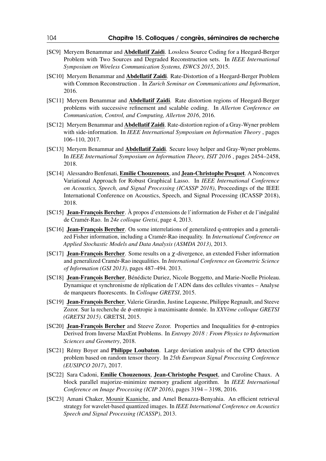- [SC9] Meryem Benammar and Abdellatif Zaidi. Lossless Source Coding for a Heegard-Berger Problem with Two Sources and Degraded Reconstruction sets. In *IEEE International Symposium on Wireless Communication Systems, ISWCS 2015*, 2015.
- [SC10] Meryem Benammar and **Abdellatif Zaidi**. Rate-Distortion of a Heegard-Berger Problem with Common Reconstruction . In *Zurich Seminar on Communications and Information*, 2016.
- [SC11] Meryem Benammar and Abdellatif Zaidi. Rate distortion regions of Heegard-Berger problems with successive refinement and scalable coding. In *Allerton Conference on Communication, Control, and Computing, Allerton 2016*, 2016.
- [SC12] Meryem Benammar and Abdellatif Zaidi. Rate-distortion region of a Gray-Wyner problem with side-information. In *IEEE International Symposium on Information Theory* , pages 106–110, 2017.
- [SC13] Meryem Benammar and **Abdellatif Zaidi**. Secure lossy helper and Gray-Wyner problems. In *IEEE International Symposium on Information Theory, ISIT 2016* , pages 2454–2458, 2018.
- [SC14] Alessandro Benfenati, Emilie Chouzenoux, and Jean-Christophe Pesquet. A Nonconvex Variational Approach for Robust Graphical Lasso. In *IEEE International Conference on Acoustics, Speech, and Signal Processing (ICASSP 2018)*, Proceedings of the IEEE International Conference on Acoustics, Speech, and Signal Processing (ICASSP 2018), 2018.
- [SC15] Jean-François Bercher. À propos d'extensions de l'information de Fisher et de l'inégalité de Cramér-Rao. In *24e colloque Gretsi*, page 4, 2013.
- [SC16] Jean-François Bercher. On some interrelations of generalized q-entropies and a generalized Fisher information, including a Cramér-Rao inequality. In *International Conference on Applied Stochastic Models and Data Analysis (ASMDA 2013)*, 2013.
- [SC17] Jean-François Bercher. Some results on a χ-divergence, an extended Fisher information and generalized Cramér-Rao inequalities. In *International Conference on Geometric Science of Information (GSI 2013)*, pages 487–494. 2013.
- [SC18] Jean-François Bercher, Bénédicte Duriez, Nicole Boggetto, and Marie-Noelle Prioleau. Dynamique et synchronisme de réplication de l'ADN dans des cellules vivantes – Analyse de marqueurs fluorescents. In *Colloque GRETSI*, 2015.
- [SC19] Jean-François Bercher, Valerie Girardin, Justine Lequesne, Philippe Regnault, and Steeve Zozor. Sur la recherche de φ-entropie à maximisante donnée. In *XXVème colloque GRETSI (GRETSI 2015)*. GRETSI, 2015.
- [SC20] Jean-François Bercher and Steeve Zozor. Properties and Inequalities for φ-entropies Derived from Inverse MaxEnt Problems. In *Entropy 2018 : From Physics to Information Sciences and Geometry*, 2018.
- [SC21] Rémy Boyer and Philippe Loubaton. Large deviation analysis of the CPD detection problem based on random tensor theory. In *25th European Signal Processing Conference (EUSIPCO 2017)*, 2017.
- [SC22] Sara Cadoni, Emilie Chouzenoux, Jean-Christophe Pesquet, and Caroline Chaux. A block parallel majorize-minimize memory gradient algorithm. In *IEEE International Conference on Image Processing (ICIP 2016)*, pages 3194 – 3198, 2016.
- [SC23] Amani Chaker, Mounir Kaaniche, and Amel Benazza-Benyahia. An efficient retrieval strategy for wavelet-based quantized images. In *IEEE International Conference on Acoustics Speech and Signal Processing (ICASSP)*, 2013.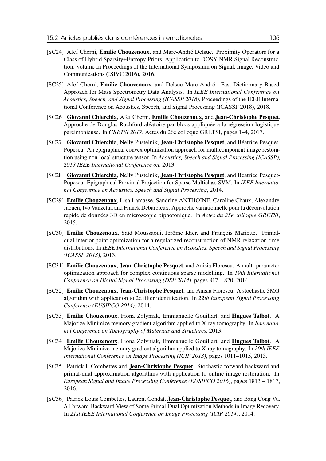- [SC24] Afef Cherni, Emilie Chouzenoux, and Marc-André Delsuc. Proximity Operators for a Class of Hybrid Sparsity+Entropy Priors. Application to DOSY NMR Signal Reconstruction. volume In Proceedings of the International Symposium on Signal, Image, Video and Communications (ISIVC 2016), 2016.
- [SC25] Afef Cherni, Emilie Chouzenoux, and Delsuc Marc-André. Fast Dictionnary-Based Approach for Mass Spectrometry Data Analysis. In *IEEE International Conference on Acoustics, Speech, and Signal Processing (ICASSP 2018)*, Proceedings of the IEEE International Conference on Acoustics, Speech, and Signal Processing (ICASSP 2018), 2018.
- [SC26] Giovanni Chierchia, Afef Cherni, Emilie Chouzenoux, and Jean-Christophe Pesquet. Approche de Douglas-Rachford aléatoire par blocs appliquée à la régression logistique parcimonieuse. In *GRETSI 2017*, Actes du 26e colloque GRETSI, pages 1–4, 2017.
- [SC27] Giovanni Chierchia, Nelly Pustelnik, Jean-Christophe Pesquet, and Béatrice Pesquet-Popescu. An epigraphical convex optimization approach for multicomponent image restoration using non-local structure tensor. In *Acoustics, Speech and Signal Processing (ICASSP), 2013 IEEE International Conference on*, 2013.
- [SC28] Giovanni Chierchia, Nelly Pustelnik, Jean-Christophe Pesquet, and Beatrice Pesquet-Popescu. Epigraphical Proximal Projection for Sparse Multiclass SVM. In *IEEE International Conference on Acoustics, Speech and Signal Processing*, 2014.
- [SC29] Emilie Chouzenoux, Lisa Lamasse, Sandrine ANTHOINE, Caroline Chaux, Alexandre Jaouen, Ivo Vanzetta, and Franck Debarbieux. Approche variationnelle pour la déconvolution rapide de données 3D en microscopie biphotonique. In *Actes du 25e colloque GRETSI*, 2015.
- [SC30] Emilie Chouzenoux, Saïd Moussaoui, Jérôme Idier, and François Mariette. Primaldual interior point optimization for a regularized reconstruction of NMR relaxation time distributions. In *IEEE International Conference on Acoustics, Speech and Signal Processing (ICASSP 2013)*, 2013.
- [SC31] Emilie Chouzenoux, Jean-Christophe Pesquet, and Anisia Florescu. A multi-parameter optimization approach for complex continuous sparse modelling. In *19th International Conference on Digital Signal Processing (DSP 2014)*, pages 817 – 820, 2014.
- [SC32] Emilie Chouzenoux, Jean-Christophe Pesquet, and Anisia Florescu. A stochastic 3MG algorithm with application to 2d filter identification. In *22th European Signal Processing Conference (EUSIPCO 2014)*, 2014.
- [SC33] Emilie Chouzenoux, Fiona Zolyniak, Emmanuelle Gouillart, and Hugues Talbot. A Majorize-Minimize memory gradient algorithm applied to X-ray tomography. In *International Conference on Tomography of Materials and Structures*, 2013.
- [SC34] Emilie Chouzenoux, Fiona Zolyniak, Emmanuelle Gouillart, and Hugues Talbot. A Majorize-Minimize memory gradient algorithm applied to X-ray tomography. In *20th IEEE International Conference on Image Processing (ICIP 2013)*, pages 1011–1015, 2013.
- [SC35] Patrick L Combettes and **Jean-Christophe Pesquet**. Stochastic forward-backward and primal-dual approximation algorithms with application to online image restoration. In *European Signal and Image Processing Conference (EUSIPCO 2016)*, pages 1813 – 1817, 2016.
- [SC36] Patrick Louis Combettes, Laurent Condat, Jean-Christophe Pesquet, and Bang Cong Vu. A Forward-Backward View of Some Primal-Dual Optimization Methods in Image Recovery. In *21st IEEE International Conference on Image Processing (ICIP 2014)*, 2014.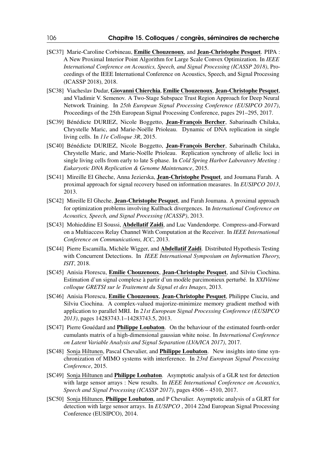- [SC37] Marie-Caroline Corbineau, Emilie Chouzenoux, and Jean-Christophe Pesquet. PIPA : A New Proximal Interior Point Algorithm for Large Scale Convex Optimization. In *IEEE International Conference on Acoustics, Speech, and Signal Processing (ICASSP 2018)*, Proceedings of the IEEE International Conference on Acoustics, Speech, and Signal Processing (ICASSP 2018), 2018.
- [SC38] Viacheslav Dudar, Giovanni Chierchia, Emilie Chouzenoux, Jean-Christophe Pesquet, and Vladimir V. Semenov. A Two-Stage Subspace Trust Region Approach for Deep Neural Network Training. In *25th European Signal Processing Conference (EUSIPCO 2017)*, Proceedings of the 25th European Signal Processing Conference, pages 291–295, 2017.
- [SC39] Bénédicte DURIEZ, Nicole Boggetto, Jean-François Bercher, Sabarinadh Chilaka, Chrystelle Maric, and Marie-Noëlle Prioleau. Dynamic of DNA replication in single living cells. In *11e Colloque 3R*, 2015.
- [SC40] Bénédicte DURIEZ, Nicole Boggetto, Jean-François Bercher, Sabarinadh Chilaka, Chrystelle Maric, and Marie-Noëlle Prioleau. Replication synchrony of allelic loci in single living cells from early to late S-phase. In *Cold Spring Harbor Laboratory Meeting : Eukaryotic DNA Replication & Genome Maintenance*, 2015.
- [SC41] Mireille El Gheche, Anna Jezierska, Jean-Christophe Pesquet, and Joumana Farah. A proximal approach for signal recovery based on information measures. In *EUSIPCO 2013*, 2013.
- [SC42] Mireille El Gheche, **Jean-Christophe Pesquet**, and Farah Joumana. A proximal approach for optimization problems involving Kullback divergences. In *International Conference on Acoustics, Speech, and Signal Processing (ICASSP)*, 2013.
- [SC43] Mohieddine El Soussi, Abdellatif Zaidi, and Luc Vandendorpe. Compress-and-Forward on a Multiaccess Relay Channel With Computation at the Receiver. In *IEEE International Conference on Communications, ICC*, 2013.
- [SC44] Pierre Escamilla, Michèle Wigger, and **Abdellatif Zaidi**. Distributed Hypothesis Testing with Concurrent Detections. In *IEEE International Symposium on Information Theory, ISIT*, 2018.
- [SC45] Anisia Florescu, Emilie Chouzenoux, Jean-Christophe Pesquet, and Silviu Ciochina. Estimation d'un signal complexe à partir d'un modèle parcimonieux perturbé. In *XXIVième colloque GRETSI sur le Traitement du Signal et des Images*, 2013.
- [SC46] Anisia Florescu, **Emilie Chouzenoux, Jean-Christophe Pesquet**, Philippe Ciuciu, and Silviu Ciochina. A complex-valued majorize-minimize memory gradient method with application to parallel MRI. In *21st European Signal Processing Conference (EUSIPCO 2013)*, pages 14283743.1–14283743.5, 2013.
- [SC47] Pierre Gouédard and Philippe Loubaton. On the behaviour of the estimated fourth-order cumulants matrix of a high-dimensional gaussian white noise. In *International Conference on Latent Variable Analysis and Signal Separation (LVA/ICA 2017)*, 2017.
- [SC48] Sonja Hiltunen, Pascal Chevalier, and **Philippe Loubaton**. New insights into time synchronization of MIMO systems with interference. In *23rd European Signal Processing Conference*, 2015.
- [SC49] Sonja Hiltunen and **Philippe Loubaton**. Asymptotic analysis of a GLR test for detection with large sensor arrays : New results. In *IEEE International Conference on Acoustics, Speech and Signal Processing (ICASSP 2017)*, pages 4506 – 4510, 2017.
- [SC50] Sonja Hiltunen, **Philippe Loubaton**, and P Chevalier. Asymptotic analysis of a GLRT for detection with large sensor arrays. In *EUSIPCO* , 2014 22nd European Signal Processing Conference (EUSIPCO), 2014.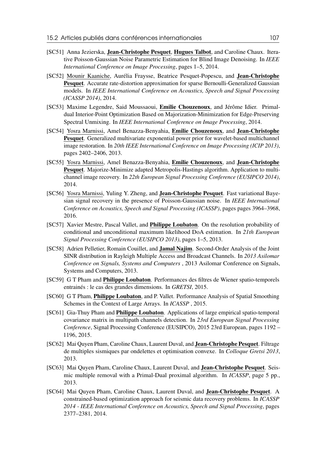- [SC51] Anna Jezierska, **Jean-Christophe Pesquet, Hugues Talbot**, and Caroline Chaux. Iterative Poisson-Gaussian Noise Parametric Estimation for Blind Image Denoising. In *IEEE International Conference on Image Processing*, pages 1–5, 2014.
- [SC52] Mounir Kaaniche, Aurélia Fraysse, Beatrice Pesquet-Popescu, and Jean-Christophe Pesquet. Accurate rate-distortion approximation for sparse Bernoulli-Generalized Gaussian models. In *IEEE International Conference on Acoustics, Speech and Signal Processing (ICASSP 2014)*, 2014.
- [SC53] Maxime Legendre, Said Moussaoui, Emilie Chouzenoux, and Jérôme Idier. Primaldual Interior-Point Optimization Based on Majorization-Minimization for Edge-Preserving Spectral Unmixing. In *IEEE International Conference on Image Processing*, 2014.
- [SC54] Yosra Marnissi, Amel Benazza-Benyahia, Emilie Chouzenoux, and Jean-Christophe Pesquet. Generalized multivariate exponential power prior for wavelet-based multichannel image restoration. In *20th IEEE International Conference on Image Processing (ICIP 2013)*, pages 2402–2406, 2013.
- [SC55] Yosra Marnissi, Amel Benazza-Benyahia, Emilie Chouzenoux, and Jean-Christophe Pesquet. Majorize-Minimize adapted Metropolis-Hastings algorithm. Application to multichannel image recovery. In *22th European Signal Processing Conference (EUSIPCO 2014)*, 2014.
- [SC56] Yosra Marnissi, Yuling Y. Zheng, and Jean-Christophe Pesquet. Fast variational Bayesian signal recovery in the presence of Poisson-Gaussian noise. In *IEEE International Conference on Acoustics, Speech and Signal Processing (ICASSP)*, pages pages 3964–3968, 2016.
- [SC57] Xavier Mestre, Pascal Vallet, and Philippe Loubaton. On the resolution probability of conditional and unconditional maximum likelihood DoA estimation. In *21th European Signal Processing Conference (EUSIPCO 2013)*, pages 1–5, 2013.
- [SC58] Adrien Pelletier, Romain Couillet, and Jamal Najim. Second-Order Analysis of the Joint SINR distribution in Rayleigh Multiple Access and Broadcast Channels. In *2013 Asilomar Conference on Signals, Systems and Computers* , 2013 Asilomar Conference on Signals, Systems and Computers, 2013.
- [SC59] G T Pham and Philippe Loubaton. Performances des filtres de Wiener spatio-temporels entrainés : le cas des grandes dimensions. In *GRETSI*, 2015.
- [SC60] G T Pham, **Philippe Loubaton**, and P. Vallet. Performance Analysis of Spatial Smoothing Schemes in the Context of Large Arrays. In *ICASSP* , 2015.
- [SC61] Gia-Thuy Pham and **Philippe Loubaton**. Applications of large empirical spatio-temporal covariance matrix in multipath channels detection. In *23rd European Signal Processing Conference*, Signal Processing Conference (EUSIPCO), 2015 23rd European, pages 1192 – 1196, 2015.
- [SC62] Mai Quyen Pham, Caroline Chaux, Laurent Duval, and **Jean-Christophe Pesquet**. Filtrage de multiples sismiques par ondelettes et optimisation convexe. In *Colloque Gretsi 2013*, 2013.
- [SC63] Mai Quyen Pham, Caroline Chaux, Laurent Duval, and Jean-Christophe Pesquet. Seismic multiple removal with a Primal-Dual proximal algorithm. In *ICASSP*, page 5 pp., 2013.
- [SC64] Mai Quyen Pham, Caroline Chaux, Laurent Duval, and Jean-Christophe Pesquet. A constrained-based optimization approach for seismic data recovery problems. In *ICASSP 2014 - IEEE International Conference on Acoustics, Speech and Signal Processing*, pages 2377–2381, 2014.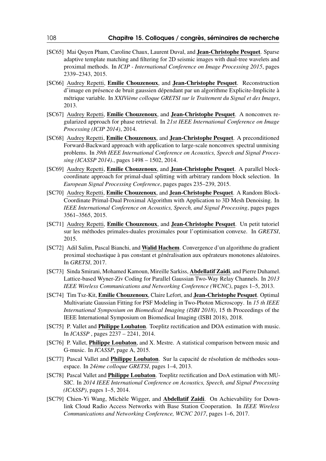- [SC65] Mai Ouyen Pham, Caroline Chaux, Laurent Duval, and Jean-Christophe Pesquet. Sparse adaptive template matching and filtering for 2D seismic images with dual-tree wavelets and proximal methods. In *ICIP - International Conference on Image Processing 2015*, pages 2339–2343, 2015.
- [SC66] Audrey Repetti, Emilie Chouzenoux, and Jean-Christophe Pesquet. Reconstruction d'image en présence de bruit gaussien dépendant par un algorithme Explicite-Implicite à métrique variable. In *XXIVième colloque GRETSI sur le Traitement du Signal et des Images*, 2013.
- [SC67] Audrey Repetti, Emilie Chouzenoux, and Jean-Christophe Pesquet. A nonconvex regularized approach for phase retrieval. In *21st IEEE International Conference on Image Processing (ICIP 2014)*, 2014.
- [SC68] Audrey Repetti, Emilie Chouzenoux, and Jean-Christophe Pesquet. A preconditioned Forward-Backward approach with application to large-scale nonconvex spectral unmixing problems. In *39th IEEE International Conference on Acoustics, Speech and Signal Processing (ICASSP 2014).*, pages 1498 – 1502, 2014.
- [SC69] Audrey Repetti, Emilie Chouzenoux, and Jean-Christophe Pesquet. A parallel blockcoordinate approach for primal-dual splitting with arbitrary random block selection. In *European Signal Processing Conference*, pages pages 235–239, 2015.
- [SC70] Audrey Repetti, Emilie Chouzenoux, and Jean-Christophe Pesquet. A Random Block-Coordinate Primal-Dual Proximal Algorithm with Application to 3D Mesh Denoising. In *IEEE International Conference on Acoustics, Speech, and Signal Processing*, pages pages 3561–3565, 2015.
- [SC71] Audrey Repetti, Emilie Chouzenoux, and Jean-Christophe Pesquet. Un petit tutoriel sur les méthodes primales-duales proximales pour l'optimisation convexe. In *GRETSI*, 2015.
- [SC72] Adil Salim, Pascal Bianchi, and Walid Hachem. Convergence d'un algorithme du gradient proximal stochastique à pas constant et généralisation aux opérateurs monotones aléatoires. In *GRETSI*, 2017.
- [SC73] Sinda Smirani, Mohamed Kamoun, Mireille Sarkiss, Abdellatif Zaidi, and Pierre Duhamel. Lattice-based Wyner-Ziv Coding for Parallel Gaussian Two-Way Relay Channels. In *2013 IEEE Wireless Communications and Networking Conference (WCNC)*, pages 1–5, 2013.
- [SC74] Tim Tsz-Kit, Emilie Chouzenoux, Claire Lefort, and Jean-Christophe Pesquet. Optimal Multivariate Gaussian Fitting for PSF Modeling in Two-Photon Microscopy. In *15 th IEEE International Symposium on Biomedical Imaging (ISBI 2018)*, 15 th Proceedings of the IEEE International Symposium on Biomedical Imaging (ISBI 2018), 2018.
- [SC75] P. Vallet and Philippe Loubaton. Toeplitz rectification and DOA estimation with music. In *ICASSP* , pages 2237 – 2241, 2014.
- [SC76] P. Vallet, **Philippe Loubaton**, and X. Mestre. A statistical comparison between music and G-music. In *ICASSP*, page A, 2015.
- [SC77] Pascal Vallet and Philippe Loubaton. Sur la capacité de résolution de méthodes sousespace. In *24ème colloque GRETSI*, pages 1–4, 2013.
- [SC78] Pascal Vallet and *Philippe Loubaton*. Toeplitz rectification and DoA estimation with MU-SIC. In *2014 IEEE International Conference on Acoustics, Speech, and Signal Processing (ICASSP)*, pages 1–5, 2014.
- [SC79] Chien-Yi Wang, Michèle Wigger, and Abdellatif Zaidi. On Achievability for Downlink Cloud Radio Access Networks with Base Station Cooperation. In *IEEE Wireless Communications and Networking Conference, WCNC 2017*, pages 1–6, 2017.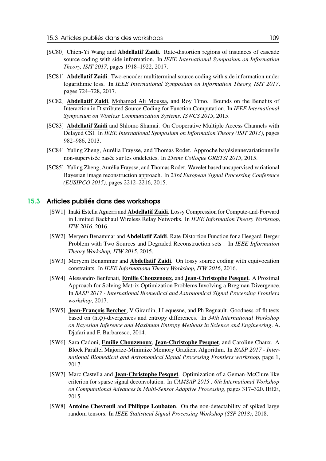- [SC80] Chien-Yi Wang and Abdellatif Zaidi. Rate-distortion regions of instances of cascade source coding with side information. In *IEEE International Symposium on Information Theory, ISIT 2017*, pages 1918–1922, 2017.
- [SC81] Abdellatif Zaidi. Two-encoder multiterminal source coding with side information under logarithmic loss. In *IEEE International Symposium on Information Theory, ISIT 2017*, pages 724–728, 2017.
- [SC82] Abdellatif Zaidi, Mohamed Ali Moussa, and Roy Timo. Bounds on the Benefits of Interaction in Distributed Source Coding for Function Computation. In *IEEE International Symposium on Wireless Communication Systems, ISWCS 2015*, 2015.
- [SC83] Abdellatif Zaidi and Shlomo Shamai. On Cooperative Multiple Access Channels with Delayed CSI. In *IEEE International Symposium on Information Theory (ISIT 2013)*, pages 982–986, 2013.
- [SC84] Yuling Zheng, Aurélia Fraysse, and Thomas Rodet. Approche bayésiennevariationnelle non-supervisée basée sur les ondelettes. In *25eme Colloque GRETSI 2015*, 2015.
- [SC85] Yuling Zheng, Aurélia Fraysse, and Thomas Rodet. Wavelet based unsupervised variational Bayesian image reconstruction approach. In *23rd European Signal Processing Conference (EUSIPCO 2015)*, pages 2212–2216, 2015.

## 15.3 Articles publiés dans des workshops

- [SW1] Inaki Estella Aguerri and Abdellatif Zaidi. Lossy Compression for Compute-and-Forward in Limited Backhaul Wireless Relay Networks. In *IEEE Information Theory Workshop, ITW 2016*, 2016.
- [SW2] Meryem Benammar and Abdellatif Zaidi. Rate-Distortion Function for a Heegard-Berger Problem with Two Sources and Degraded Reconstruction sets . In *IEEE Information Theory Workshop, ITW 2015*, 2015.
- [SW3] Meryem Benammar and Abdellatif Zaidi. On lossy source coding with equivocation constraints. In *IEEE Informationa Theory Workshop, ITW 2016*, 2016.
- [SW4] Alessandro Benfenati, Emilie Chouzenoux, and Jean-Christophe Pesquet. A Proximal Approach for Solving Matrix Optimization Problems Involving a Bregman Divergence. In *BASP 2017 - International Biomedical and Astronomical Signal Processing Frontiers workshop*, 2017.
- [SW5] Jean-François Bercher, V Girardin, J Lequesne, and Ph Regnault. Goodness-of-fit tests based on (h,ϕ)-divergences and entropy differences. In *34th International Workshop on Bayesian Inference and Maximum Entropy Methods in Science and Engineering*. A. Djafari and F. Barbaresco, 2014.
- [SW6] Sara Cadoni, Emilie Chouzenoux, Jean-Christophe Pesquet, and Caroline Chaux. A Block Parallel Majorize-Minimize Memory Gradient Algorithm. In *BASP 2017 - International Biomedical and Astronomical Signal Processing Frontiers workshop*, page 1, 2017.
- [SW7] Marc Castella and Jean-Christophe Pesquet. Optimization of a Geman-McClure like criterion for sparse signal deconvolution. In *CAMSAP 2015 : 6th International Workshop on Computational Advances in Multi-Sensor Adaptive Processing*, pages 317–320. IEEE, 2015.
- [SW8] Antoine Chevreuil and Philippe Loubaton. On the non-detectability of spiked large random tensors. In *IEEE Statistical Signal Processing Workshop (SSP 2018)*, 2018.